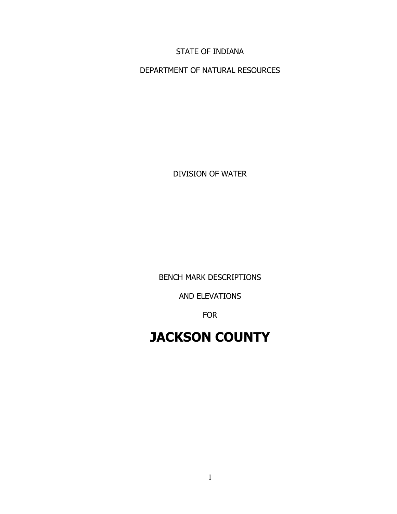STATE OF INDIANA

DEPARTMENT OF NATURAL RESOURCES

DIVISION OF WATER

BENCH MARK DESCRIPTIONS

AND ELEVATIONS

FOR

# **JACKSON COUNTY**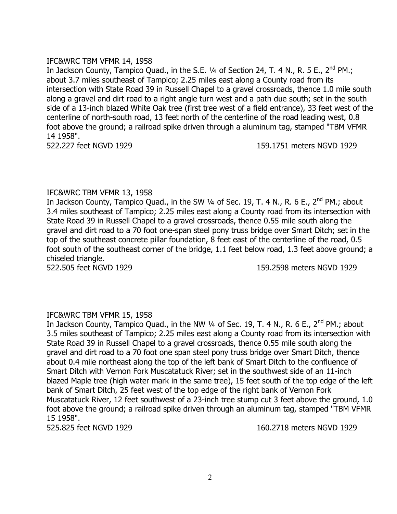# IFC&WRC TBM VFMR 14, 1958

In Jackson County, Tampico Quad., in the S.E. 1/4 of Section 24, T. 4 N., R. 5 E., 2<sup>nd</sup> PM.; about 3.7 miles southeast of Tampico; 2.25 miles east along a County road from its intersection with State Road 39 in Russell Chapel to a gravel crossroads, thence 1.0 mile south along a gravel and dirt road to a right angle turn west and a path due south; set in the south side of a 13-inch blazed White Oak tree (first tree west of a field entrance), 33 feet west of the centerline of north-south road, 13 feet north of the centerline of the road leading west, 0.8 foot above the ground; a railroad spike driven through a aluminum tag, stamped "TBM VFMR 14 1958".

522.227 feet NGVD 1929 159.1751 meters NGVD 1929

# IFC&WRC TBM VFMR 13, 1958

In Jackson County, Tampico Quad., in the SW 1/4 of Sec. 19, T. 4 N., R. 6 E., 2<sup>nd</sup> PM.; about 3.4 miles southeast of Tampico; 2.25 miles east along a County road from its intersection with State Road 39 in Russell Chapel to a gravel crossroads, thence 0.55 mile south along the gravel and dirt road to a 70 foot one-span steel pony truss bridge over Smart Ditch; set in the top of the southeast concrete pillar foundation, 8 feet east of the centerline of the road, 0.5 foot south of the southeast corner of the bridge, 1.1 feet below road, 1.3 feet above ground; a chiseled triangle.

522.505 feet NGVD 1929 159.2598 meters NGVD 1929

# IFC&WRC TBM VFMR 15, 1958

In Jackson County, Tampico Quad., in the NW 1/4 of Sec. 19, T. 4 N., R. 6 E., 2<sup>nd</sup> PM.; about 3.5 miles southeast of Tampico; 2.25 miles east along a County road from its intersection with State Road 39 in Russell Chapel to a gravel crossroads, thence 0.55 mile south along the gravel and dirt road to a 70 foot one span steel pony truss bridge over Smart Ditch, thence about 0.4 mile northeast along the top of the left bank of Smart Ditch to the confluence of Smart Ditch with Vernon Fork Muscatatuck River; set in the southwest side of an 11-inch blazed Maple tree (high water mark in the same tree), 15 feet south of the top edge of the left bank of Smart Ditch, 25 feet west of the top edge of the right bank of Vernon Fork Muscatatuck River, 12 feet southwest of a 23-inch tree stump cut 3 feet above the ground, 1.0 foot above the ground; a railroad spike driven through an aluminum tag, stamped "TBM VFMR 15 1958".

525.825 feet NGVD 1929 160.2718 meters NGVD 1929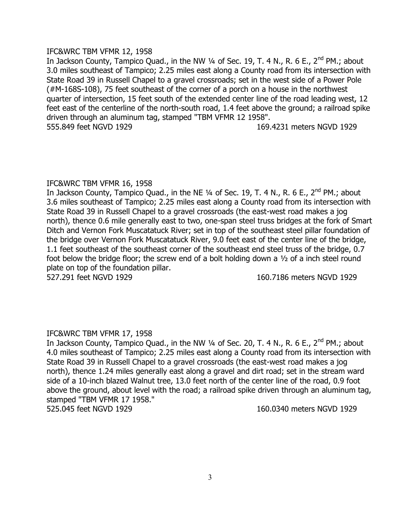# IFC&WRC TBM VFMR 12, 1958

In Jackson County, Tampico Quad., in the NW  $\frac{1}{4}$  of Sec. 19, T. 4 N., R. 6 E., 2<sup>nd</sup> PM.; about 3.0 miles southeast of Tampico; 2.25 miles east along a County road from its intersection with State Road 39 in Russell Chapel to a gravel crossroads; set in the west side of a Power Pole (#M-168S-108), 75 feet southeast of the corner of a porch on a house in the northwest quarter of intersection, 15 feet south of the extended center line of the road leading west, 12 feet east of the centerline of the north-south road, 1.4 feet above the ground; a railroad spike driven through an aluminum tag, stamped "TBM VFMR 12 1958". 555.849 feet NGVD 1929 169.4231 meters NGVD 1929

# IFC&WRC TBM VFMR 16, 1958

In Jackson County, Tampico Quad., in the NE 1/4 of Sec. 19, T. 4 N., R. 6 E., 2<sup>nd</sup> PM.; about 3.6 miles southeast of Tampico; 2.25 miles east along a County road from its intersection with State Road 39 in Russell Chapel to a gravel crossroads (the east-west road makes a jog north), thence 0.6 mile generally east to two, one-span steel truss bridges at the fork of Smart Ditch and Vernon Fork Muscatatuck River; set in top of the southeast steel pillar foundation of the bridge over Vernon Fork Muscatatuck River, 9.0 feet east of the center line of the bridge, 1.1 feet southeast of the southeast corner of the southeast end steel truss of the bridge, 0.7 foot below the bridge floor; the screw end of a bolt holding down a ½ of a inch steel round plate on top of the foundation pillar.

527.291 feet NGVD 1929 160.7186 meters NGVD 1929

# IFC&WRC TBM VFMR 17, 1958

In Jackson County, Tampico Quad., in the NW  $\frac{1}{4}$  of Sec. 20, T. 4 N., R. 6 E., 2<sup>nd</sup> PM.; about 4.0 miles southeast of Tampico; 2.25 miles east along a County road from its intersection with State Road 39 in Russell Chapel to a gravel crossroads (the east-west road makes a jog north), thence 1.24 miles generally east along a gravel and dirt road; set in the stream ward side of a 10-inch blazed Walnut tree, 13.0 feet north of the center line of the road, 0.9 foot above the ground, about level with the road; a railroad spike driven through an aluminum tag, stamped "TBM VFMR 17 1958." 525.045 feet NGVD 1929 160.0340 meters NGVD 1929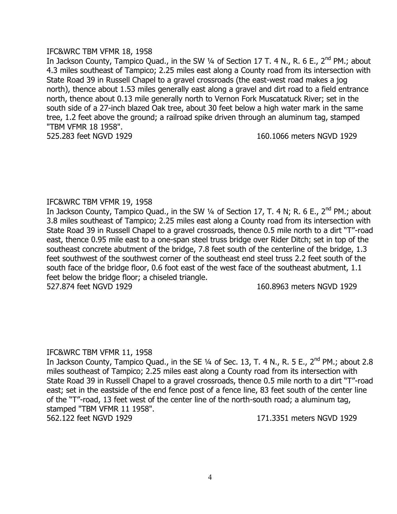### IFC&WRC TBM VFMR 18, 1958

In Jackson County, Tampico Quad., in the SW  $\frac{1}{4}$  of Section 17 T. 4 N., R. 6 E., 2<sup>nd</sup> PM.; about 4.3 miles southeast of Tampico; 2.25 miles east along a County road from its intersection with State Road 39 in Russell Chapel to a gravel crossroads (the east-west road makes a jog north), thence about 1.53 miles generally east along a gravel and dirt road to a field entrance north, thence about 0.13 mile generally north to Vernon Fork Muscatatuck River; set in the south side of a 27-inch blazed Oak tree, about 30 feet below a high water mark in the same tree, 1.2 feet above the ground; a railroad spike driven through an aluminum tag, stamped "TBM VFMR 18 1958".

525.283 feet NGVD 1929 160.1066 meters NGVD 1929

# IFC&WRC TBM VFMR 19, 1958

In Jackson County, Tampico Quad., in the SW 1/4 of Section 17, T. 4 N; R. 6 E., 2<sup>nd</sup> PM.; about 3.8 miles southeast of Tampico; 2.25 miles east along a County road from its intersection with State Road 39 in Russell Chapel to a gravel crossroads, thence 0.5 mile north to a dirt "T"-road east, thence 0.95 mile east to a one-span steel truss bridge over Rider Ditch; set in top of the southeast concrete abutment of the bridge, 7.8 feet south of the centerline of the bridge, 1.3 feet southwest of the southwest corner of the southeast end steel truss 2.2 feet south of the south face of the bridge floor, 0.6 foot east of the west face of the southeast abutment, 1.1 feet below the bridge floor; a chiseled triangle.

527.874 feet NGVD 1929 160.8963 meters NGVD 1929

# IFC&WRC TBM VFMR 11, 1958

In Jackson County, Tampico Quad., in the SE  $\frac{1}{4}$  of Sec. 13, T. 4 N., R. 5 E., 2<sup>nd</sup> PM.; about 2.8 miles southeast of Tampico; 2.25 miles east along a County road from its intersection with State Road 39 in Russell Chapel to a gravel crossroads, thence 0.5 mile north to a dirt "T"-road east; set in the eastside of the end fence post of a fence line, 83 feet south of the center line of the "T"-road, 13 feet west of the center line of the north-south road; a aluminum tag, stamped "TBM VFMR 11 1958". 562.122 feet NGVD 1929 171.3351 meters NGVD 1929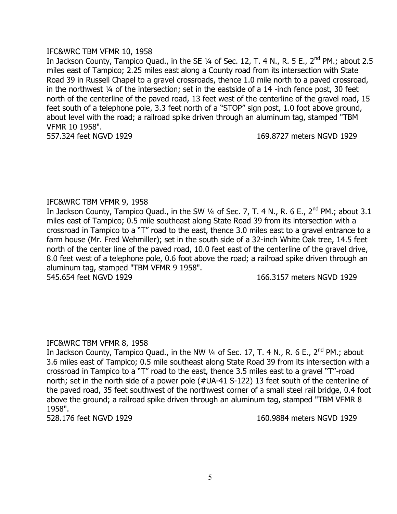### IFC&WRC TBM VFMR 10, 1958

In Jackson County, Tampico Quad., in the SE  $\frac{1}{4}$  of Sec. 12, T. 4 N., R. 5 E., 2<sup>nd</sup> PM.; about 2.5 miles east of Tampico; 2.25 miles east along a County road from its intersection with State Road 39 in Russell Chapel to a gravel crossroads, thence 1.0 mile north to a paved crossroad, in the northwest ¼ of the intersection; set in the eastside of a 14 -inch fence post, 30 feet north of the centerline of the paved road, 13 feet west of the centerline of the gravel road, 15 feet south of a telephone pole, 3.3 feet north of a "STOP" sign post, 1.0 foot above ground, about level with the road; a railroad spike driven through an aluminum tag, stamped "TBM VFMR 10 1958".

557.324 feet NGVD 1929 169.8727 meters NGVD 1929

# IFC&WRC TBM VFMR 9, 1958

In Jackson County, Tampico Quad., in the SW  $\frac{1}{4}$  of Sec. 7, T. 4 N., R. 6 E., 2<sup>nd</sup> PM.; about 3.1 miles east of Tampico; 0.5 mile southeast along State Road 39 from its intersection with a crossroad in Tampico to a "T" road to the east, thence 3.0 miles east to a gravel entrance to a farm house (Mr. Fred Wehmiller); set in the south side of a 32-inch White Oak tree, 14.5 feet north of the center line of the paved road, 10.0 feet east of the centerline of the gravel drive, 8.0 feet west of a telephone pole, 0.6 foot above the road; a railroad spike driven through an aluminum tag, stamped "TBM VFMR 9 1958".

545.654 feet NGVD 1929 166.3157 meters NGVD 1929

# IFC&WRC TBM VFMR 8, 1958

In Jackson County, Tampico Quad., in the NW  $\frac{1}{4}$  of Sec. 17, T. 4 N., R. 6 E., 2<sup>nd</sup> PM.; about 3.6 miles east of Tampico; 0.5 mile southeast along State Road 39 from its intersection with a crossroad in Tampico to a "T" road to the east, thence 3.5 miles east to a gravel "T"-road north; set in the north side of a power pole (#UA-41 S-122) 13 feet south of the centerline of the paved road, 35 feet southwest of the northwest corner of a small steel rail bridge, 0.4 foot above the ground; a railroad spike driven through an aluminum tag, stamped "TBM VFMR 8 1958".

528.176 feet NGVD 1929 160.9884 meters NGVD 1929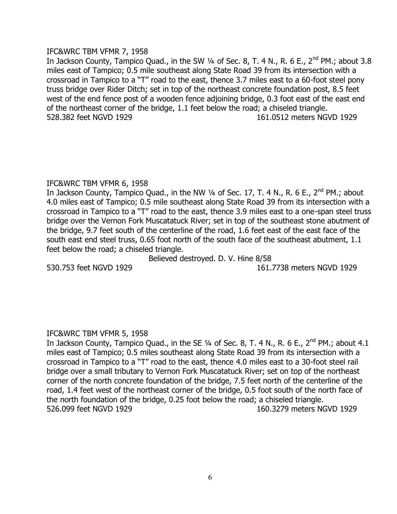# IFC&WRC TBM VFMR 7, 1958

In Jackson County, Tampico Quad., in the SW  $\frac{1}{4}$  of Sec. 8, T. 4 N., R. 6 E., 2<sup>nd</sup> PM.; about 3.8 miles east of Tampico; 0.5 mile southeast along State Road 39 from its intersection with a crossroad in Tampico to a "T" road to the east, thence 3.7 miles east to a 60-foot steel pony truss bridge over Rider Ditch; set in top of the northeast concrete foundation post, 8.5 feet west of the end fence post of a wooden fence adjoining bridge, 0.3 foot east of the east end of the northeast corner of the bridge, 1.1 feet below the road; a chiseled triangle. 528.382 feet NGVD 1929 161.0512 meters NGVD 1929

# IFC&WRC TBM VFMR 6, 1958

In Jackson County, Tampico Quad., in the NW 1/4 of Sec. 17, T. 4 N., R. 6 E., 2<sup>nd</sup> PM.; about 4.0 miles east of Tampico; 0.5 mile southeast along State Road 39 from its intersection with a crossroad in Tampico to a "T" road to the east, thence 3.9 miles east to a one-span steel truss bridge over the Vernon Fork Muscatatuck River; set in top of the southeast stone abutment of the bridge, 9.7 feet south of the centerline of the road, 1.6 feet east of the east face of the south east end steel truss, 0.65 foot north of the south face of the southeast abutment, 1.1 feet below the road; a chiseled triangle.

Believed destroyed. D. V. Hine 8/58

530.753 feet NGVD 1929 161.7738 meters NGVD 1929

# IFC&WRC TBM VFMR 5, 1958

In Jackson County, Tampico Quad., in the SE  $\frac{1}{4}$  of Sec. 8, T. 4 N., R. 6 E., 2<sup>nd</sup> PM.; about 4.1 miles east of Tampico; 0.5 miles southeast along State Road 39 from its intersection with a crossroad in Tampico to a "T" road to the east, thence 4.0 miles east to a 30-foot steel rail bridge over a small tributary to Vernon Fork Muscatatuck River; set on top of the northeast corner of the north concrete foundation of the bridge, 7.5 feet north of the centerline of the road, 1.4 feet west of the northeast corner of the bridge, 0.5 foot south of the north face of the north foundation of the bridge, 0.25 foot below the road; a chiseled triangle. 526.099 feet NGVD 1929 160.3279 meters NGVD 1929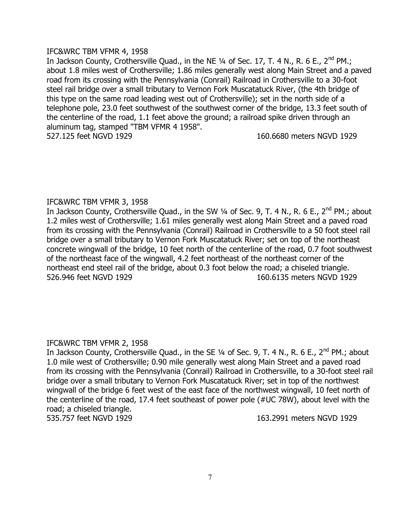# IFC&WRC TBM VFMR 4, 1958

In Jackson County, Crothersville Quad., in the NE 1/4 of Sec. 17, T. 4 N., R. 6 E., 2<sup>nd</sup> PM.; about 1.8 miles west of Crothersville; 1.86 miles generally west along Main Street and a paved road from its crossing with the Pennsylvania (Conrail) Railroad in Crothersville to a 30-foot steel rail bridge over a small tributary to Vernon Fork Muscatatuck River, (the 4th bridge of this type on the same road leading west out of Crothersville); set in the north side of a telephone pole, 23.0 feet southwest of the southwest corner of the bridge, 13.3 feet south of the centerline of the road, 1.1 feet above the ground; a railroad spike driven through an aluminum tag, stamped "TBM VFMR 4 1958". 527.125 feet NGVD 1929 160.6680 meters NGVD 1929

# IFC&WRC TBM VFMR 3, 1958

In Jackson County, Crothersville Quad., in the SW 1/4 of Sec. 9, T. 4 N., R. 6 E., 2<sup>nd</sup> PM.; about 1.2 miles west of Crothersville; 1.61 miles generally west along Main Street and a paved road from its crossing with the Pennsylvania (Conrail) Railroad in Crothersville to a 50 foot steel rail bridge over a small tributary to Vernon Fork Muscatatuck River; set on top of the northeast concrete wingwall of the bridge, 10 feet north of the centerline of the road, 0.7 foot southwest of the northeast face of the wingwall, 4.2 feet northeast of the northeast corner of the northeast end steel rail of the bridge, about 0.3 foot below the road; a chiseled triangle. 526.946 feet NGVD 1929 160.6135 meters NGVD 1929

# IFC&WRC TBM VFMR 2, 1958

In Jackson County, Crothersville Quad., in the SE 1/4 of Sec. 9, T. 4 N., R. 6 E., 2<sup>nd</sup> PM.; about 1.0 mile west of Crothersville; 0.90 mile generally west along Main Street and a paved road from its crossing with the Pennsylvania (Conrail) Railroad in Crothersville, to a 30-foot steel rail bridge over a small tributary to Vernon Fork Muscatatuck River; set in top of the northwest wingwall of the bridge 6 feet west of the east face of the northwest wingwall, 10 feet north of the centerline of the road, 17.4 feet southeast of power pole (#UC 78W), about level with the road; a chiseled triangle.

535.757 feet NGVD 1929 163.2991 meters NGVD 1929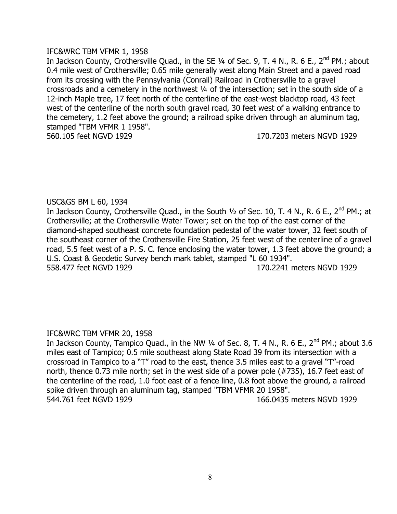### IFC&WRC TBM VFMR 1, 1958

In Jackson County, Crothersville Quad., in the SE 1/4 of Sec. 9, T. 4 N., R. 6 E., 2<sup>nd</sup> PM.; about 0.4 mile west of Crothersville; 0.65 mile generally west along Main Street and a paved road from its crossing with the Pennsylvania (Conrail) Railroad in Crothersville to a gravel crossroads and a cemetery in the northwest ¼ of the intersection; set in the south side of a 12-inch Maple tree, 17 feet north of the centerline of the east-west blacktop road, 43 feet west of the centerline of the north south gravel road, 30 feet west of a walking entrance to the cemetery, 1.2 feet above the ground; a railroad spike driven through an aluminum tag, stamped "TBM VFMR 1 1958". 560.105 feet NGVD 1929 170.7203 meters NGVD 1929

# USC&GS BM L 60, 1934

In Jackson County, Crothersville Quad., in the South 1/2 of Sec. 10, T. 4 N., R. 6 E., 2<sup>nd</sup> PM.; at Crothersville; at the Crothersville Water Tower; set on the top of the east corner of the diamond-shaped southeast concrete foundation pedestal of the water tower, 32 feet south of the southeast corner of the Crothersville Fire Station, 25 feet west of the centerline of a gravel road, 5.5 feet west of a P. S. C. fence enclosing the water tower, 1.3 feet above the ground; a U.S. Coast & Geodetic Survey bench mark tablet, stamped "L 60 1934". 558.477 feet NGVD 1929 170.2241 meters NGVD 1929

# IFC&WRC TBM VFMR 20, 1958

In Jackson County, Tampico Quad., in the NW  $\frac{1}{4}$  of Sec. 8, T. 4 N., R. 6 E., 2<sup>nd</sup> PM.; about 3.6 miles east of Tampico; 0.5 mile southeast along State Road 39 from its intersection with a crossroad in Tampico to a "T" road to the east, thence 3.5 miles east to a gravel "T"-road north, thence 0.73 mile north; set in the west side of a power pole (#735), 16.7 feet east of the centerline of the road, 1.0 foot east of a fence line, 0.8 foot above the ground, a railroad spike driven through an aluminum tag, stamped "TBM VFMR 20 1958". 544.761 feet NGVD 1929 166.0435 meters NGVD 1929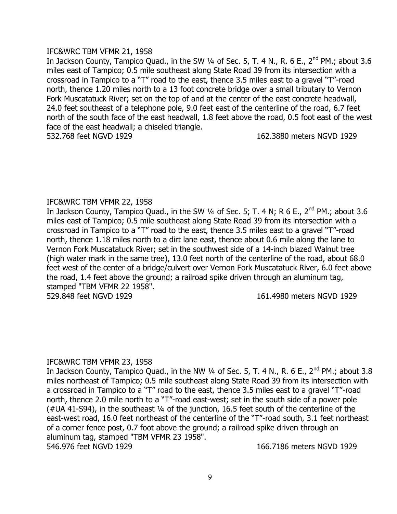### IFC&WRC TBM VFMR 21, 1958

In Jackson County, Tampico Quad., in the SW  $\frac{1}{4}$  of Sec. 5, T. 4 N., R. 6 E., 2<sup>nd</sup> PM.; about 3.6 miles east of Tampico; 0.5 mile southeast along State Road 39 from its intersection with a crossroad in Tampico to a "T" road to the east, thence 3.5 miles east to a gravel "T"-road north, thence 1.20 miles north to a 13 foot concrete bridge over a small tributary to Vernon Fork Muscatatuck River; set on the top of and at the center of the east concrete headwall, 24.0 feet southeast of a telephone pole, 9.0 feet east of the centerline of the road, 6.7 feet north of the south face of the east headwall, 1.8 feet above the road, 0.5 foot east of the west face of the east headwall; a chiseled triangle. 532.768 feet NGVD 1929 162.3880 meters NGVD 1929

# IFC&WRC TBM VFMR 22, 1958

In Jackson County, Tampico Quad., in the SW  $\frac{1}{4}$  of Sec. 5; T. 4 N; R 6 E., 2<sup>nd</sup> PM.; about 3.6 miles east of Tampico; 0.5 mile southeast along State Road 39 from its intersection with a crossroad in Tampico to a "T" road to the east, thence 3.5 miles east to a gravel "T"-road north, thence 1.18 miles north to a dirt lane east, thence about 0.6 mile along the lane to Vernon Fork Muscatatuck River; set in the southwest side of a 14-inch blazed Walnut tree (high water mark in the same tree), 13.0 feet north of the centerline of the road, about 68.0 feet west of the center of a bridge/culvert over Vernon Fork Muscatatuck River, 6.0 feet above the road, 1.4 feet above the ground; a railroad spike driven through an aluminum tag, stamped "TBM VFMR 22 1958".

529.848 feet NGVD 1929 161.4980 meters NGVD 1929

# IFC&WRC TBM VFMR 23, 1958

In Jackson County, Tampico Quad., in the NW  $\frac{1}{4}$  of Sec. 5, T. 4 N., R. 6 E., 2<sup>nd</sup> PM.; about 3.8 miles northeast of Tampico; 0.5 mile southeast along State Road 39 from its intersection with a crossroad in Tampico to a "T" road to the east, thence 3.5 miles east to a gravel "T"-road north, thence 2.0 mile north to a "T"-road east-west; set in the south side of a power pole (#UA 41-S94), in the southeast ¼ of the junction, 16.5 feet south of the centerline of the east-west road, 16.0 feet northeast of the centerline of the "T"-road south, 3.1 feet northeast of a corner fence post, 0.7 foot above the ground; a railroad spike driven through an aluminum tag, stamped "TBM VFMR 23 1958". 546.976 feet NGVD 1929 166.7186 meters NGVD 1929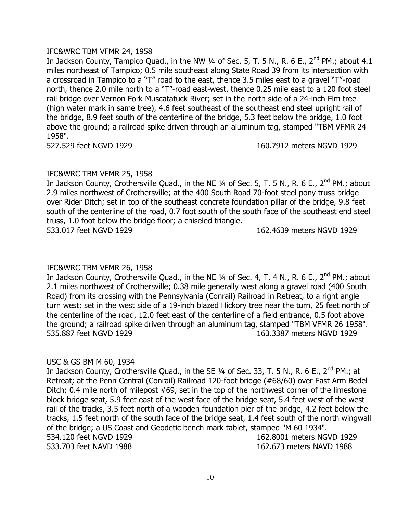### IFC&WRC TBM VFMR 24, 1958

In Jackson County, Tampico Quad., in the NW  $\frac{1}{4}$  of Sec. 5, T. 5 N., R. 6 E., 2<sup>nd</sup> PM.; about 4.1 miles northeast of Tampico; 0.5 mile southeast along State Road 39 from its intersection with a crossroad in Tampico to a "T" road to the east, thence 3.5 miles east to a gravel "T"-road north, thence 2.0 mile north to a "T"-road east-west, thence 0.25 mile east to a 120 foot steel rail bridge over Vernon Fork Muscatatuck River; set in the north side of a 24-inch Elm tree (high water mark in same tree), 4.6 feet southeast of the southeast end steel upright rail of the bridge, 8.9 feet south of the centerline of the bridge, 5.3 feet below the bridge, 1.0 foot above the ground; a railroad spike driven through an aluminum tag, stamped "TBM VFMR 24 1958".

527.529 feet NGVD 1929 160.7912 meters NGVD 1929

# IFC&WRC TBM VFMR 25, 1958

In Jackson County, Crothersville Quad., in the NE 1/4 of Sec. 5, T. 5 N., R. 6 E., 2<sup>nd</sup> PM.; about 2.9 miles northwest of Crothersville; at the 400 South Road 70-foot steel pony truss bridge over Rider Ditch; set in top of the southeast concrete foundation pillar of the bridge, 9.8 feet south of the centerline of the road, 0.7 foot south of the south face of the southeast end steel truss, 1.0 foot below the bridge floor; a chiseled triangle. 533.017 feet NGVD 1929 162.4639 meters NGVD 1929

# IFC&WRC TBM VFMR 26, 1958

In Jackson County, Crothersville Quad., in the NE  $\frac{1}{4}$  of Sec. 4, T. 4 N., R. 6 E., 2<sup>nd</sup> PM.; about 2.1 miles northwest of Crothersville; 0.38 mile generally west along a gravel road (400 South Road) from its crossing with the Pennsylvania (Conrail) Railroad in Retreat, to a right angle turn west; set in the west side of a 19-inch blazed Hickory tree near the turn, 25 feet north of the centerline of the road, 12.0 feet east of the centerline of a field entrance, 0.5 foot above the ground; a railroad spike driven through an aluminum tag, stamped "TBM VFMR 26 1958". 535.887 feet NGVD 1929 163.3387 meters NGVD 1929

# USC & GS BM M 60, 1934

In Jackson County, Crothersville Quad., in the SE  $\frac{1}{4}$  of Sec. 33, T. 5 N., R. 6 E., 2<sup>nd</sup> PM.; at Retreat; at the Penn Central (Conrail) Railroad 120-foot bridge (#68/60) over East Arm Bedel Ditch; 0.4 mile north of milepost #69, set in the top of the northwest corner of the limestone block bridge seat, 5.9 feet east of the west face of the bridge seat, 5.4 feet west of the west rail of the tracks, 3.5 feet north of a wooden foundation pier of the bridge, 4.2 feet below the tracks, 1.5 feet north of the south face of the bridge seat, 1.4 feet south of the north wingwall of the bridge; a US Coast and Geodetic bench mark tablet, stamped "M 60 1934". 534.120 feet NGVD 1929 162.8001 meters NGVD 1929 533.703 feet NAVD 1988 162.673 meters NAVD 1988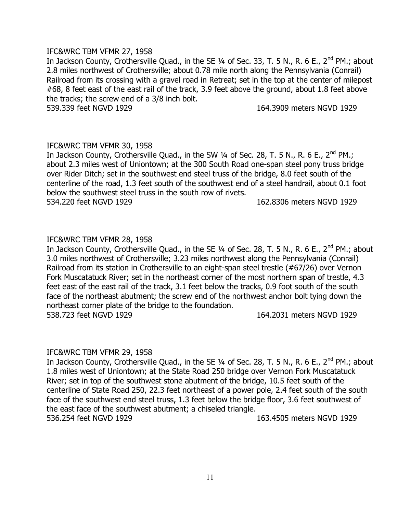#### IFC&WRC TBM VFMR 27, 1958

In Jackson County, Crothersville Ouad., in the SE 1/4 of Sec. 33, T, 5 N., R, 6 E., 2<sup>nd</sup> PM.; about 2.8 miles northwest of Crothersville; about 0.78 mile north along the Pennsylvania (Conrail) Railroad from its crossing with a gravel road in Retreat; set in the top at the center of milepost #68, 8 feet east of the east rail of the track, 3.9 feet above the ground, about 1.8 feet above the tracks; the screw end of a 3/8 inch bolt.

539.339 feet NGVD 1929 **164.3909 meters NGVD** 1929

# IFC&WRC TBM VFMR 30, 1958

In Jackson County, Crothersville Quad., in the SW  $\frac{1}{4}$  of Sec. 28, T. 5 N., R. 6 E., 2<sup>nd</sup> PM.; about 2.3 miles west of Uniontown; at the 300 South Road one-span steel pony truss bridge over Rider Ditch; set in the southwest end steel truss of the bridge, 8.0 feet south of the centerline of the road, 1.3 feet south of the southwest end of a steel handrail, about 0.1 foot below the southwest steel truss in the south row of rivets. 534.220 feet NGVD 1929 162.8306 meters NGVD 1929

# IFC&WRC TBM VFMR 28, 1958

In Jackson County, Crothersville Quad., in the SE 1/4 of Sec. 28, T. 5 N., R. 6 E., 2<sup>nd</sup> PM.; about 3.0 miles northwest of Crothersville; 3.23 miles northwest along the Pennsylvania (Conrail) Railroad from its station in Crothersville to an eight-span steel trestle (#67/26) over Vernon Fork Muscatatuck River; set in the northeast corner of the most northern span of trestle, 4.3 feet east of the east rail of the track, 3.1 feet below the tracks, 0.9 foot south of the south face of the northeast abutment; the screw end of the northwest anchor bolt tying down the northeast corner plate of the bridge to the foundation. 538.723 feet NGVD 1929 164.2031 meters NGVD 1929

# IFC&WRC TBM VFMR 29, 1958

In Jackson County, Crothersville Quad., in the SE 1/4 of Sec. 28, T. 5 N., R. 6 E., 2<sup>nd</sup> PM.; about 1.8 miles west of Uniontown; at the State Road 250 bridge over Vernon Fork Muscatatuck River; set in top of the southwest stone abutment of the bridge, 10.5 feet south of the centerline of State Road 250, 22.3 feet northeast of a power pole, 2.4 feet south of the south face of the southwest end steel truss, 1.3 feet below the bridge floor, 3.6 feet southwest of the east face of the southwest abutment; a chiseled triangle. 536.254 feet NGVD 1929 163.4505 meters NGVD 1929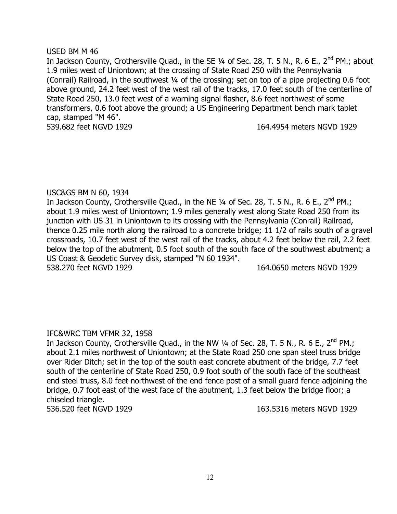### USED BM M 46

In Jackson County, Crothersville Quad., in the SE 1/4 of Sec. 28, T. 5 N., R. 6 E., 2<sup>nd</sup> PM.; about 1.9 miles west of Uniontown; at the crossing of State Road 250 with the Pennsylvania (Conrail) Railroad, in the southwest ¼ of the crossing; set on top of a pipe projecting 0.6 foot above ground, 24.2 feet west of the west rail of the tracks, 17.0 feet south of the centerline of State Road 250, 13.0 feet west of a warning signal flasher, 8.6 feet northwest of some transformers, 0.6 foot above the ground; a US Engineering Department bench mark tablet cap, stamped "M 46". 539.682 feet NGVD 1929 164.4954 meters NGVD 1929

# USC&GS BM N 60, 1934

In Jackson County, Crothersville Quad., in the NE  $\frac{1}{4}$  of Sec. 28, T. 5 N., R. 6 E., 2<sup>nd</sup> PM.; about 1.9 miles west of Uniontown; 1.9 miles generally west along State Road 250 from its junction with US 31 in Uniontown to its crossing with the Pennsylvania (Conrail) Railroad, thence 0.25 mile north along the railroad to a concrete bridge; 11 1/2 of rails south of a gravel crossroads, 10.7 feet west of the west rail of the tracks, about 4.2 feet below the rail, 2.2 feet below the top of the abutment, 0.5 foot south of the south face of the southwest abutment; a US Coast & Geodetic Survey disk, stamped "N 60 1934". 538.270 feet NGVD 1929 164.0650 meters NGVD 1929

# IFC&WRC TBM VFMR 32, 1958

In Jackson County, Crothersville Quad., in the NW 1/4 of Sec. 28, T. 5 N., R. 6 E., 2<sup>nd</sup> PM.; about 2.1 miles northwest of Uniontown; at the State Road 250 one span steel truss bridge over Rider Ditch; set in the top of the south east concrete abutment of the bridge, 7.7 feet south of the centerline of State Road 250, 0.9 foot south of the south face of the southeast end steel truss, 8.0 feet northwest of the end fence post of a small guard fence adjoining the bridge, 0.7 foot east of the west face of the abutment, 1.3 feet below the bridge floor; a chiseled triangle.

536.520 feet NGVD 1929 163.5316 meters NGVD 1929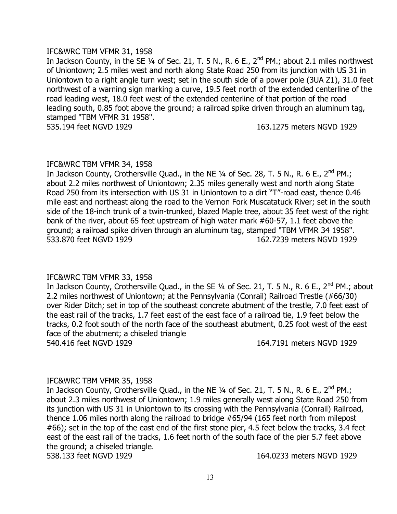#### IFC&WRC TBM VFMR 31, 1958

In Jackson County, in the SE 1/4 of Sec. 21, T. 5 N., R. 6 E., 2<sup>nd</sup> PM.; about 2.1 miles northwest of Uniontown; 2.5 miles west and north along State Road 250 from its junction with US 31 in Uniontown to a right angle turn west; set in the south side of a power pole (3UA Z1), 31.0 feet northwest of a warning sign marking a curve, 19.5 feet north of the extended centerline of the road leading west, 18.0 feet west of the extended centerline of that portion of the road leading south, 0.85 foot above the ground; a railroad spike driven through an aluminum tag, stamped "TBM VFMR 31 1958".

535.194 feet NGVD 1929 163.1275 meters NGVD 1929

#### IFC&WRC TBM VFMR 34, 1958

In Jackson County, Crothersville Quad., in the NE  $\frac{1}{4}$  of Sec. 28, T. 5 N., R. 6 E., 2<sup>nd</sup> PM.; about 2.2 miles northwest of Uniontown; 2.35 miles generally west and north along State Road 250 from its intersection with US 31 in Uniontown to a dirt "T"-road east, thence 0.46 mile east and northeast along the road to the Vernon Fork Muscatatuck River; set in the south side of the 18-inch trunk of a twin-trunked, blazed Maple tree, about 35 feet west of the right bank of the river, about 65 feet upstream of high water mark #60-57, 1.1 feet above the ground; a railroad spike driven through an aluminum tag, stamped "TBM VFMR 34 1958". 533.870 feet NGVD 1929 162.7239 meters NGVD 1929

# IFC&WRC TBM VFMR 33, 1958

In Jackson County, Crothersville Quad., in the SE 1/4 of Sec. 21, T. 5 N., R. 6 E., 2<sup>nd</sup> PM.; about 2.2 miles northwest of Uniontown; at the Pennsylvania (Conrail) Railroad Trestle (#66/30) over Rider Ditch; set in top of the southeast concrete abutment of the trestle, 7.0 feet east of the east rail of the tracks, 1.7 feet east of the east face of a railroad tie, 1.9 feet below the tracks, 0.2 foot south of the north face of the southeast abutment, 0.25 foot west of the east face of the abutment; a chiseled triangle 540.416 feet NGVD 1929 164.7191 meters NGVD 1929

# IFC&WRC TBM VFMR 35, 1958

In Jackson County, Crothersville Quad., in the NE  $\frac{1}{4}$  of Sec. 21, T. 5 N., R. 6 E., 2<sup>nd</sup> PM.; about 2.3 miles northwest of Uniontown; 1.9 miles generally west along State Road 250 from its junction with US 31 in Uniontown to its crossing with the Pennsylvania (Conrail) Railroad, thence 1.06 miles north along the railroad to bridge #65/94 (165 feet north from milepost #66); set in the top of the east end of the first stone pier, 4.5 feet below the tracks, 3.4 feet east of the east rail of the tracks, 1.6 feet north of the south face of the pier 5.7 feet above the ground; a chiseled triangle.

538.133 feet NGVD 1929 164.0233 meters NGVD 1929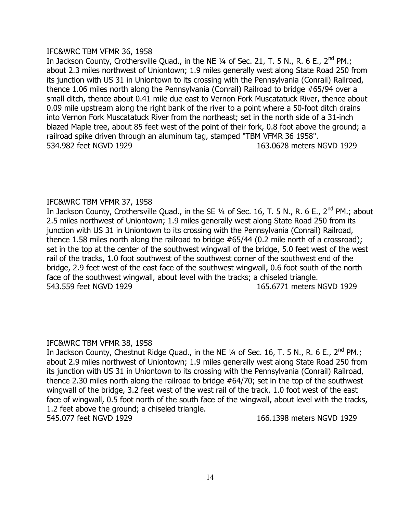# IFC&WRC TBM VFMR 36, 1958

In Jackson County, Crothersville Quad., in the NE 1/4 of Sec. 21, T. 5 N., R. 6 E., 2<sup>nd</sup> PM.; about 2.3 miles northwest of Uniontown; 1.9 miles generally west along State Road 250 from its junction with US 31 in Uniontown to its crossing with the Pennsylvania (Conrail) Railroad, thence 1.06 miles north along the Pennsylvania (Conrail) Railroad to bridge #65/94 over a small ditch, thence about 0.41 mile due east to Vernon Fork Muscatatuck River, thence about 0.09 mile upstream along the right bank of the river to a point where a 50-foot ditch drains into Vernon Fork Muscatatuck River from the northeast; set in the north side of a 31-inch blazed Maple tree, about 85 feet west of the point of their fork, 0.8 foot above the ground; a railroad spike driven through an aluminum tag, stamped "TBM VFMR 36 1958". 534.982 feet NGVD 1929 163.0628 meters NGVD 1929

# IFC&WRC TBM VFMR 37, 1958

In Jackson County, Crothersville Quad., in the SE 1/4 of Sec. 16, T. 5 N., R. 6 E., 2<sup>nd</sup> PM.; about 2.5 miles northwest of Uniontown; 1.9 miles generally west along State Road 250 from its junction with US 31 in Uniontown to its crossing with the Pennsylvania (Conrail) Railroad, thence 1.58 miles north along the railroad to bridge #65/44 (0.2 mile north of a crossroad); set in the top at the center of the southwest wingwall of the bridge, 5.0 feet west of the west rail of the tracks, 1.0 foot southwest of the southwest corner of the southwest end of the bridge, 2.9 feet west of the east face of the southwest wingwall, 0.6 foot south of the north face of the southwest wingwall, about level with the tracks; a chiseled triangle. 543.559 feet NGVD 1929 **165.6771** meters NGVD 1929

# IFC&WRC TBM VFMR 38, 1958

In Jackson County, Chestnut Ridge Quad., in the NE  $\frac{1}{4}$  of Sec. 16, T. 5 N., R. 6 E., 2<sup>nd</sup> PM.; about 2.9 miles northwest of Uniontown; 1.9 miles generally west along State Road 250 from its junction with US 31 in Uniontown to its crossing with the Pennsylvania (Conrail) Railroad, thence 2.30 miles north along the railroad to bridge #64/70; set in the top of the southwest wingwall of the bridge, 3.2 feet west of the west rail of the track, 1.0 foot west of the east face of wingwall, 0.5 foot north of the south face of the wingwall, about level with the tracks, 1.2 feet above the ground; a chiseled triangle. 545.077 feet NGVD 1929 166.1398 meters NGVD 1929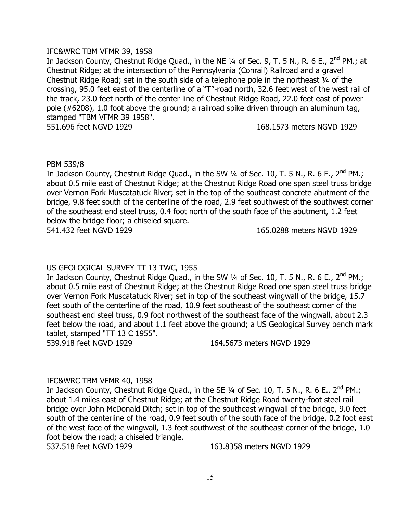### IFC&WRC TBM VFMR 39, 1958

In Jackson County, Chestnut Ridge Quad., in the NE 1/4 of Sec. 9, T. 5 N., R. 6 E., 2<sup>nd</sup> PM.; at Chestnut Ridge; at the intersection of the Pennsylvania (Conrail) Railroad and a gravel Chestnut Ridge Road; set in the south side of a telephone pole in the northeast ¼ of the crossing, 95.0 feet east of the centerline of a "T"-road north, 32.6 feet west of the west rail of the track, 23.0 feet north of the center line of Chestnut Ridge Road, 22.0 feet east of power pole (#6208), 1.0 foot above the ground; a railroad spike driven through an aluminum tag, stamped "TBM VFMR 39 1958".

551.696 feet NGVD 1929 168.1573 meters NGVD 1929

#### PBM 539/8

In Jackson County, Chestnut Ridge Quad., in the SW  $\frac{1}{4}$  of Sec. 10, T. 5 N., R. 6 E., 2<sup>nd</sup> PM.; about 0.5 mile east of Chestnut Ridge; at the Chestnut Ridge Road one span steel truss bridge over Vernon Fork Muscatatuck River; set in the top of the southeast concrete abutment of the bridge, 9.8 feet south of the centerline of the road, 2.9 feet southwest of the southwest corner of the southeast end steel truss, 0.4 foot north of the south face of the abutment, 1.2 feet below the bridge floor; a chiseled square. 541.432 feet NGVD 1929 165.0288 meters NGVD 1929

# US GEOLOGICAL SURVEY TT 13 TWC, 1955

In Jackson County, Chestnut Ridge Quad., in the SW 1/4 of Sec. 10, T. 5 N., R. 6 E., 2<sup>nd</sup> PM.; about 0.5 mile east of Chestnut Ridge; at the Chestnut Ridge Road one span steel truss bridge over Vernon Fork Muscatatuck River; set in top of the southeast wingwall of the bridge, 15.7 feet south of the centerline of the road, 10.9 feet southeast of the southeast corner of the southeast end steel truss, 0.9 foot northwest of the southeast face of the wingwall, about 2.3 feet below the road, and about 1.1 feet above the ground; a US Geological Survey bench mark tablet, stamped "TT 13 C 1955".

539.918 feet NGVD 1929 164.5673 meters NGVD 1929

# IFC&WRC TBM VFMR 40, 1958

In Jackson County, Chestnut Ridge Quad., in the SE 1/4 of Sec. 10, T. 5 N., R. 6 E., 2<sup>nd</sup> PM.; about 1.4 miles east of Chestnut Ridge; at the Chestnut Ridge Road twenty-foot steel rail bridge over John McDonald Ditch; set in top of the southeast wingwall of the bridge, 9.0 feet south of the centerline of the road, 0.9 feet south of the south face of the bridge, 0.2 foot east of the west face of the wingwall, 1.3 feet southwest of the southeast corner of the bridge, 1.0 foot below the road; a chiseled triangle.

537.518 feet NGVD 1929 163.8358 meters NGVD 1929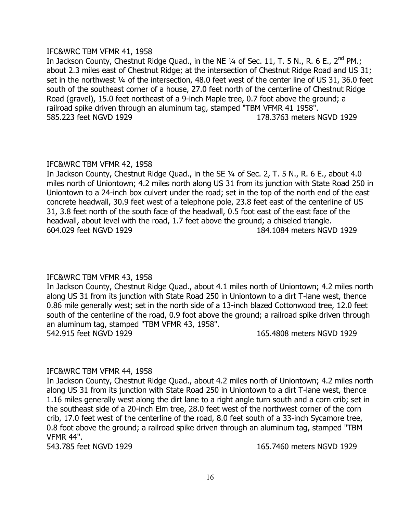### IFC&WRC TBM VFMR 41, 1958

In Jackson County, Chestnut Ridge Quad., in the NE 1/4 of Sec. 11, T. 5 N., R. 6 E., 2<sup>nd</sup> PM.; about 2.3 miles east of Chestnut Ridge; at the intersection of Chestnut Ridge Road and US 31; set in the northwest 1/4 of the intersection, 48.0 feet west of the center line of US 31, 36.0 feet south of the southeast corner of a house, 27.0 feet north of the centerline of Chestnut Ridge Road (gravel), 15.0 feet northeast of a 9-inch Maple tree, 0.7 foot above the ground; a railroad spike driven through an aluminum tag, stamped "TBM VFMR 41 1958". 585.223 feet NGVD 1929 178.3763 meters NGVD 1929

# IFC&WRC TBM VFMR 42, 1958

In Jackson County, Chestnut Ridge Quad., in the SE ¼ of Sec. 2, T. 5 N., R. 6 E., about 4.0 miles north of Uniontown; 4.2 miles north along US 31 from its junction with State Road 250 in Uniontown to a 24-inch box culvert under the road; set in the top of the north end of the east concrete headwall, 30.9 feet west of a telephone pole, 23.8 feet east of the centerline of US 31, 3.8 feet north of the south face of the headwall, 0.5 foot east of the east face of the headwall, about level with the road, 1.7 feet above the ground; a chiseled triangle. 604.029 feet NGVD 1929 184.1084 meters NGVD 1929

# IFC&WRC TBM VFMR 43, 1958

In Jackson County, Chestnut Ridge Quad., about 4.1 miles north of Uniontown; 4.2 miles north along US 31 from its junction with State Road 250 in Uniontown to a dirt T-lane west, thence 0.86 mile generally west; set in the north side of a 13-inch blazed Cottonwood tree, 12.0 feet south of the centerline of the road, 0.9 foot above the ground; a railroad spike driven through an aluminum tag, stamped "TBM VFMR 43, 1958". 542.915 feet NGVD 1929 165.4808 meters NGVD 1929

# IFC&WRC TBM VFMR 44, 1958

In Jackson County, Chestnut Ridge Quad., about 4.2 miles north of Uniontown; 4.2 miles north along US 31 from its junction with State Road 250 in Uniontown to a dirt T-lane west, thence 1.16 miles generally west along the dirt lane to a right angle turn south and a corn crib; set in the southeast side of a 20-inch Elm tree, 28.0 feet west of the northwest corner of the corn crib, 17.0 feet west of the centerline of the road, 8.0 feet south of a 33-inch Sycamore tree, 0.8 foot above the ground; a railroad spike driven through an aluminum tag, stamped "TBM VFMR 44".

543.785 feet NGVD 1929 165.7460 meters NGVD 1929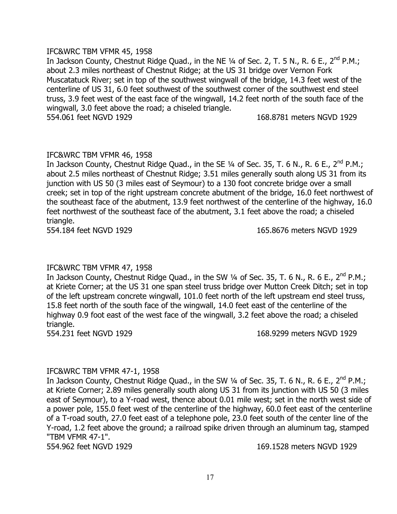### IFC&WRC TBM VFMR 45, 1958

In Jackson County, Chestnut Ridge Quad., in the NE 1/4 of Sec. 2, T. 5 N., R. 6 E., 2<sup>nd</sup> P.M.; about 2.3 miles northeast of Chestnut Ridge; at the US 31 bridge over Vernon Fork Muscatatuck River; set in top of the southwest wingwall of the bridge, 14.3 feet west of the centerline of US 31, 6.0 feet southwest of the southwest corner of the southwest end steel truss, 3.9 feet west of the east face of the wingwall, 14.2 feet north of the south face of the wingwall, 3.0 feet above the road; a chiseled triangle. 554.061 feet NGVD 1929 168.8781 meters NGVD 1929

# IFC&WRC TBM VFMR 46, 1958

In Jackson County, Chestnut Ridge Quad., in the SE 1/4 of Sec. 35, T. 6 N., R. 6 E., 2<sup>nd</sup> P.M.; about 2.5 miles northeast of Chestnut Ridge; 3.51 miles generally south along US 31 from its junction with US 50 (3 miles east of Seymour) to a 130 foot concrete bridge over a small creek; set in top of the right upstream concrete abutment of the bridge, 16.0 feet northwest of the southeast face of the abutment, 13.9 feet northwest of the centerline of the highway, 16.0 feet northwest of the southeast face of the abutment, 3.1 feet above the road; a chiseled triangle.

554.184 feet NGVD 1929 165.8676 meters NGVD 1929

# IFC&WRC TBM VFMR 47, 1958

In Jackson County, Chestnut Ridge Quad., in the SW 1/4 of Sec. 35, T. 6 N., R. 6 E., 2<sup>nd</sup> P.M.; at Kriete Corner; at the US 31 one span steel truss bridge over Mutton Creek Ditch; set in top of the left upstream concrete wingwall, 101.0 feet north of the left upstream end steel truss, 15.8 feet north of the south face of the wingwall, 14.0 feet east of the centerline of the highway 0.9 foot east of the west face of the wingwall, 3.2 feet above the road; a chiseled triangle.

554.231 feet NGVD 1929 168.9299 meters NGVD 1929

# IFC&WRC TBM VFMR 47-1, 1958

In Jackson County, Chestnut Ridge Quad., in the SW 1/4 of Sec. 35, T. 6 N., R. 6 E., 2<sup>nd</sup> P.M.; at Kriete Corner; 2.89 miles generally south along US 31 from its junction with US 50 (3 miles east of Seymour), to a Y-road west, thence about 0.01 mile west; set in the north west side of a power pole, 155.0 feet west of the centerline of the highway, 60.0 feet east of the centerline of a T-road south, 27.0 feet east of a telephone pole, 23.0 feet south of the center line of the Y-road, 1.2 feet above the ground; a railroad spike driven through an aluminum tag, stamped "TBM VFMR 47-1".

554.962 feet NGVD 1929 169.1528 meters NGVD 1929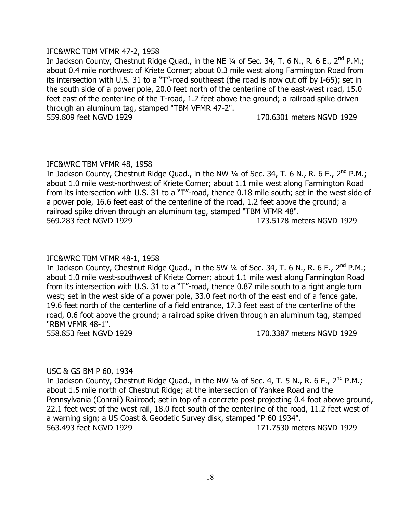### IFC&WRC TBM VFMR 47-2, 1958

In Jackson County, Chestnut Ridge Quad., in the NE 1/4 of Sec. 34, T. 6 N., R. 6 E., 2<sup>nd</sup> P.M.; about 0.4 mile northwest of Kriete Corner; about 0.3 mile west along Farmington Road from its intersection with U.S. 31 to a "T"-road southeast (the road is now cut off by I-65); set in the south side of a power pole, 20.0 feet north of the centerline of the east-west road, 15.0 feet east of the centerline of the T-road, 1.2 feet above the ground; a railroad spike driven through an aluminum tag, stamped "TBM VFMR 47-2". 559.809 feet NGVD 1929 170.6301 meters NGVD 1929

#### IFC&WRC TBM VFMR 48, 1958

In Jackson County, Chestnut Ridge Quad., in the NW 1/4 of Sec. 34, T. 6 N., R. 6 E., 2<sup>nd</sup> P.M.; about 1.0 mile west-northwest of Kriete Corner; about 1.1 mile west along Farmington Road from its intersection with U.S. 31 to a "T"-road, thence 0.18 mile south; set in the west side of a power pole, 16.6 feet east of the centerline of the road, 1.2 feet above the ground; a railroad spike driven through an aluminum tag, stamped "TBM VFMR 48". 569.283 feet NGVD 1929 173.5178 meters NGVD 1929

# IFC&WRC TBM VFMR 48-1, 1958

In Jackson County, Chestnut Ridge Quad., in the SW 1/4 of Sec. 34, T. 6 N., R. 6 E., 2<sup>nd</sup> P.M.; about 1.0 mile west-southwest of Kriete Corner; about 1.1 mile west along Farmington Road from its intersection with U.S. 31 to a "T"-road, thence 0.87 mile south to a right angle turn west; set in the west side of a power pole, 33.0 feet north of the east end of a fence gate, 19.6 feet north of the centerline of a field entrance, 17.3 feet east of the centerline of the road, 0.6 foot above the ground; a railroad spike driven through an aluminum tag, stamped "RBM VFMR 48-1".

558.853 feet NGVD 1929 170.3387 meters NGVD 1929

# USC & GS BM P 60, 1934

In Jackson County, Chestnut Ridge Quad., in the NW 1/4 of Sec. 4, T. 5 N., R. 6 E., 2<sup>nd</sup> P.M.; about 1.5 mile north of Chestnut Ridge; at the intersection of Yankee Road and the Pennsylvania (Conrail) Railroad; set in top of a concrete post projecting 0.4 foot above ground, 22.1 feet west of the west rail, 18.0 feet south of the centerline of the road, 11.2 feet west of a warning sign; a US Coast & Geodetic Survey disk, stamped "P 60 1934". 563.493 feet NGVD 1929 171.7530 meters NGVD 1929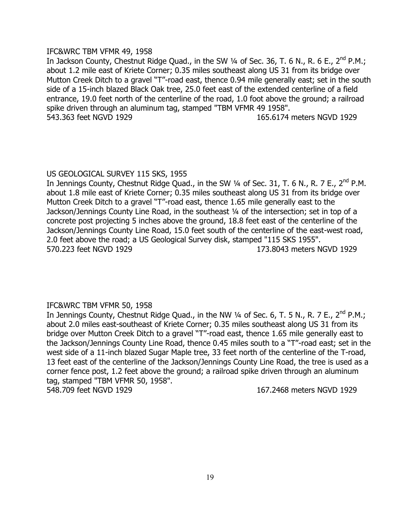### IFC&WRC TBM VFMR 49, 1958

In Jackson County, Chestnut Ridge Quad., in the SW 1/4 of Sec. 36, T. 6 N., R. 6 E., 2<sup>nd</sup> P.M.; about 1.2 mile east of Kriete Corner; 0.35 miles southeast along US 31 from its bridge over Mutton Creek Ditch to a gravel "T"-road east, thence 0.94 mile generally east; set in the south side of a 15-inch blazed Black Oak tree, 25.0 feet east of the extended centerline of a field entrance, 19.0 feet north of the centerline of the road, 1.0 foot above the ground; a railroad spike driven through an aluminum tag, stamped "TBM VFMR 49 1958". 543.363 feet NGVD 1929 165.6174 meters NGVD 1929

# US GEOLOGICAL SURVEY 115 SKS, 1955

In Jennings County, Chestnut Ridge Quad., in the SW ¼ of Sec. 31, T. 6 N., R. 7 E., 2<sup>nd</sup> P.M. about 1.8 mile east of Kriete Corner; 0.35 miles southeast along US 31 from its bridge over Mutton Creek Ditch to a gravel "T"-road east, thence 1.65 mile generally east to the Jackson/Jennings County Line Road, in the southeast ¼ of the intersection; set in top of a concrete post projecting 5 inches above the ground, 18.8 feet east of the centerline of the Jackson/Jennings County Line Road, 15.0 feet south of the centerline of the east-west road, 2.0 feet above the road; a US Geological Survey disk, stamped "115 SKS 1955". 570.223 feet NGVD 1929 173.8043 meters NGVD 1929

# IFC&WRC TBM VFMR 50, 1958

In Jennings County, Chestnut Ridge Quad., in the NW 1/4 of Sec. 6, T. 5 N., R. 7 E., 2<sup>nd</sup> P.M.; about 2.0 miles east-southeast of Kriete Corner; 0.35 miles southeast along US 31 from its bridge over Mutton Creek Ditch to a gravel "T"-road east, thence 1.65 mile generally east to the Jackson/Jennings County Line Road, thence 0.45 miles south to a "T"-road east; set in the west side of a 11-inch blazed Sugar Maple tree, 33 feet north of the centerline of the T-road, 13 feet east of the centerline of the Jackson/Jennings County Line Road, the tree is used as a corner fence post, 1.2 feet above the ground; a railroad spike driven through an aluminum tag, stamped "TBM VFMR 50, 1958". 548.709 feet NGVD 1929 167.2468 meters NGVD 1929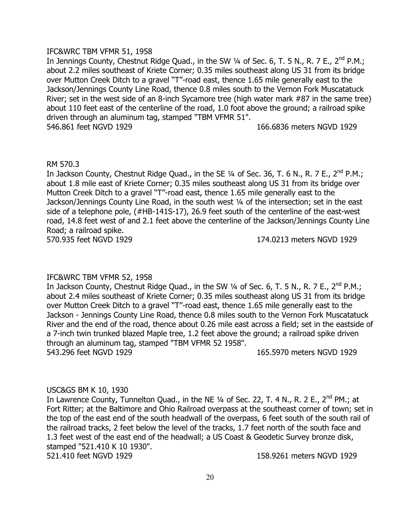### IFC&WRC TBM VFMR 51, 1958

In Jennings County, Chestnut Ridge Quad., in the SW 1/4 of Sec. 6, T. 5 N., R. 7 E., 2<sup>nd</sup> P.M.; about 2.2 miles southeast of Kriete Corner; 0.35 miles southeast along US 31 from its bridge over Mutton Creek Ditch to a gravel "T"-road east, thence 1.65 mile generally east to the Jackson/Jennings County Line Road, thence 0.8 miles south to the Vernon Fork Muscatatuck River; set in the west side of an 8-inch Sycamore tree (high water mark #87 in the same tree) about 110 feet east of the centerline of the road, 1.0 foot above the ground; a railroad spike driven through an aluminum tag, stamped "TBM VFMR 51". 546.861 feet NGVD 1929 166.6836 meters NGVD 1929

#### RM 570.3

In Jackson County, Chestnut Ridge Quad., in the SE 1/4 of Sec. 36, T. 6 N., R. 7 E., 2<sup>nd</sup> P.M.; about 1.8 mile east of Kriete Corner; 0.35 miles southeast along US 31 from its bridge over Mutton Creek Ditch to a gravel "T"-road east, thence 1.65 mile generally east to the Jackson/Jennings County Line Road, in the south west 1/4 of the intersection; set in the east side of a telephone pole, (#HB-141S-17), 26.9 feet south of the centerline of the east-west road, 14.8 feet west of and 2.1 feet above the centerline of the Jackson/Jennings County Line Road; a railroad spike. 570.935 feet NGVD 1929 174.0213 meters NGVD 1929

# IFC&WRC TBM VFMR 52, 1958

In Jackson County, Chestnut Ridge Quad., in the SW  $\frac{1}{4}$  of Sec. 6, T. 5 N., R. 7 E., 2<sup>nd</sup> P.M.; about 2.4 miles southeast of Kriete Corner; 0.35 miles southeast along US 31 from its bridge over Mutton Creek Ditch to a gravel "T"-road east, thence 1.65 mile generally east to the Jackson - Jennings County Line Road, thence 0.8 miles south to the Vernon Fork Muscatatuck River and the end of the road, thence about 0.26 mile east across a field; set in the eastside of a 7-inch twin trunked blazed Maple tree, 1.2 feet above the ground; a railroad spike driven through an aluminum tag, stamped "TBM VFMR 52 1958". 543.296 feet NGVD 1929 165.5970 meters NGVD 1929

# USC&GS BM K 10, 1930

In Lawrence County, Tunnelton Quad., in the NE  $\frac{1}{4}$  of Sec. 22, T. 4 N., R. 2 E., 2<sup>nd</sup> PM.; at Fort Ritter; at the Baltimore and Ohio Railroad overpass at the southeast corner of town; set in the top of the east end of the south headwall of the overpass, 6 feet south of the south rail of the railroad tracks, 2 feet below the level of the tracks, 1.7 feet north of the south face and 1.3 feet west of the east end of the headwall; a US Coast & Geodetic Survey bronze disk, stamped "521.410 K 10 1930". 521.410 feet NGVD 1929 158.9261 meters NGVD 1929

20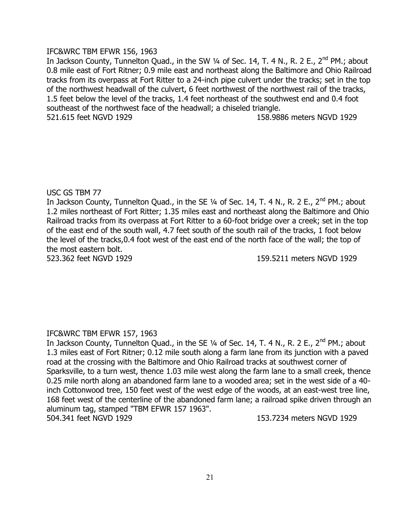# IFC&WRC TBM EFWR 156, 1963

In Jackson County, Tunnelton Quad., in the SW 1/4 of Sec. 14, T. 4 N., R. 2 E., 2<sup>nd</sup> PM.; about 0.8 mile east of Fort Ritner; 0.9 mile east and northeast along the Baltimore and Ohio Railroad tracks from its overpass at Fort Ritter to a 24-inch pipe culvert under the tracks; set in the top of the northwest headwall of the culvert, 6 feet northwest of the northwest rail of the tracks, 1.5 feet below the level of the tracks, 1.4 feet northeast of the southwest end and 0.4 foot southeast of the northwest face of the headwall; a chiseled triangle. 521.615 feet NGVD 1929 158.9886 meters NGVD 1929

# USC GS TBM 77

In Jackson County, Tunnelton Quad., in the SE 1/4 of Sec. 14, T. 4 N., R. 2 E., 2<sup>nd</sup> PM.; about 1.2 miles northeast of Fort Ritter; 1.35 miles east and northeast along the Baltimore and Ohio Railroad tracks from its overpass at Fort Ritter to a 60-foot bridge over a creek; set in the top of the east end of the south wall, 4.7 feet south of the south rail of the tracks, 1 foot below the level of the tracks,0.4 foot west of the east end of the north face of the wall; the top of the most eastern bolt.

523.362 feet NGVD 1929 159.5211 meters NGVD 1929

# IFC&WRC TBM EFWR 157, 1963

In Jackson County, Tunnelton Quad., in the SE 1/4 of Sec. 14, T. 4 N., R. 2 E., 2<sup>nd</sup> PM.; about 1.3 miles east of Fort Ritner; 0.12 mile south along a farm lane from its junction with a paved road at the crossing with the Baltimore and Ohio Railroad tracks at southwest corner of Sparksville, to a turn west, thence 1.03 mile west along the farm lane to a small creek, thence 0.25 mile north along an abandoned farm lane to a wooded area; set in the west side of a 40 inch Cottonwood tree, 150 feet west of the west edge of the woods, at an east-west tree line, 168 feet west of the centerline of the abandoned farm lane; a railroad spike driven through an aluminum tag, stamped "TBM EFWR 157 1963". 504.341 feet NGVD 1929 153.7234 meters NGVD 1929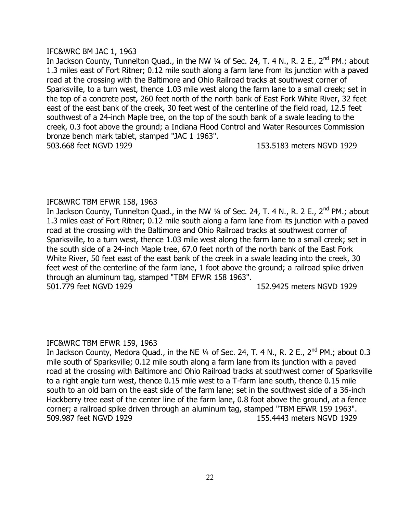### IFC&WRC BM JAC 1, 1963

In Jackson County, Tunnelton Quad., in the NW  $\frac{1}{4}$  of Sec. 24, T. 4 N., R. 2 E., 2<sup>nd</sup> PM.; about 1.3 miles east of Fort Ritner; 0.12 mile south along a farm lane from its junction with a paved road at the crossing with the Baltimore and Ohio Railroad tracks at southwest corner of Sparksville, to a turn west, thence 1.03 mile west along the farm lane to a small creek; set in the top of a concrete post, 260 feet north of the north bank of East Fork White River, 32 feet east of the east bank of the creek, 30 feet west of the centerline of the field road, 12.5 feet southwest of a 24-inch Maple tree, on the top of the south bank of a swale leading to the creek, 0.3 foot above the ground; a Indiana Flood Control and Water Resources Commission bronze bench mark tablet, stamped "JAC 1 1963". 503.668 feet NGVD 1929 153.5183 meters NGVD 1929

#### IFC&WRC TBM EFWR 158, 1963

In Jackson County, Tunnelton Quad., in the NW  $\frac{1}{4}$  of Sec. 24, T. 4 N., R. 2 E., 2<sup>nd</sup> PM.; about 1.3 miles east of Fort Ritner; 0.12 mile south along a farm lane from its junction with a paved road at the crossing with the Baltimore and Ohio Railroad tracks at southwest corner of Sparksville, to a turn west, thence 1.03 mile west along the farm lane to a small creek; set in the south side of a 24-inch Maple tree, 67.0 feet north of the north bank of the East Fork White River, 50 feet east of the east bank of the creek in a swale leading into the creek, 30 feet west of the centerline of the farm lane, 1 foot above the ground; a railroad spike driven through an aluminum tag, stamped "TBM EFWR 158 1963". 501.779 feet NGVD 1929 152.9425 meters NGVD 1929

#### IFC&WRC TBM EFWR 159, 1963

In Jackson County, Medora Quad., in the NE  $\frac{1}{4}$  of Sec. 24, T. 4 N., R. 2 E., 2<sup>nd</sup> PM.; about 0.3 mile south of Sparksville; 0.12 mile south along a farm lane from its junction with a paved road at the crossing with Baltimore and Ohio Railroad tracks at southwest corner of Sparksville to a right angle turn west, thence 0.15 mile west to a T-farm lane south, thence 0.15 mile south to an old barn on the east side of the farm lane; set in the southwest side of a 36-inch Hackberry tree east of the center line of the farm lane, 0.8 foot above the ground, at a fence corner; a railroad spike driven through an aluminum tag, stamped "TBM EFWR 159 1963". 509.987 feet NGVD 1929 155.4443 meters NGVD 1929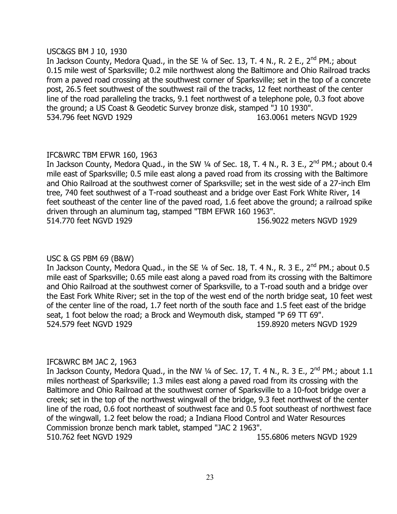#### USC&GS BM J 10, 1930

In Jackson County, Medora Quad., in the SE 1/4 of Sec. 13, T. 4 N., R. 2 E., 2<sup>nd</sup> PM.; about 0.15 mile west of Sparksville; 0.2 mile northwest along the Baltimore and Ohio Railroad tracks from a paved road crossing at the southwest corner of Sparksville; set in the top of a concrete post, 26.5 feet southwest of the southwest rail of the tracks, 12 feet northeast of the center line of the road paralleling the tracks, 9.1 feet northwest of a telephone pole, 0.3 foot above the ground; a US Coast & Geodetic Survey bronze disk, stamped "J 10 1930". 534.796 feet NGVD 1929 163.0061 meters NGVD 1929

# IFC&WRC TBM EFWR 160, 1963

In Jackson County, Medora Quad., in the SW  $\frac{1}{4}$  of Sec. 18, T. 4 N., R. 3 E., 2<sup>nd</sup> PM.; about 0.4 mile east of Sparksville; 0.5 mile east along a paved road from its crossing with the Baltimore and Ohio Railroad at the southwest corner of Sparksville; set in the west side of a 27-inch Elm tree, 740 feet southwest of a T-road southeast and a bridge over East Fork White River, 14 feet southeast of the center line of the paved road, 1.6 feet above the ground; a railroad spike driven through an aluminum tag, stamped "TBM EFWR 160 1963". 514.770 feet NGVD 1929 156.9022 meters NGVD 1929

# USC & GS PBM 69 (B&W)

In Jackson County, Medora Quad., in the SE 1/4 of Sec. 18, T. 4 N., R. 3 E., 2<sup>nd</sup> PM.; about 0.5 mile east of Sparksville; 0.65 mile east along a paved road from its crossing with the Baltimore and Ohio Railroad at the southwest corner of Sparksville, to a T-road south and a bridge over the East Fork White River; set in the top of the west end of the north bridge seat, 10 feet west of the center line of the road, 1.7 feet north of the south face and 1.5 feet east of the bridge seat, 1 foot below the road; a Brock and Weymouth disk, stamped "P 69 TT 69". 524.579 feet NGVD 1929 159.8920 meters NGVD 1929

# IFC&WRC BM JAC 2, 1963

In Jackson County, Medora Quad., in the NW  $\frac{1}{4}$  of Sec. 17, T. 4 N., R. 3 E., 2<sup>nd</sup> PM.; about 1.1 miles northeast of Sparksville; 1.3 miles east along a paved road from its crossing with the Baltimore and Ohio Railroad at the southwest corner of Sparksville to a 10-foot bridge over a creek; set in the top of the northwest wingwall of the bridge, 9.3 feet northwest of the center line of the road, 0.6 foot northeast of southwest face and 0.5 foot southeast of northwest face of the wingwall, 1.2 feet below the road; a Indiana Flood Control and Water Resources Commission bronze bench mark tablet, stamped "JAC 2 1963". 510.762 feet NGVD 1929 155.6806 meters NGVD 1929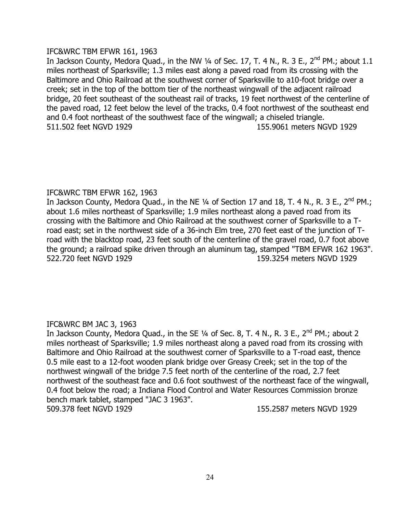# IFC&WRC TBM EFWR 161, 1963

In Jackson County, Medora Quad., in the NW  $\frac{1}{4}$  of Sec. 17, T. 4 N., R. 3 E., 2<sup>nd</sup> PM.; about 1.1 miles northeast of Sparksville; 1.3 miles east along a paved road from its crossing with the Baltimore and Ohio Railroad at the southwest corner of Sparksville to a10-foot bridge over a creek; set in the top of the bottom tier of the northeast wingwall of the adjacent railroad bridge, 20 feet southeast of the southeast rail of tracks, 19 feet northwest of the centerline of the paved road, 12 feet below the level of the tracks, 0.4 foot northwest of the southeast end and 0.4 foot northeast of the southwest face of the wingwall; a chiseled triangle. 511.502 feet NGVD 1929 155.9061 meters NGVD 1929

# IFC&WRC TBM EFWR 162, 1963

In Jackson County, Medora Quad., in the NE 1/4 of Section 17 and 18, T. 4 N., R. 3 E., 2<sup>nd</sup> PM.; about 1.6 miles northeast of Sparksville; 1.9 miles northeast along a paved road from its crossing with the Baltimore and Ohio Railroad at the southwest corner of Sparksville to a Troad east; set in the northwest side of a 36-inch Elm tree, 270 feet east of the junction of Troad with the blacktop road, 23 feet south of the centerline of the gravel road, 0.7 foot above the ground; a railroad spike driven through an aluminum tag, stamped "TBM EFWR 162 1963". 522.720 feet NGVD 1929 159.3254 meters NGVD 1929

# IFC&WRC BM JAC 3, 1963

In Jackson County, Medora Quad., in the SE 1/4 of Sec. 8, T. 4 N., R. 3 E., 2<sup>nd</sup> PM.; about 2 miles northeast of Sparksville; 1.9 miles northeast along a paved road from its crossing with Baltimore and Ohio Railroad at the southwest corner of Sparksville to a T-road east, thence 0.5 mile east to a 12-foot wooden plank bridge over Greasy Creek; set in the top of the northwest wingwall of the bridge 7.5 feet north of the centerline of the road, 2.7 feet northwest of the southeast face and 0.6 foot southwest of the northeast face of the wingwall, 0.4 foot below the road; a Indiana Flood Control and Water Resources Commission bronze bench mark tablet, stamped "JAC 3 1963". 509.378 feet NGVD 1929 155.2587 meters NGVD 1929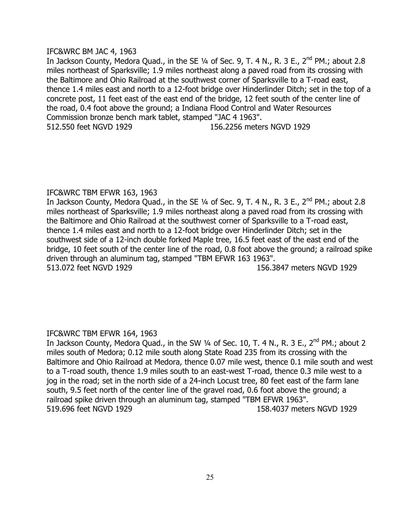### IFC&WRC BM JAC 4, 1963

In Jackson County, Medora Quad., in the SE  $\frac{1}{4}$  of Sec. 9, T. 4 N., R. 3 E., 2<sup>nd</sup> PM.; about 2.8 miles northeast of Sparksville; 1.9 miles northeast along a paved road from its crossing with the Baltimore and Ohio Railroad at the southwest corner of Sparksville to a T-road east, thence 1.4 miles east and north to a 12-foot bridge over Hinderlinder Ditch; set in the top of a concrete post, 11 feet east of the east end of the bridge, 12 feet south of the center line of the road, 0.4 foot above the ground; a Indiana Flood Control and Water Resources Commission bronze bench mark tablet, stamped "JAC 4 1963". 512.550 feet NGVD 1929 156.2256 meters NGVD 1929

# IFC&WRC TBM EFWR 163, 1963

In Jackson County, Medora Quad., in the SE  $\frac{1}{4}$  of Sec. 9, T. 4 N., R. 3 E., 2<sup>nd</sup> PM.; about 2.8 miles northeast of Sparksville; 1.9 miles northeast along a paved road from its crossing with the Baltimore and Ohio Railroad at the southwest corner of Sparksville to a T-road east, thence 1.4 miles east and north to a 12-foot bridge over Hinderlinder Ditch; set in the southwest side of a 12-inch double forked Maple tree, 16.5 feet east of the east end of the bridge, 10 feet south of the center line of the road, 0.8 foot above the ground; a railroad spike driven through an aluminum tag, stamped "TBM EFWR 163 1963". 513.072 feet NGVD 1929 156.3847 meters NGVD 1929

# IFC&WRC TBM EFWR 164, 1963

In Jackson County, Medora Quad., in the SW 1/4 of Sec. 10, T. 4 N., R. 3 E., 2<sup>nd</sup> PM.; about 2 miles south of Medora; 0.12 mile south along State Road 235 from its crossing with the Baltimore and Ohio Railroad at Medora, thence 0.07 mile west, thence 0.1 mile south and west to a T-road south, thence 1.9 miles south to an east-west T-road, thence 0.3 mile west to a jog in the road; set in the north side of a 24-inch Locust tree, 80 feet east of the farm lane south, 9.5 feet north of the center line of the gravel road, 0.6 foot above the ground; a railroad spike driven through an aluminum tag, stamped "TBM EFWR 1963". 519.696 feet NGVD 1929 158.4037 meters NGVD 1929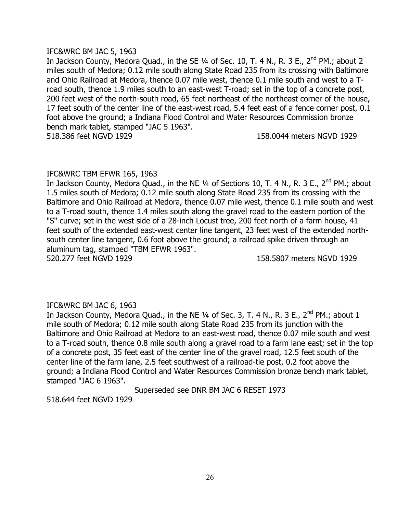### IFC&WRC BM JAC 5, 1963

In Jackson County, Medora Quad., in the SE 1/4 of Sec. 10, T. 4 N., R. 3 E., 2<sup>nd</sup> PM.; about 2 miles south of Medora; 0.12 mile south along State Road 235 from its crossing with Baltimore and Ohio Railroad at Medora, thence 0.07 mile west, thence 0.1 mile south and west to a Troad south, thence 1.9 miles south to an east-west T-road; set in the top of a concrete post, 200 feet west of the north-south road, 65 feet northeast of the northeast corner of the house, 17 feet south of the center line of the east-west road, 5.4 feet east of a fence corner post, 0.1 foot above the ground; a Indiana Flood Control and Water Resources Commission bronze bench mark tablet, stamped "JAC 5 1963". 518.386 feet NGVD 1929 158.0044 meters NGVD 1929

# IFC&WRC TBM EFWR 165, 1963

In Jackson County, Medora Quad., in the NE 1/4 of Sections 10, T. 4 N., R. 3 E., 2<sup>nd</sup> PM.; about 1.5 miles south of Medora; 0.12 mile south along State Road 235 from its crossing with the Baltimore and Ohio Railroad at Medora, thence 0.07 mile west, thence 0.1 mile south and west to a T-road south, thence 1.4 miles south along the gravel road to the eastern portion of the "S" curve; set in the west side of a 28-inch Locust tree, 200 feet north of a farm house, 41 feet south of the extended east-west center line tangent, 23 feet west of the extended northsouth center line tangent, 0.6 foot above the ground; a railroad spike driven through an aluminum tag, stamped "TBM EFWR 1963".

520.277 feet NGVD 1929 158.5807 meters NGVD 1929

# IFC&WRC BM JAC 6, 1963

In Jackson County, Medora Quad., in the NE  $\frac{1}{4}$  of Sec. 3, T. 4 N., R. 3 E., 2<sup>nd</sup> PM.; about 1 mile south of Medora; 0.12 mile south along State Road 235 from its junction with the Baltimore and Ohio Railroad at Medora to an east-west road, thence 0.07 mile south and west to a T-road south, thence 0.8 mile south along a gravel road to a farm lane east; set in the top of a concrete post, 35 feet east of the center line of the gravel road, 12.5 feet south of the center line of the farm lane, 2.5 feet southwest of a railroad-tie post, 0.2 foot above the ground; a Indiana Flood Control and Water Resources Commission bronze bench mark tablet, stamped "JAC 6 1963".

Superseded see DNR BM JAC 6 RESET 1973

518.644 feet NGVD 1929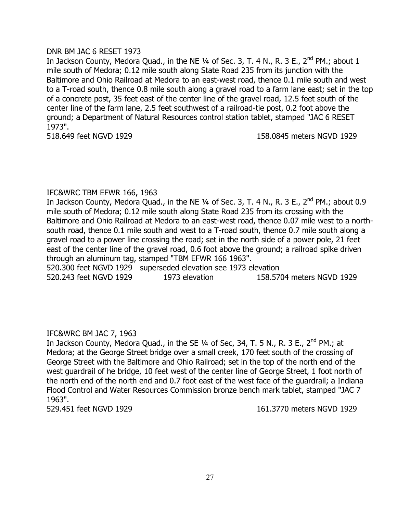### DNR BM JAC 6 RESET 1973

In Jackson County, Medora Quad., in the NE  $\frac{1}{4}$  of Sec. 3, T. 4 N., R. 3 E., 2<sup>nd</sup> PM.; about 1 mile south of Medora; 0.12 mile south along State Road 235 from its junction with the Baltimore and Ohio Railroad at Medora to an east-west road, thence 0.1 mile south and west to a T-road south, thence 0.8 mile south along a gravel road to a farm lane east; set in the top of a concrete post, 35 feet east of the center line of the gravel road, 12.5 feet south of the center line of the farm lane, 2.5 feet southwest of a railroad-tie post, 0.2 foot above the ground; a Department of Natural Resources control station tablet, stamped "JAC 6 RESET 1973".

518.649 feet NGVD 1929 158.0845 meters NGVD 1929

# IFC&WRC TBM EFWR 166, 1963

In Jackson County, Medora Quad., in the NE  $\frac{1}{4}$  of Sec. 3, T. 4 N., R. 3 E., 2<sup>nd</sup> PM.; about 0.9 mile south of Medora; 0.12 mile south along State Road 235 from its crossing with the Baltimore and Ohio Railroad at Medora to an east-west road, thence 0.07 mile west to a northsouth road, thence 0.1 mile south and west to a T-road south, thence 0.7 mile south along a gravel road to a power line crossing the road; set in the north side of a power pole, 21 feet east of the center line of the gravel road, 0.6 foot above the ground; a railroad spike driven through an aluminum tag, stamped "TBM EFWR 166 1963".

520.300 feet NGVD 1929 superseded elevation see 1973 elevation 520.243 feet NGVD 1929 1973 elevation 158.5704 meters NGVD 1929

# IFC&WRC BM JAC 7, 1963

In Jackson County, Medora Quad., in the SE  $\frac{1}{4}$  of Sec, 34, T. 5 N., R. 3 E., 2<sup>nd</sup> PM.; at Medora; at the George Street bridge over a small creek, 170 feet south of the crossing of George Street with the Baltimore and Ohio Railroad; set in the top of the north end of the west guardrail of he bridge, 10 feet west of the center line of George Street, 1 foot north of the north end of the north end and 0.7 foot east of the west face of the guardrail; a Indiana Flood Control and Water Resources Commission bronze bench mark tablet, stamped "JAC 7 1963".

529.451 feet NGVD 1929 161.3770 meters NGVD 1929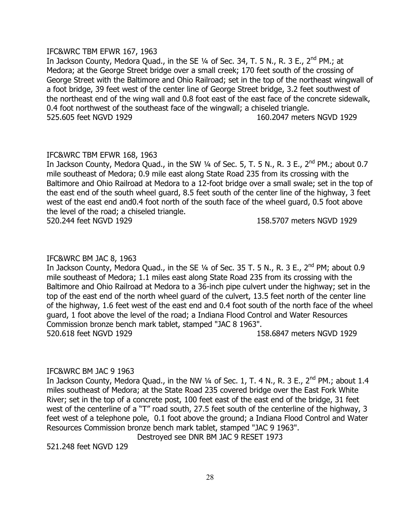### IFC&WRC TBM EFWR 167, 1963

In Jackson County, Medora Quad., in the SE 1/4 of Sec. 34, T. 5 N., R. 3 E., 2<sup>nd</sup> PM.; at Medora; at the George Street bridge over a small creek; 170 feet south of the crossing of George Street with the Baltimore and Ohio Railroad; set in the top of the northeast wingwall of a foot bridge, 39 feet west of the center line of George Street bridge, 3.2 feet southwest of the northeast end of the wing wall and 0.8 foot east of the east face of the concrete sidewalk, 0.4 foot northwest of the southeast face of the wingwall; a chiseled triangle. 525.605 feet NGVD 1929 160.2047 meters NGVD 1929

# IFC&WRC TBM EFWR 168, 1963

In Jackson County, Medora Quad., in the SW  $\frac{1}{4}$  of Sec. 5, T. 5 N., R. 3 E., 2<sup>nd</sup> PM.; about 0.7 mile southeast of Medora; 0.9 mile east along State Road 235 from its crossing with the Baltimore and Ohio Railroad at Medora to a 12-foot bridge over a small swale; set in the top of the east end of the south wheel guard, 8.5 feet south of the center line of the highway, 3 feet west of the east end and0.4 foot north of the south face of the wheel guard, 0.5 foot above the level of the road; a chiseled triangle.

520.244 feet NGVD 1929 158.5707 meters NGVD 1929

# IFC&WRC BM JAC 8, 1963

In Jackson County, Medora Quad., in the SE 1/4 of Sec. 35 T. 5 N., R. 3 E., 2<sup>nd</sup> PM; about 0.9 mile southeast of Medora; 1.1 miles east along State Road 235 from its crossing with the Baltimore and Ohio Railroad at Medora to a 36-inch pipe culvert under the highway; set in the top of the east end of the north wheel guard of the culvert, 13.5 feet north of the center line of the highway, 1.6 feet west of the east end and 0.4 foot south of the north face of the wheel guard, 1 foot above the level of the road; a Indiana Flood Control and Water Resources Commission bronze bench mark tablet, stamped "JAC 8 1963". 520.618 feet NGVD 1929 158.6847 meters NGVD 1929

# IFC&WRC BM JAC 9 1963

In Jackson County, Medora Quad., in the NW  $\frac{1}{4}$  of Sec. 1, T. 4 N., R. 3 E., 2<sup>nd</sup> PM.; about 1.4 miles southeast of Medora; at the State Road 235 covered bridge over the East Fork White River; set in the top of a concrete post, 100 feet east of the east end of the bridge, 31 feet west of the centerline of a "T" road south, 27.5 feet south of the centerline of the highway, 3 feet west of a telephone pole, 0.1 foot above the ground; a Indiana Flood Control and Water Resources Commission bronze bench mark tablet, stamped "JAC 9 1963".

Destroyed see DNR BM JAC 9 RESET 1973

521.248 feet NGVD 129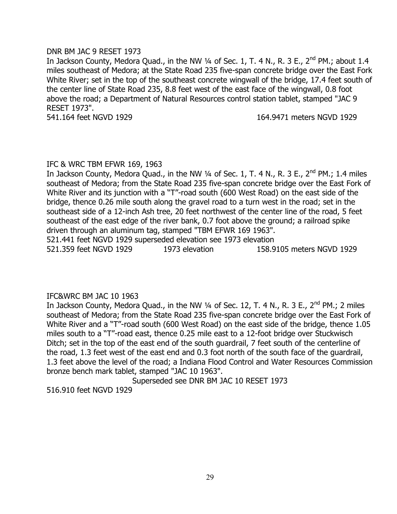### DNR BM JAC 9 RESET 1973

In Jackson County, Medora Quad., in the NW  $\frac{1}{4}$  of Sec. 1, T. 4 N., R. 3 E., 2<sup>nd</sup> PM.; about 1.4 miles southeast of Medora; at the State Road 235 five-span concrete bridge over the East Fork White River; set in the top of the southeast concrete wingwall of the bridge, 17.4 feet south of the center line of State Road 235, 8.8 feet west of the east face of the wingwall, 0.8 foot above the road; a Department of Natural Resources control station tablet, stamped "JAC 9 RESET 1973".

541.164 feet NGVD 1929 164.9471 meters NGVD 1929

#### IFC & WRC TBM EFWR 169, 1963

In Jackson County, Medora Quad., in the NW  $\frac{1}{4}$  of Sec. 1, T. 4 N., R. 3 E., 2<sup>nd</sup> PM.; 1.4 miles southeast of Medora; from the State Road 235 five-span concrete bridge over the East Fork of White River and its junction with a "T"-road south (600 West Road) on the east side of the bridge, thence 0.26 mile south along the gravel road to a turn west in the road; set in the southeast side of a 12-inch Ash tree, 20 feet northwest of the center line of the road, 5 feet southeast of the east edge of the river bank, 0.7 foot above the ground; a railroad spike driven through an aluminum tag, stamped "TBM EFWR 169 1963". 521.441 feet NGVD 1929 superseded elevation see 1973 elevation

521.359 feet NGVD 1929 1973 elevation 158.9105 meters NGVD 1929

# IFC&WRC BM JAC 10 1963

In Jackson County, Medora Quad., in the NW  $\frac{1}{4}$  of Sec. 12, T. 4 N., R. 3 E., 2<sup>nd</sup> PM.; 2 miles southeast of Medora; from the State Road 235 five-span concrete bridge over the East Fork of White River and a "T"-road south (600 West Road) on the east side of the bridge, thence 1.05 miles south to a "T"-road east, thence 0.25 mile east to a 12-foot bridge over Stuckwisch Ditch; set in the top of the east end of the south guardrail, 7 feet south of the centerline of the road, 1.3 feet west of the east end and 0.3 foot north of the south face of the guardrail, 1.3 feet above the level of the road; a Indiana Flood Control and Water Resources Commission bronze bench mark tablet, stamped "JAC 10 1963".

Superseded see DNR BM JAC 10 RESET 1973

516.910 feet NGVD 1929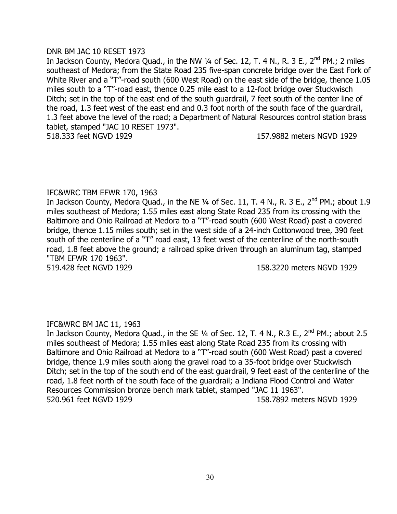#### DNR BM JAC 10 RESET 1973

In Jackson County, Medora Quad., in the NW  $\frac{1}{4}$  of Sec. 12, T. 4 N., R. 3 E., 2<sup>nd</sup> PM.; 2 miles southeast of Medora; from the State Road 235 five-span concrete bridge over the East Fork of White River and a "T"-road south (600 West Road) on the east side of the bridge, thence 1.05 miles south to a "T"-road east, thence 0.25 mile east to a 12-foot bridge over Stuckwisch Ditch; set in the top of the east end of the south guardrail, 7 feet south of the center line of the road, 1.3 feet west of the east end and 0.3 foot north of the south face of the guardrail, 1.3 feet above the level of the road; a Department of Natural Resources control station brass tablet, stamped "JAC 10 RESET 1973". 518.333 feet NGVD 1929 157.9882 meters NGVD 1929

# IFC&WRC TBM EFWR 170, 1963

In Jackson County, Medora Quad., in the NE 1/4 of Sec. 11, T. 4 N., R. 3 E., 2<sup>nd</sup> PM.; about 1.9 miles southeast of Medora; 1.55 miles east along State Road 235 from its crossing with the Baltimore and Ohio Railroad at Medora to a "T"-road south (600 West Road) past a covered bridge, thence 1.15 miles south; set in the west side of a 24-inch Cottonwood tree, 390 feet south of the centerline of a "T" road east, 13 feet west of the centerline of the north-south road, 1.8 feet above the ground; a railroad spike driven through an aluminum tag, stamped "TBM EFWR 170 1963".

519.428 feet NGVD 1929 158.3220 meters NGVD 1929

# IFC&WRC BM JAC 11, 1963

In Jackson County, Medora Quad., in the SE 1/4 of Sec. 12, T. 4 N., R.3 E., 2<sup>nd</sup> PM.; about 2.5 miles southeast of Medora; 1.55 miles east along State Road 235 from its crossing with Baltimore and Ohio Railroad at Medora to a "T"-road south (600 West Road) past a covered bridge, thence 1.9 miles south along the gravel road to a 35-foot bridge over Stuckwisch Ditch; set in the top of the south end of the east guardrail, 9 feet east of the centerline of the road, 1.8 feet north of the south face of the guardrail; a Indiana Flood Control and Water Resources Commission bronze bench mark tablet, stamped "JAC 11 1963". 520.961 feet NGVD 1929 158.7892 meters NGVD 1929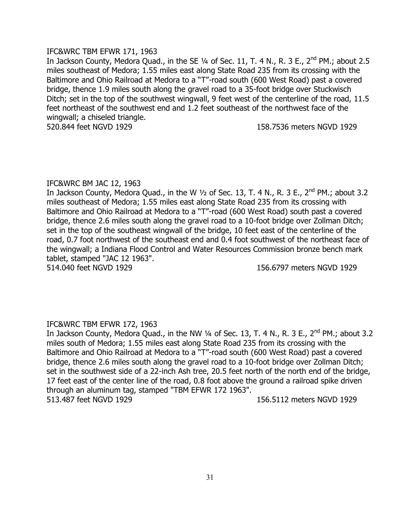# IFC&WRC TBM EFWR 171, 1963

In Jackson County, Medora Quad., in the SE 1/4 of Sec. 11, T. 4 N., R. 3 E., 2<sup>nd</sup> PM.; about 2.5 miles southeast of Medora; 1.55 miles east along State Road 235 from its crossing with the Baltimore and Ohio Railroad at Medora to a "T"-road south (600 West Road) past a covered bridge, thence 1.9 miles south along the gravel road to a 35-foot bridge over Stuckwisch Ditch; set in the top of the southwest wingwall, 9 feet west of the centerline of the road, 11.5 feet northeast of the southwest end and 1.2 feet southeast of the northwest face of the wingwall; a chiseled triangle. 520.844 feet NGVD 1929 158.7536 meters NGVD 1929

# IFC&WRC BM JAC 12, 1963

In Jackson County, Medora Quad., in the W  $1/2$  of Sec. 13, T. 4 N., R. 3 E., 2<sup>nd</sup> PM.; about 3.2 miles southeast of Medora; 1.55 miles east along State Road 235 from its crossing with Baltimore and Ohio Railroad at Medora to a "T"-road (600 West Road) south past a covered bridge, thence 2.6 miles south along the gravel road to a 10-foot bridge over Zollman Ditch; set in the top of the southeast wingwall of the bridge, 10 feet east of the centerline of the road, 0.7 foot northwest of the southeast end and 0.4 foot southwest of the northeast face of the wingwall; a Indiana Flood Control and Water Resources Commission bronze bench mark tablet, stamped "JAC 12 1963". 514.040 feet NGVD 1929 156.6797 meters NGVD 1929

# IFC&WRC TBM EFWR 172, 1963

In Jackson County, Medora Quad., in the NW 1/4 of Sec. 13, T. 4 N., R. 3 E., 2<sup>nd</sup> PM.; about 3.2 miles south of Medora; 1.55 miles east along State Road 235 from its crossing with the Baltimore and Ohio Railroad at Medora to a "T"-road south (600 West Road) past a covered bridge, thence 2.6 miles south along the gravel road to a 10-foot bridge over Zollman Ditch; set in the southwest side of a 22-inch Ash tree, 20.5 feet north of the north end of the bridge, 17 feet east of the center line of the road, 0.8 foot above the ground a railroad spike driven through an aluminum tag, stamped "TBM EFWR 172 1963". 513.487 feet NGVD 1929 156.5112 meters NGVD 1929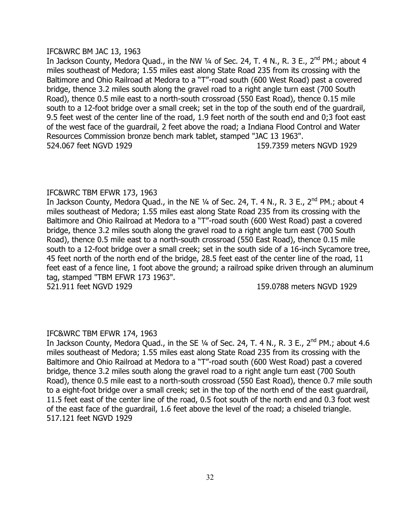# IFC&WRC BM JAC 13, 1963

In Jackson County, Medora Quad., in the NW 1/4 of Sec. 24, T. 4 N., R. 3 E., 2<sup>nd</sup> PM.; about 4 miles southeast of Medora; 1.55 miles east along State Road 235 from its crossing with the Baltimore and Ohio Railroad at Medora to a "T"-road south (600 West Road) past a covered bridge, thence 3.2 miles south along the gravel road to a right angle turn east (700 South Road), thence 0.5 mile east to a north-south crossroad (550 East Road), thence 0.15 mile south to a 12-foot bridge over a small creek; set in the top of the south end of the guardrail, 9.5 feet west of the center line of the road, 1.9 feet north of the south end and 0;3 foot east of the west face of the guardrail, 2 feet above the road; a Indiana Flood Control and Water Resources Commission bronze bench mark tablet, stamped "JAC 13 1963". 524.067 feet NGVD 1929 159.7359 meters NGVD 1929

# IFC&WRC TBM EFWR 173, 1963

In Jackson County, Medora Quad., in the NE 1/4 of Sec. 24, T. 4 N., R. 3 E., 2<sup>nd</sup> PM.; about 4 miles southeast of Medora; 1.55 miles east along State Road 235 from its crossing with the Baltimore and Ohio Railroad at Medora to a "T"-road south (600 West Road) past a covered bridge, thence 3.2 miles south along the gravel road to a right angle turn east (700 South Road), thence 0.5 mile east to a north-south crossroad (550 East Road), thence 0.15 mile south to a 12-foot bridge over a small creek; set in the south side of a 16-inch Sycamore tree, 45 feet north of the north end of the bridge, 28.5 feet east of the center line of the road, 11 feet east of a fence line, 1 foot above the ground; a railroad spike driven through an aluminum tag, stamped "TBM EFWR 173 1963".

521.911 feet NGVD 1929 159.0788 meters NGVD 1929

# IFC&WRC TBM EFWR 174, 1963

In Jackson County, Medora Quad., in the SE 1/4 of Sec. 24, T. 4 N., R. 3 E., 2<sup>nd</sup> PM.; about 4.6 miles southeast of Medora; 1.55 miles east along State Road 235 from its crossing with the Baltimore and Ohio Railroad at Medora to a "T"-road south (600 West Road) past a covered bridge, thence 3.2 miles south along the gravel road to a right angle turn east (700 South Road), thence 0.5 mile east to a north-south crossroad (550 East Road), thence 0.7 mile south to a eight-foot bridge over a small creek; set in the top of the north end of the east guardrail, 11.5 feet east of the center line of the road, 0.5 foot south of the north end and 0.3 foot west of the east face of the guardrail, 1.6 feet above the level of the road; a chiseled triangle. 517.121 feet NGVD 1929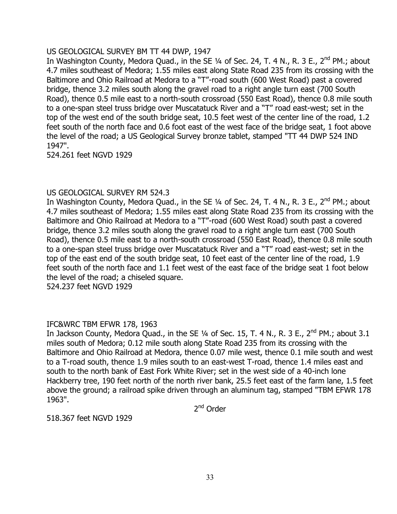# US GEOLOGICAL SURVEY BM TT 44 DWP, 1947

In Washington County, Medora Quad., in the SE 1/4 of Sec. 24, T. 4 N., R. 3 E., 2<sup>nd</sup> PM.; about 4.7 miles southeast of Medora; 1.55 miles east along State Road 235 from its crossing with the Baltimore and Ohio Railroad at Medora to a "T"-road south (600 West Road) past a covered bridge, thence 3.2 miles south along the gravel road to a right angle turn east (700 South Road), thence 0.5 mile east to a north-south crossroad (550 East Road), thence 0.8 mile south to a one-span steel truss bridge over Muscatatuck River and a "T" road east-west; set in the top of the west end of the south bridge seat, 10.5 feet west of the center line of the road, 1.2 feet south of the north face and 0.6 foot east of the west face of the bridge seat, 1 foot above the level of the road; a US Geological Survey bronze tablet, stamped "TT 44 DWP 524 IND 1947".

524.261 feet NGVD 1929

# US GEOLOGICAL SURVEY RM 524.3

In Washington County, Medora Quad., in the SE 1/4 of Sec. 24, T. 4 N., R. 3 E., 2<sup>nd</sup> PM.; about 4.7 miles southeast of Medora; 1.55 miles east along State Road 235 from its crossing with the Baltimore and Ohio Railroad at Medora to a "T"-road (600 West Road) south past a covered bridge, thence 3.2 miles south along the gravel road to a right angle turn east (700 South Road), thence 0.5 mile east to a north-south crossroad (550 East Road), thence 0.8 mile south to a one-span steel truss bridge over Muscatatuck River and a "T" road east-west; set in the top of the east end of the south bridge seat, 10 feet east of the center line of the road, 1.9 feet south of the north face and 1.1 feet west of the east face of the bridge seat 1 foot below the level of the road; a chiseled square.

524.237 feet NGVD 1929

# IFC&WRC TBM EFWR 178, 1963

In Jackson County, Medora Quad., in the SE 1/4 of Sec. 15, T. 4 N., R. 3 E., 2<sup>nd</sup> PM.; about 3.1 miles south of Medora; 0.12 mile south along State Road 235 from its crossing with the Baltimore and Ohio Railroad at Medora, thence 0.07 mile west, thence 0.1 mile south and west to a T-road south, thence 1.9 miles south to an east-west T-road, thence 1.4 miles east and south to the north bank of East Fork White River; set in the west side of a 40-inch lone Hackberry tree, 190 feet north of the north river bank, 25.5 feet east of the farm lane, 1.5 feet above the ground; a railroad spike driven through an aluminum tag, stamped "TBM EFWR 178 1963".

2<sup>nd</sup> Order

518.367 feet NGVD 1929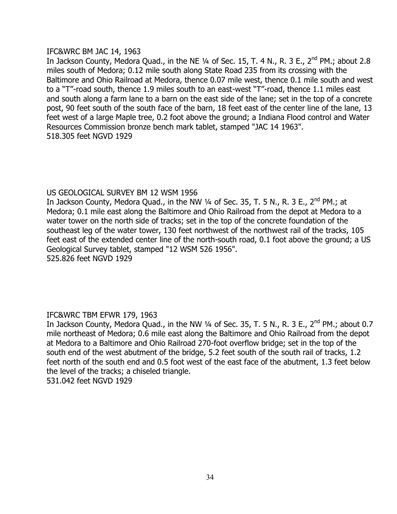# IFC&WRC BM JAC 14, 1963

In Jackson County, Medora Quad., in the NE  $\frac{1}{4}$  of Sec. 15, T. 4 N., R. 3 E., 2<sup>nd</sup> PM.; about 2.8 miles south of Medora; 0.12 mile south along State Road 235 from its crossing with the Baltimore and Ohio Railroad at Medora, thence 0.07 mile west, thence 0.1 mile south and west to a "T"-road south, thence 1.9 miles south to an east-west "T"-road, thence 1.1 miles east and south along a farm lane to a barn on the east side of the lane; set in the top of a concrete post, 90 feet south of the south face of the barn, 18 feet east of the center line of the lane, 13 feet west of a large Maple tree, 0.2 foot above the ground; a Indiana Flood control and Water Resources Commission bronze bench mark tablet, stamped "JAC 14 1963". 518.305 feet NGVD 1929

# US GEOLOGICAL SURVEY BM 12 WSM 1956

In Jackson County, Medora Quad., in the NW  $1/4$  of Sec. 35, T. 5 N., R. 3 E., 2<sup>nd</sup> PM.; at Medora; 0.1 mile east along the Baltimore and Ohio Railroad from the depot at Medora to a water tower on the north side of tracks; set in the top of the concrete foundation of the southeast leg of the water tower, 130 feet northwest of the northwest rail of the tracks, 105 feet east of the extended center line of the north-south road, 0.1 foot above the ground; a US Geological Survey tablet, stamped "12 WSM 526 1956". 525.826 feet NGVD 1929

# IFC&WRC TBM EFWR 179, 1963

In Jackson County, Medora Quad., in the NW  $\frac{1}{4}$  of Sec. 35, T. 5 N., R. 3 E., 2<sup>nd</sup> PM.; about 0.7 mile northeast of Medora; 0.6 mile east along the Baltimore and Ohio Railroad from the depot at Medora to a Baltimore and Ohio Railroad 270-foot overflow bridge; set in the top of the south end of the west abutment of the bridge, 5.2 feet south of the south rail of tracks, 1.2 feet north of the south end and 0.5 foot west of the east face of the abutment, 1.3 feet below the level of the tracks; a chiseled triangle. 531.042 feet NGVD 1929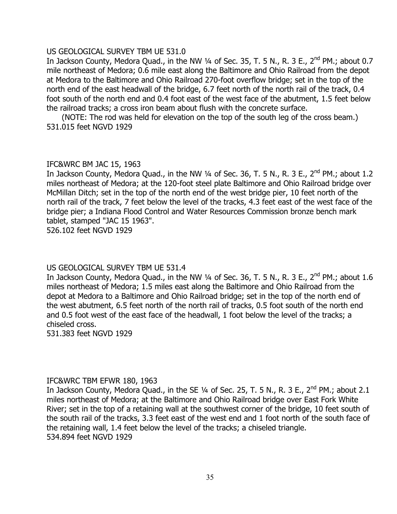#### US GEOLOGICAL SURVEY TBM UE 531.0

In Jackson County, Medora Quad., in the NW  $\frac{1}{4}$  of Sec. 35, T. 5 N., R. 3 E., 2<sup>nd</sup> PM.; about 0.7 mile northeast of Medora; 0.6 mile east along the Baltimore and Ohio Railroad from the depot at Medora to the Baltimore and Ohio Railroad 270-foot overflow bridge; set in the top of the north end of the east headwall of the bridge, 6.7 feet north of the north rail of the track, 0.4 foot south of the north end and 0.4 foot east of the west face of the abutment, 1.5 feet below the railroad tracks; a cross iron beam about flush with the concrete surface.

(NOTE: The rod was held for elevation on the top of the south leg of the cross beam.) 531.015 feet NGVD 1929

# IFC&WRC BM JAC 15, 1963

In Jackson County, Medora Quad., in the NW  $\frac{1}{4}$  of Sec. 36, T. 5 N., R. 3 E., 2<sup>nd</sup> PM.; about 1.2 miles northeast of Medora; at the 120-foot steel plate Baltimore and Ohio Railroad bridge over McMillan Ditch; set in the top of the north end of the west bridge pier, 10 feet north of the north rail of the track, 7 feet below the level of the tracks, 4.3 feet east of the west face of the bridge pier; a Indiana Flood Control and Water Resources Commission bronze bench mark tablet, stamped "JAC 15 1963". 526.102 feet NGVD 1929

# US GEOLOGICAL SURVEY TBM UE 531.4

In Jackson County, Medora Quad., in the NW  $\frac{1}{4}$  of Sec. 36, T. 5 N., R. 3 E., 2<sup>nd</sup> PM.; about 1.6 miles northeast of Medora; 1.5 miles east along the Baltimore and Ohio Railroad from the depot at Medora to a Baltimore and Ohio Railroad bridge; set in the top of the north end of the west abutment, 6.5 feet north of the north rail of tracks, 0.5 foot south of the north end and 0.5 foot west of the east face of the headwall, 1 foot below the level of the tracks; a chiseled cross.

531.383 feet NGVD 1929

# IFC&WRC TBM EFWR 180, 1963

In Jackson County, Medora Quad., in the SE 1/4 of Sec. 25, T. 5 N., R. 3 E., 2<sup>nd</sup> PM.; about 2.1 miles northeast of Medora; at the Baltimore and Ohio Railroad bridge over East Fork White River; set in the top of a retaining wall at the southwest corner of the bridge, 10 feet south of the south rail of the tracks, 3.3 feet east of the west end and 1 foot north of the south face of the retaining wall, 1.4 feet below the level of the tracks; a chiseled triangle. 534.894 feet NGVD 1929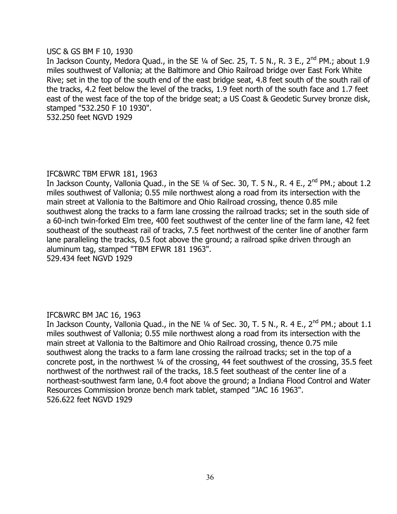#### USC & GS BM F 10, 1930

In Jackson County, Medora Quad., in the SE 1/4 of Sec. 25, T. 5 N., R. 3 E., 2<sup>nd</sup> PM.; about 1.9 miles southwest of Vallonia; at the Baltimore and Ohio Railroad bridge over East Fork White Rive; set in the top of the south end of the east bridge seat, 4.8 feet south of the south rail of the tracks, 4.2 feet below the level of the tracks, 1.9 feet north of the south face and 1.7 feet east of the west face of the top of the bridge seat; a US Coast & Geodetic Survey bronze disk, stamped "532.250 F 10 1930".

532.250 feet NGVD 1929

#### IFC&WRC TBM EFWR 181, 1963

In Jackson County, Vallonia Quad., in the SE 1/4 of Sec. 30, T. 5 N., R. 4 E., 2<sup>nd</sup> PM.; about 1.2 miles southwest of Vallonia; 0.55 mile northwest along a road from its intersection with the main street at Vallonia to the Baltimore and Ohio Railroad crossing, thence 0.85 mile southwest along the tracks to a farm lane crossing the railroad tracks; set in the south side of a 60-inch twin-forked Elm tree, 400 feet southwest of the center line of the farm lane, 42 feet southeast of the southeast rail of tracks, 7.5 feet northwest of the center line of another farm lane paralleling the tracks, 0.5 foot above the ground; a railroad spike driven through an aluminum tag, stamped "TBM EFWR 181 1963".

529.434 feet NGVD 1929

# IFC&WRC BM JAC 16, 1963

In Jackson County, Vallonia Quad., in the NE 1/4 of Sec. 30, T. 5 N., R. 4 E., 2<sup>nd</sup> PM.; about 1.1 miles southwest of Vallonia; 0.55 mile northwest along a road from its intersection with the main street at Vallonia to the Baltimore and Ohio Railroad crossing, thence 0.75 mile southwest along the tracks to a farm lane crossing the railroad tracks; set in the top of a concrete post, in the northwest ¼ of the crossing, 44 feet southwest of the crossing, 35.5 feet northwest of the northwest rail of the tracks, 18.5 feet southeast of the center line of a northeast-southwest farm lane, 0.4 foot above the ground; a Indiana Flood Control and Water Resources Commission bronze bench mark tablet, stamped "JAC 16 1963". 526.622 feet NGVD 1929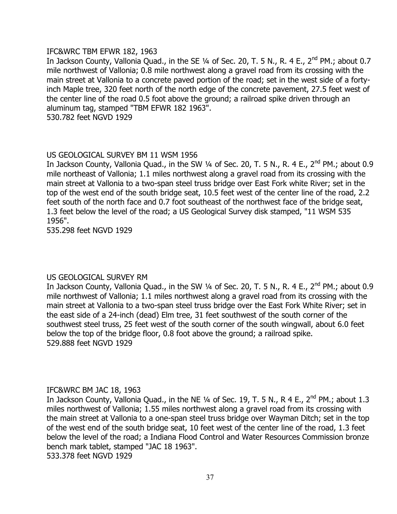#### IFC&WRC TBM EFWR 182, 1963

In Jackson County, Vallonia Quad., in the SE 1/4 of Sec. 20, T. 5 N., R. 4 E., 2<sup>nd</sup> PM.; about 0.7 mile northwest of Vallonia; 0.8 mile northwest along a gravel road from its crossing with the main street at Vallonia to a concrete paved portion of the road; set in the west side of a fortyinch Maple tree, 320 feet north of the north edge of the concrete pavement, 27.5 feet west of the center line of the road 0.5 foot above the ground; a railroad spike driven through an aluminum tag, stamped "TBM EFWR 182 1963". 530.782 feet NGVD 1929

# US GEOLOGICAL SURVEY BM 11 WSM 1956

In Jackson County, Vallonia Quad., in the SW  $\frac{1}{4}$  of Sec. 20, T. 5 N., R. 4 E., 2<sup>nd</sup> PM.; about 0.9 mile northeast of Vallonia; 1.1 miles northwest along a gravel road from its crossing with the main street at Vallonia to a two-span steel truss bridge over East Fork white River; set in the top of the west end of the south bridge seat, 10.5 feet west of the center line of the road, 2.2 feet south of the north face and 0.7 foot southeast of the northwest face of the bridge seat, 1.3 feet below the level of the road; a US Geological Survey disk stamped, "11 WSM 535 1956".

535.298 feet NGVD 1929

# US GEOLOGICAL SURVEY RM

In Jackson County, Vallonia Quad., in the SW 1/4 of Sec. 20, T. 5 N., R. 4 E., 2<sup>nd</sup> PM.; about 0.9 mile northwest of Vallonia; 1.1 miles northwest along a gravel road from its crossing with the main street at Vallonia to a two-span steel truss bridge over the East Fork White River; set in the east side of a 24-inch (dead) Elm tree, 31 feet southwest of the south corner of the southwest steel truss, 25 feet west of the south corner of the south wingwall, about 6.0 feet below the top of the bridge floor, 0.8 foot above the ground; a railroad spike. 529.888 feet NGVD 1929

# IFC&WRC BM JAC 18, 1963

In Jackson County, Vallonia Quad., in the NE  $\frac{1}{4}$  of Sec. 19, T. 5 N., R 4 E., 2<sup>nd</sup> PM.; about 1.3 miles northwest of Vallonia; 1.55 miles northwest along a gravel road from its crossing with the main street at Vallonia to a one-span steel truss bridge over Wayman Ditch; set in the top of the west end of the south bridge seat, 10 feet west of the center line of the road, 1.3 feet below the level of the road; a Indiana Flood Control and Water Resources Commission bronze bench mark tablet, stamped "JAC 18 1963". 533.378 feet NGVD 1929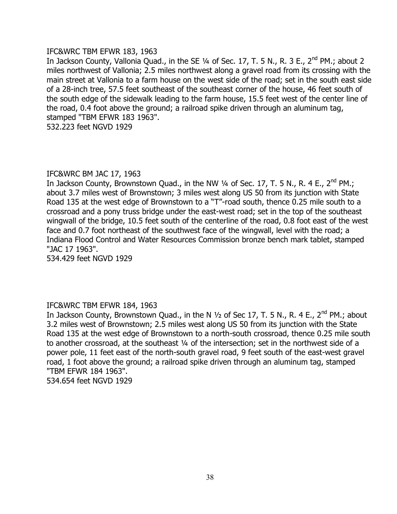# IFC&WRC TBM EFWR 183, 1963

In Jackson County, Vallonia Quad., in the SE 1/4 of Sec. 17, T. 5 N., R. 3 E., 2<sup>nd</sup> PM.; about 2 miles northwest of Vallonia; 2.5 miles northwest along a gravel road from its crossing with the main street at Vallonia to a farm house on the west side of the road; set in the south east side of a 28-inch tree, 57.5 feet southeast of the southeast corner of the house, 46 feet south of the south edge of the sidewalk leading to the farm house, 15.5 feet west of the center line of the road, 0.4 foot above the ground; a railroad spike driven through an aluminum tag, stamped "TBM EFWR 183 1963".

532.223 feet NGVD 1929

# IFC&WRC BM JAC 17, 1963

In Jackson County, Brownstown Quad., in the NW 1/4 of Sec. 17, T. 5 N., R. 4 E., 2<sup>nd</sup> PM.; about 3.7 miles west of Brownstown; 3 miles west along US 50 from its junction with State Road 135 at the west edge of Brownstown to a "T"-road south, thence 0.25 mile south to a crossroad and a pony truss bridge under the east-west road; set in the top of the southeast wingwall of the bridge, 10.5 feet south of the centerline of the road, 0.8 foot east of the west face and 0.7 foot northeast of the southwest face of the wingwall, level with the road; a Indiana Flood Control and Water Resources Commission bronze bench mark tablet, stamped "JAC 17 1963".

534.429 feet NGVD 1929

# IFC&WRC TBM EFWR 184, 1963

In Jackson County, Brownstown Quad., in the N  $1/2$  of Sec 17, T. 5 N., R. 4 E., 2<sup>nd</sup> PM.; about 3.2 miles west of Brownstown; 2.5 miles west along US 50 from its junction with the State Road 135 at the west edge of Brownstown to a north-south crossroad, thence 0.25 mile south to another crossroad, at the southeast 1/4 of the intersection; set in the northwest side of a power pole, 11 feet east of the north-south gravel road, 9 feet south of the east-west gravel road, 1 foot above the ground; a railroad spike driven through an aluminum tag, stamped "TBM EFWR 184 1963". 534.654 feet NGVD 1929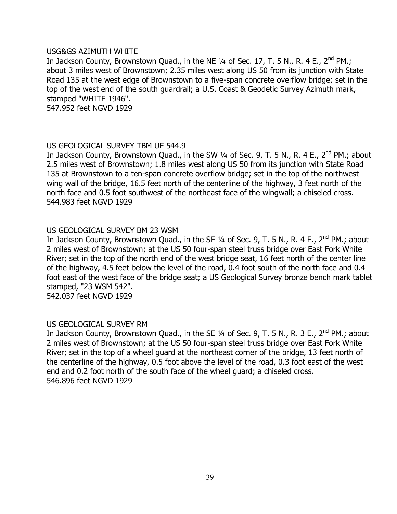#### USG&GS AZIMUTH WHITE

In Jackson County, Brownstown Quad., in the NE 1/4 of Sec. 17, T. 5 N., R. 4 E., 2<sup>nd</sup> PM.; about 3 miles west of Brownstown; 2.35 miles west along US 50 from its junction with State Road 135 at the west edge of Brownstown to a five-span concrete overflow bridge; set in the top of the west end of the south guardrail; a U.S. Coast & Geodetic Survey Azimuth mark, stamped "WHITE 1946".

547.952 feet NGVD 1929

# US GEOLOGICAL SURVEY TBM UE 544.9

In Jackson County, Brownstown Quad., in the SW  $\frac{1}{4}$  of Sec. 9, T. 5 N., R. 4 E., 2<sup>nd</sup> PM.; about 2.5 miles west of Brownstown; 1.8 miles west along US 50 from its junction with State Road 135 at Brownstown to a ten-span concrete overflow bridge; set in the top of the northwest wing wall of the bridge, 16.5 feet north of the centerline of the highway, 3 feet north of the north face and 0.5 foot southwest of the northeast face of the wingwall; a chiseled cross. 544.983 feet NGVD 1929

# US GEOLOGICAL SURVEY BM 23 WSM

In Jackson County, Brownstown Quad., in the SE 1/4 of Sec. 9, T. 5 N., R. 4 E., 2<sup>nd</sup> PM.; about 2 miles west of Brownstown; at the US 50 four-span steel truss bridge over East Fork White River; set in the top of the north end of the west bridge seat, 16 feet north of the center line of the highway, 4.5 feet below the level of the road, 0.4 foot south of the north face and 0.4 foot east of the west face of the bridge seat; a US Geological Survey bronze bench mark tablet stamped, "23 WSM 542".

542.037 feet NGVD 1929

# US GEOLOGICAL SURVEY RM

In Jackson County, Brownstown Quad., in the SE  $\frac{1}{4}$  of Sec. 9, T. 5 N., R. 3 E., 2<sup>nd</sup> PM.; about 2 miles west of Brownstown; at the US 50 four-span steel truss bridge over East Fork White River; set in the top of a wheel guard at the northeast corner of the bridge, 13 feet north of the centerline of the highway, 0.5 foot above the level of the road, 0.3 foot east of the west end and 0.2 foot north of the south face of the wheel guard; a chiseled cross. 546.896 feet NGVD 1929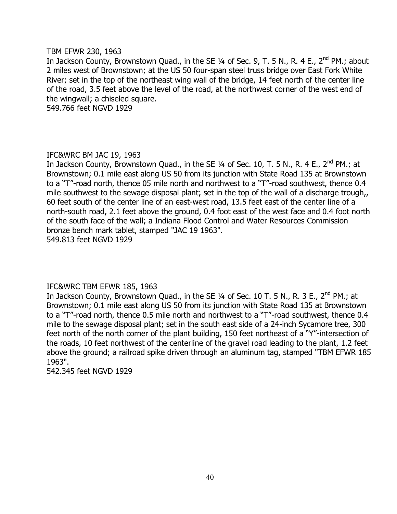#### TBM EFWR 230, 1963

In Jackson County, Brownstown Quad., in the SE 1/4 of Sec. 9, T. 5 N., R. 4 E., 2<sup>nd</sup> PM.; about 2 miles west of Brownstown; at the US 50 four-span steel truss bridge over East Fork White River; set in the top of the northeast wing wall of the bridge, 14 feet north of the center line of the road, 3.5 feet above the level of the road, at the northwest corner of the west end of the wingwall; a chiseled square.

549.766 feet NGVD 1929

# IFC&WRC BM JAC 19, 1963

In Jackson County, Brownstown Quad., in the SE  $\frac{1}{4}$  of Sec. 10, T. 5 N., R. 4 E., 2<sup>nd</sup> PM.; at Brownstown; 0.1 mile east along US 50 from its junction with State Road 135 at Brownstown to a "T"-road north, thence 05 mile north and northwest to a "T"-road southwest, thence 0.4 mile southwest to the sewage disposal plant; set in the top of the wall of a discharge trough,, 60 feet south of the center line of an east-west road, 13.5 feet east of the center line of a north-south road, 2.1 feet above the ground, 0.4 foot east of the west face and 0.4 foot north of the south face of the wall; a Indiana Flood Control and Water Resources Commission bronze bench mark tablet, stamped "JAC 19 1963". 549.813 feet NGVD 1929

# IFC&WRC TBM EFWR 185, 1963

In Jackson County, Brownstown Quad., in the SE 1/4 of Sec. 10 T. 5 N., R. 3 E., 2<sup>nd</sup> PM.; at Brownstown; 0.1 mile east along US 50 from its junction with State Road 135 at Brownstown to a "T"-road north, thence 0.5 mile north and northwest to a "T"-road southwest, thence 0.4 mile to the sewage disposal plant; set in the south east side of a 24-inch Sycamore tree, 300 feet north of the north corner of the plant building, 150 feet northeast of a "Y"-intersection of the roads, 10 feet northwest of the centerline of the gravel road leading to the plant, 1.2 feet above the ground; a railroad spike driven through an aluminum tag, stamped "TBM EFWR 185 1963".

542.345 feet NGVD 1929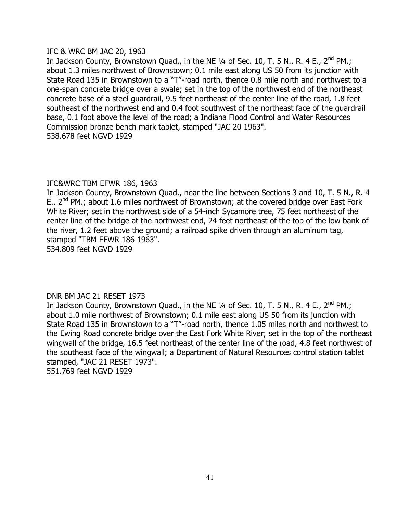# IFC & WRC BM JAC 20, 1963

In Jackson County, Brownstown Quad., in the NE  $\frac{1}{4}$  of Sec. 10, T. 5 N., R. 4 E., 2<sup>nd</sup> PM.; about 1.3 miles northwest of Brownstown; 0.1 mile east along US 50 from its junction with State Road 135 in Brownstown to a "T"-road north, thence 0.8 mile north and northwest to a one-span concrete bridge over a swale; set in the top of the northwest end of the northeast concrete base of a steel guardrail, 9.5 feet northeast of the center line of the road, 1.8 feet southeast of the northwest end and 0.4 foot southwest of the northeast face of the guardrail base, 0.1 foot above the level of the road; a Indiana Flood Control and Water Resources Commission bronze bench mark tablet, stamped "JAC 20 1963". 538.678 feet NGVD 1929

# IFC&WRC TBM EFWR 186, 1963

In Jackson County, Brownstown Quad., near the line between Sections 3 and 10, T. 5 N., R. 4 E.,  $2^{nd}$  PM.; about 1.6 miles northwest of Brownstown; at the covered bridge over East Fork White River; set in the northwest side of a 54-inch Sycamore tree, 75 feet northeast of the center line of the bridge at the northwest end, 24 feet northeast of the top of the low bank of the river, 1.2 feet above the ground; a railroad spike driven through an aluminum tag, stamped "TBM EFWR 186 1963".

534.809 feet NGVD 1929

# DNR BM JAC 21 RESET 1973

In Jackson County, Brownstown Quad., in the NE  $\frac{1}{4}$  of Sec. 10, T. 5 N., R. 4 E., 2<sup>nd</sup> PM.; about 1.0 mile northwest of Brownstown; 0.1 mile east along US 50 from its junction with State Road 135 in Brownstown to a "T"-road north, thence 1.05 miles north and northwest to the Ewing Road concrete bridge over the East Fork White River; set in the top of the northeast wingwall of the bridge, 16.5 feet northeast of the center line of the road, 4.8 feet northwest of the southeast face of the wingwall; a Department of Natural Resources control station tablet stamped, "JAC 21 RESET 1973". 551.769 feet NGVD 1929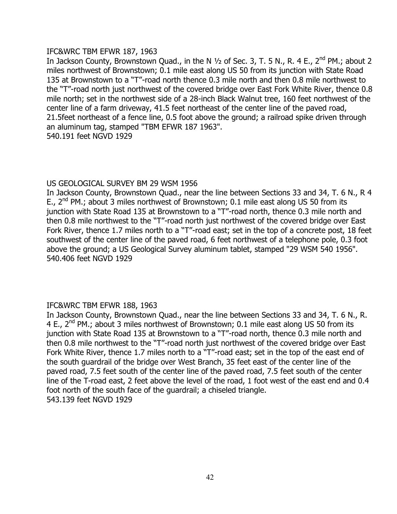# IFC&WRC TBM EFWR 187, 1963

In Jackson County, Brownstown Quad., in the N  $1/2$  of Sec. 3, T. 5 N., R. 4 E., 2<sup>nd</sup> PM.; about 2 miles northwest of Brownstown; 0.1 mile east along US 50 from its junction with State Road 135 at Brownstown to a "T"-road north thence 0.3 mile north and then 0.8 mile northwest to the "T"-road north just northwest of the covered bridge over East Fork White River, thence 0.8 mile north; set in the northwest side of a 28-inch Black Walnut tree, 160 feet northwest of the center line of a farm driveway, 41.5 feet northeast of the center line of the paved road, 21.5feet northeast of a fence line, 0.5 foot above the ground; a railroad spike driven through an aluminum tag, stamped "TBM EFWR 187 1963". 540.191 feet NGVD 1929

# US GEOLOGICAL SURVEY BM 29 WSM 1956

In Jackson County, Brownstown Quad., near the line between Sections 33 and 34, T. 6 N., R 4 E.,  $2^{nd}$  PM.; about 3 miles northwest of Brownstown; 0.1 mile east along US 50 from its junction with State Road 135 at Brownstown to a "T"-road north, thence 0.3 mile north and then 0.8 mile northwest to the "T"-road north just northwest of the covered bridge over East Fork River, thence 1.7 miles north to a "T"-road east; set in the top of a concrete post, 18 feet southwest of the center line of the paved road, 6 feet northwest of a telephone pole, 0.3 foot above the ground; a US Geological Survey aluminum tablet, stamped "29 WSM 540 1956". 540.406 feet NGVD 1929

# IFC&WRC TBM EFWR 188, 1963

In Jackson County, Brownstown Quad., near the line between Sections 33 and 34, T. 6 N., R. 4 E.,  $2^{nd}$  PM.; about 3 miles northwest of Brownstown; 0.1 mile east along US 50 from its junction with State Road 135 at Brownstown to a "T"-road north, thence 0.3 mile north and then 0.8 mile northwest to the "T"-road north just northwest of the covered bridge over East Fork White River, thence 1.7 miles north to a "T"-road east; set in the top of the east end of the south guardrail of the bridge over West Branch, 35 feet east of the center line of the paved road, 7.5 feet south of the center line of the paved road, 7.5 feet south of the center line of the T-road east, 2 feet above the level of the road, 1 foot west of the east end and 0.4 foot north of the south face of the guardrail; a chiseled triangle. 543.139 feet NGVD 1929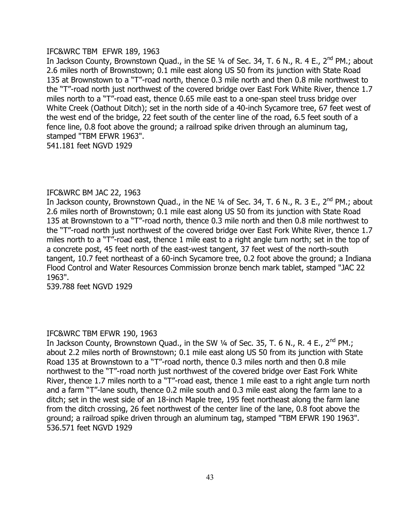# IFC&WRC TBM EFWR 189, 1963

In Jackson County, Brownstown Quad., in the SE 1/4 of Sec. 34, T. 6 N., R. 4 E., 2<sup>nd</sup> PM.; about 2.6 miles north of Brownstown; 0.1 mile east along US 50 from its junction with State Road 135 at Brownstown to a "T"-road north, thence 0.3 mile north and then 0.8 mile northwest to the "T"-road north just northwest of the covered bridge over East Fork White River, thence 1.7 miles north to a "T"-road east, thence 0.65 mile east to a one-span steel truss bridge over White Creek (Oathout Ditch); set in the north side of a 40-inch Sycamore tree, 67 feet west of the west end of the bridge, 22 feet south of the center line of the road, 6.5 feet south of a fence line, 0.8 foot above the ground; a railroad spike driven through an aluminum tag, stamped "TBM EFWR 1963". 541.181 feet NGVD 1929

# IFC&WRC BM JAC 22, 1963

In Jackson county, Brownstown Quad., in the NE  $1/4$  of Sec. 34, T. 6 N., R. 3 E., 2<sup>nd</sup> PM.; about 2.6 miles north of Brownstown; 0.1 mile east along US 50 from its junction with State Road 135 at Brownstown to a "T"-road north, thence 0.3 mile north and then 0.8 mile northwest to the "T"-road north just northwest of the covered bridge over East Fork White River, thence 1.7 miles north to a "T"-road east, thence 1 mile east to a right angle turn north; set in the top of a concrete post, 45 feet north of the east-west tangent, 37 feet west of the north-south tangent, 10.7 feet northeast of a 60-inch Sycamore tree, 0.2 foot above the ground; a Indiana Flood Control and Water Resources Commission bronze bench mark tablet, stamped "JAC 22 1963".

539.788 feet NGVD 1929

# IFC&WRC TBM EFWR 190, 1963

In Jackson County, Brownstown Quad., in the SW  $\frac{1}{4}$  of Sec. 35, T. 6 N., R. 4 E., 2<sup>nd</sup> PM.; about 2.2 miles north of Brownstown; 0.1 mile east along US 50 from its junction with State Road 135 at Brownstown to a "T"-road north, thence 0.3 miles north and then 0.8 mile northwest to the "T"-road north just northwest of the covered bridge over East Fork White River, thence 1.7 miles north to a "T"-road east, thence 1 mile east to a right angle turn north and a farm "T"-lane south, thence 0.2 mile south and 0.3 mile east along the farm lane to a ditch; set in the west side of an 18-inch Maple tree, 195 feet northeast along the farm lane from the ditch crossing, 26 feet northwest of the center line of the lane, 0.8 foot above the ground; a railroad spike driven through an aluminum tag, stamped "TBM EFWR 190 1963". 536.571 feet NGVD 1929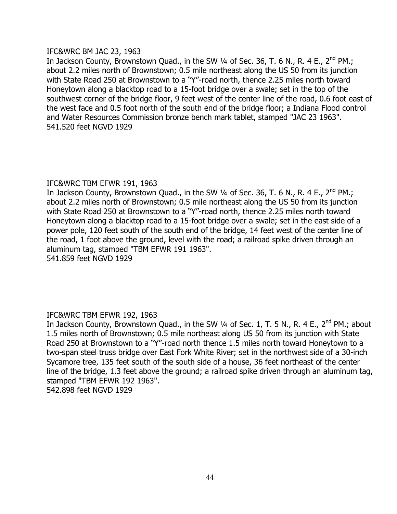# IFC&WRC BM JAC 23, 1963

In Jackson County, Brownstown Quad., in the SW 1/4 of Sec. 36, T. 6 N., R. 4 E., 2<sup>nd</sup> PM.; about 2.2 miles north of Brownstown; 0.5 mile northeast along the US 50 from its junction with State Road 250 at Brownstown to a "Y"-road north, thence 2.25 miles north toward Honeytown along a blacktop road to a 15-foot bridge over a swale; set in the top of the southwest corner of the bridge floor, 9 feet west of the center line of the road, 0.6 foot east of the west face and 0.5 foot north of the south end of the bridge floor; a Indiana Flood control and Water Resources Commission bronze bench mark tablet, stamped "JAC 23 1963". 541.520 feet NGVD 1929

# IFC&WRC TBM EFWR 191, 1963

In Jackson County, Brownstown Quad., in the SW  $\frac{1}{4}$  of Sec. 36, T. 6 N., R. 4 E., 2<sup>nd</sup> PM.; about 2.2 miles north of Brownstown; 0.5 mile northeast along the US 50 from its junction with State Road 250 at Brownstown to a "Y"-road north, thence 2.25 miles north toward Honeytown along a blacktop road to a 15-foot bridge over a swale; set in the east side of a power pole, 120 feet south of the south end of the bridge, 14 feet west of the center line of the road, 1 foot above the ground, level with the road; a railroad spike driven through an aluminum tag, stamped "TBM EFWR 191 1963".

541.859 feet NGVD 1929

# IFC&WRC TBM EFWR 192, 1963

In Jackson County, Brownstown Quad., in the SW 1/4 of Sec. 1, T. 5 N., R. 4 E., 2<sup>nd</sup> PM.; about 1.5 miles north of Brownstown; 0.5 mile northeast along US 50 from its junction with State Road 250 at Brownstown to a "Y"-road north thence 1.5 miles north toward Honeytown to a two-span steel truss bridge over East Fork White River; set in the northwest side of a 30-inch Sycamore tree, 135 feet south of the south side of a house, 36 feet northeast of the center line of the bridge, 1.3 feet above the ground; a railroad spike driven through an aluminum tag, stamped "TBM EFWR 192 1963". 542.898 feet NGVD 1929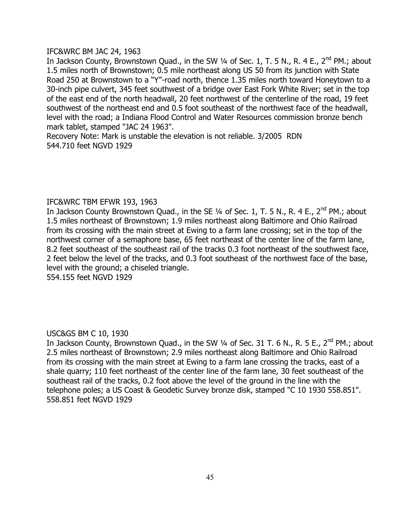# IFC&WRC BM JAC 24, 1963

In Jackson County, Brownstown Quad., in the SW 1/4 of Sec. 1, T. 5 N., R. 4 E., 2<sup>nd</sup> PM.; about 1.5 miles north of Brownstown; 0.5 mile northeast along US 50 from its junction with State Road 250 at Brownstown to a "Y"-road north, thence 1.35 miles north toward Honeytown to a 30-inch pipe culvert, 345 feet southwest of a bridge over East Fork White River; set in the top of the east end of the north headwall, 20 feet northwest of the centerline of the road, 19 feet southwest of the northeast end and 0.5 foot southeast of the northwest face of the headwall, level with the road; a Indiana Flood Control and Water Resources commission bronze bench mark tablet, stamped "JAC 24 1963".

Recovery Note: Mark is unstable the elevation is not reliable. 3/2005 RDN 544.710 feet NGVD 1929

# IFC&WRC TBM EFWR 193, 1963

In Jackson County Brownstown Quad., in the SE  $\frac{1}{4}$  of Sec. 1, T. 5 N., R. 4 E., 2<sup>nd</sup> PM.; about 1.5 miles northeast of Brownstown; 1.9 miles northeast along Baltimore and Ohio Railroad from its crossing with the main street at Ewing to a farm lane crossing; set in the top of the northwest corner of a semaphore base, 65 feet northeast of the center line of the farm lane, 8.2 feet southeast of the southeast rail of the tracks 0.3 foot northeast of the southwest face, 2 feet below the level of the tracks, and 0.3 foot southeast of the northwest face of the base, level with the ground; a chiseled triangle.

554.155 feet NGVD 1929

# USC&GS BM C 10, 1930

In Jackson County, Brownstown Quad., in the SW 1/4 of Sec. 31 T. 6 N., R. 5 E., 2<sup>nd</sup> PM.; about 2.5 miles northeast of Brownstown; 2.9 miles northeast along Baltimore and Ohio Railroad from its crossing with the main street at Ewing to a farm lane crossing the tracks, east of a shale quarry; 110 feet northeast of the center line of the farm lane, 30 feet southeast of the southeast rail of the tracks, 0.2 foot above the level of the ground in the line with the telephone poles; a US Coast & Geodetic Survey bronze disk, stamped "C 10 1930 558.851". 558.851 feet NGVD 1929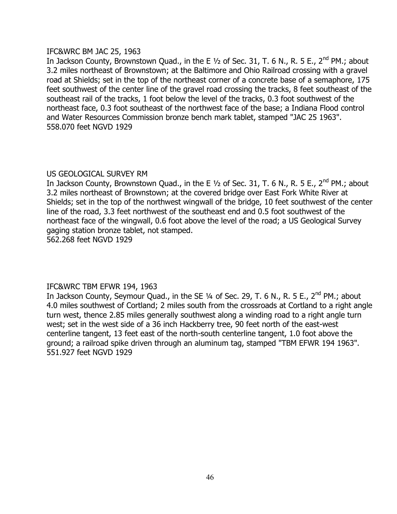# IFC&WRC BM JAC 25, 1963

In Jackson County, Brownstown Quad., in the E  $1/2$  of Sec. 31, T. 6 N., R. 5 E., 2<sup>nd</sup> PM.; about 3.2 miles northeast of Brownstown; at the Baltimore and Ohio Railroad crossing with a gravel road at Shields; set in the top of the northeast corner of a concrete base of a semaphore, 175 feet southwest of the center line of the gravel road crossing the tracks, 8 feet southeast of the southeast rail of the tracks, 1 foot below the level of the tracks, 0.3 foot southwest of the northeast face, 0.3 foot southeast of the northwest face of the base; a Indiana Flood control and Water Resources Commission bronze bench mark tablet, stamped "JAC 25 1963". 558.070 feet NGVD 1929

# US GEOLOGICAL SURVEY RM

In Jackson County, Brownstown Quad., in the E  $1/2$  of Sec. 31, T. 6 N., R. 5 E., 2<sup>nd</sup> PM.; about 3.2 miles northeast of Brownstown; at the covered bridge over East Fork White River at Shields; set in the top of the northwest wingwall of the bridge, 10 feet southwest of the center line of the road, 3.3 feet northwest of the southeast end and 0.5 foot southwest of the northeast face of the wingwall, 0.6 foot above the level of the road; a US Geological Survey gaging station bronze tablet, not stamped.

562.268 feet NGVD 1929

# IFC&WRC TBM EFWR 194, 1963

In Jackson County, Seymour Quad., in the SE 1/4 of Sec. 29, T. 6 N., R. 5 E., 2<sup>nd</sup> PM.; about 4.0 miles southwest of Cortland; 2 miles south from the crossroads at Cortland to a right angle turn west, thence 2.85 miles generally southwest along a winding road to a right angle turn west; set in the west side of a 36 inch Hackberry tree, 90 feet north of the east-west centerline tangent, 13 feet east of the north-south centerline tangent, 1.0 foot above the ground; a railroad spike driven through an aluminum tag, stamped "TBM EFWR 194 1963". 551.927 feet NGVD 1929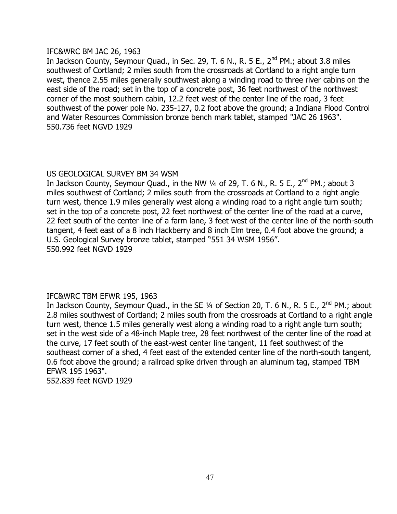# IFC&WRC BM JAC 26, 1963

In Jackson County, Seymour Quad., in Sec. 29, T. 6 N., R. 5 E., 2<sup>nd</sup> PM.; about 3.8 miles southwest of Cortland; 2 miles south from the crossroads at Cortland to a right angle turn west, thence 2.55 miles generally southwest along a winding road to three river cabins on the east side of the road; set in the top of a concrete post, 36 feet northwest of the northwest corner of the most southern cabin, 12.2 feet west of the center line of the road, 3 feet southwest of the power pole No. 235-127, 0.2 foot above the ground; a Indiana Flood Control and Water Resources Commission bronze bench mark tablet, stamped "JAC 26 1963". 550.736 feet NGVD 1929

# US GEOLOGICAL SURVEY BM 34 WSM

In Jackson County, Seymour Quad., in the NW 1/4 of 29, T. 6 N., R. 5 E., 2<sup>nd</sup> PM.; about 3 miles southwest of Cortland; 2 miles south from the crossroads at Cortland to a right angle turn west, thence 1.9 miles generally west along a winding road to a right angle turn south; set in the top of a concrete post, 22 feet northwest of the center line of the road at a curve, 22 feet south of the center line of a farm lane, 3 feet west of the center line of the north-south tangent, 4 feet east of a 8 inch Hackberry and 8 inch Elm tree, 0.4 foot above the ground; a U.S. Geological Survey bronze tablet, stamped "551 34 WSM 1956". 550.992 feet NGVD 1929

# IFC&WRC TBM EFWR 195, 1963

In Jackson County, Seymour Quad., in the SE 1/4 of Section 20, T. 6 N., R. 5 E., 2<sup>nd</sup> PM.; about 2.8 miles southwest of Cortland; 2 miles south from the crossroads at Cortland to a right angle turn west, thence 1.5 miles generally west along a winding road to a right angle turn south; set in the west side of a 48-inch Maple tree, 28 feet northwest of the center line of the road at the curve, 17 feet south of the east-west center line tangent, 11 feet southwest of the southeast corner of a shed, 4 feet east of the extended center line of the north-south tangent, 0.6 foot above the ground; a railroad spike driven through an aluminum tag, stamped TBM EFWR 195 1963".

552.839 feet NGVD 1929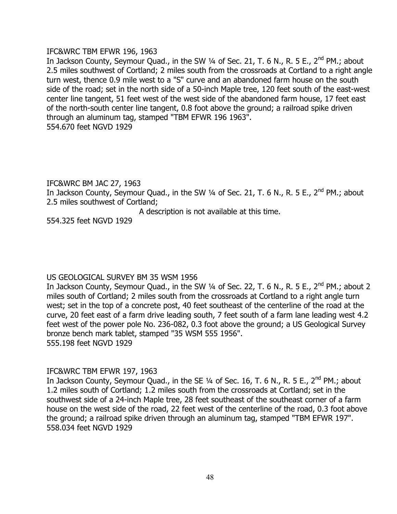# IFC&WRC TBM EFWR 196, 1963

In Jackson County, Seymour Quad., in the SW 1/4 of Sec. 21, T. 6 N., R. 5 E., 2<sup>nd</sup> PM.; about 2.5 miles southwest of Cortland; 2 miles south from the crossroads at Cortland to a right angle turn west, thence 0.9 mile west to a "S" curve and an abandoned farm house on the south side of the road; set in the north side of a 50-inch Maple tree, 120 feet south of the east-west center line tangent, 51 feet west of the west side of the abandoned farm house, 17 feet east of the north-south center line tangent, 0.8 foot above the ground; a railroad spike driven through an aluminum tag, stamped "TBM EFWR 196 1963". 554.670 feet NGVD 1929

#### IFC&WRC BM JAC 27, 1963

In Jackson County, Seymour Quad., in the SW  $\frac{1}{4}$  of Sec. 21, T. 6 N., R. 5 E., 2<sup>nd</sup> PM.; about 2.5 miles southwest of Cortland;

A description is not available at this time.

554.325 feet NGVD 1929

# US GEOLOGICAL SURVEY BM 35 WSM 1956

In Jackson County, Seymour Quad., in the SW  $\frac{1}{4}$  of Sec. 22, T. 6 N., R. 5 E., 2<sup>nd</sup> PM.; about 2 miles south of Cortland; 2 miles south from the crossroads at Cortland to a right angle turn west; set in the top of a concrete post, 40 feet southeast of the centerline of the road at the curve, 20 feet east of a farm drive leading south, 7 feet south of a farm lane leading west 4.2 feet west of the power pole No. 236-082, 0.3 foot above the ground; a US Geological Survey bronze bench mark tablet, stamped "35 WSM 555 1956". 555.198 feet NGVD 1929

# IFC&WRC TBM EFWR 197, 1963

In Jackson County, Seymour Quad., in the SE 1/4 of Sec. 16, T. 6 N., R. 5 E., 2<sup>nd</sup> PM.; about 1.2 miles south of Cortland; 1.2 miles south from the crossroads at Cortland; set in the southwest side of a 24-inch Maple tree, 28 feet southeast of the southeast corner of a farm house on the west side of the road, 22 feet west of the centerline of the road, 0.3 foot above the ground; a railroad spike driven through an aluminum tag, stamped "TBM EFWR 197". 558.034 feet NGVD 1929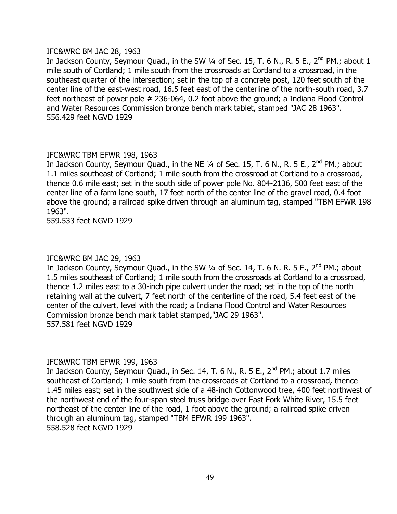# IFC&WRC BM JAC 28, 1963

In Jackson County, Seymour Quad., in the SW  $\frac{1}{4}$  of Sec. 15, T. 6 N., R. 5 E., 2<sup>nd</sup> PM.; about 1 mile south of Cortland; 1 mile south from the crossroads at Cortland to a crossroad, in the southeast quarter of the intersection; set in the top of a concrete post, 120 feet south of the center line of the east-west road, 16.5 feet east of the centerline of the north-south road, 3.7 feet northeast of power pole # 236-064, 0.2 foot above the ground; a Indiana Flood Control and Water Resources Commission bronze bench mark tablet, stamped "JAC 28 1963". 556.429 feet NGVD 1929

# IFC&WRC TBM EFWR 198, 1963

In Jackson County, Seymour Quad., in the NE  $\frac{1}{4}$  of Sec. 15, T. 6 N., R. 5 E., 2<sup>nd</sup> PM.; about 1.1 miles southeast of Cortland; 1 mile south from the crossroad at Cortland to a crossroad, thence 0.6 mile east; set in the south side of power pole No. 804-2136, 500 feet east of the center line of a farm lane south, 17 feet north of the center line of the gravel road, 0.4 foot above the ground; a railroad spike driven through an aluminum tag, stamped "TBM EFWR 198 1963".

559.533 feet NGVD 1929

# IFC&WRC BM JAC 29, 1963

In Jackson County, Seymour Quad., in the SW 1/4 of Sec. 14, T. 6 N. R. 5 E., 2<sup>nd</sup> PM.; about 1.5 miles southeast of Cortland; 1 mile south from the crossroads at Cortland to a crossroad, thence 1.2 miles east to a 30-inch pipe culvert under the road; set in the top of the north retaining wall at the culvert, 7 feet north of the centerline of the road, 5.4 feet east of the center of the culvert, level with the road; a Indiana Flood Control and Water Resources Commission bronze bench mark tablet stamped,"JAC 29 1963". 557.581 feet NGVD 1929

# IFC&WRC TBM EFWR 199, 1963

In Jackson County, Seymour Quad., in Sec. 14, T. 6 N., R. 5 E., 2<sup>nd</sup> PM.; about 1.7 miles southeast of Cortland; 1 mile south from the crossroads at Cortland to a crossroad, thence 1.45 miles east; set in the southwest side of a 48-inch Cottonwood tree, 400 feet northwest of the northwest end of the four-span steel truss bridge over East Fork White River, 15.5 feet northeast of the center line of the road, 1 foot above the ground; a railroad spike driven through an aluminum tag, stamped "TBM EFWR 199 1963". 558.528 feet NGVD 1929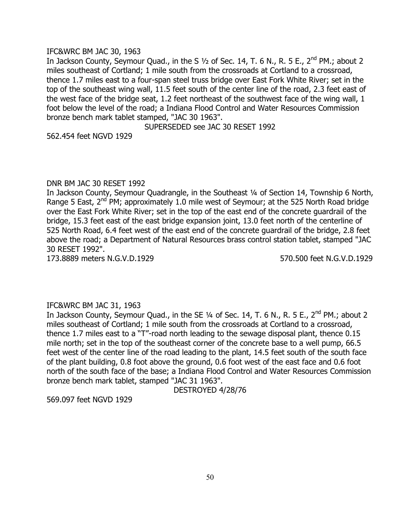#### IFC&WRC BM JAC 30, 1963

In Jackson County, Seymour Quad., in the S  $1/2$  of Sec. 14, T. 6 N., R. 5 E., 2<sup>nd</sup> PM.; about 2 miles southeast of Cortland; 1 mile south from the crossroads at Cortland to a crossroad, thence 1.7 miles east to a four-span steel truss bridge over East Fork White River; set in the top of the southeast wing wall, 11.5 feet south of the center line of the road, 2.3 feet east of the west face of the bridge seat, 1.2 feet northeast of the southwest face of the wing wall, 1 foot below the level of the road; a Indiana Flood Control and Water Resources Commission bronze bench mark tablet stamped, "JAC 30 1963".

SUPERSEDED see JAC 30 RESET 1992

562.454 feet NGVD 1929

#### DNR BM JAC 30 RESET 1992

In Jackson County, Seymour Quadrangle, in the Southeast 1/4 of Section 14, Township 6 North, Range 5 East,  $2^{nd}$  PM; approximately 1.0 mile west of Seymour; at the 525 North Road bridge over the East Fork White River; set in the top of the east end of the concrete guardrail of the bridge, 15.3 feet east of the east bridge expansion joint, 13.0 feet north of the centerline of 525 North Road, 6.4 feet west of the east end of the concrete guardrail of the bridge, 2.8 feet above the road; a Department of Natural Resources brass control station tablet, stamped "JAC 30 RESET 1992".

173.8889 meters N.G.V.D.1929 570.500 feet N.G.V.D.1929

# IFC&WRC BM JAC 31, 1963

In Jackson County, Seymour Quad., in the SE 1/4 of Sec. 14, T. 6 N., R. 5 E., 2<sup>nd</sup> PM.; about 2 miles southeast of Cortland; 1 mile south from the crossroads at Cortland to a crossroad, thence 1.7 miles east to a "T"-road north leading to the sewage disposal plant, thence 0.15 mile north; set in the top of the southeast corner of the concrete base to a well pump, 66.5 feet west of the center line of the road leading to the plant, 14.5 feet south of the south face of the plant building, 0.8 foot above the ground, 0.6 foot west of the east face and 0.6 foot north of the south face of the base; a Indiana Flood Control and Water Resources Commission bronze bench mark tablet, stamped "JAC 31 1963".

DESTROYED 4/28/76

569.097 feet NGVD 1929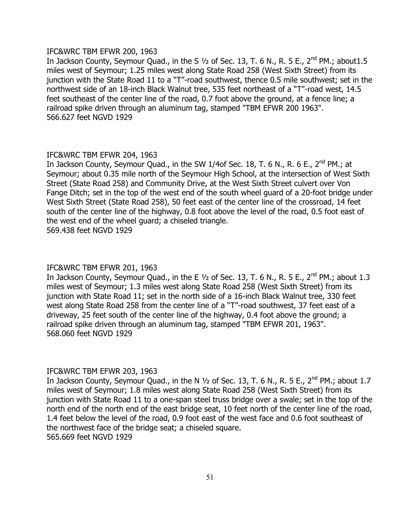#### IFC&WRC TBM EFWR 200, 1963

In Jackson County, Seymour Quad., in the S  $1/2$  of Sec. 13, T. 6 N., R. 5 E.,  $2^{nd}$  PM.; about 1.5 miles west of Seymour; 1.25 miles west along State Road 258 (West Sixth Street) from its junction with the State Road 11 to a "T"-road southwest, thence 0.5 mile southwest; set in the northwest side of an 18-inch Black Walnut tree, 535 feet northeast of a "T"-road west, 14.5 feet southeast of the center line of the road, 0.7 foot above the ground, at a fence line; a railroad spike driven through an aluminum tag, stamped "TBM EFWR 200 1963". 566.627 feet NGVD 1929

# IFC&WRC TBM EFWR 204, 1963

In Jackson County, Seymour Quad., in the SW 1/4of Sec. 18, T. 6 N., R. 6 E., 2<sup>nd</sup> PM.; at Seymour; about 0.35 mile north of the Seymour High School, at the intersection of West Sixth Street (State Road 258) and Community Drive, at the West Sixth Street culvert over Von Fange Ditch; set in the top of the west end of the south wheel guard of a 20-foot bridge under West Sixth Street (State Road 258), 50 feet east of the center line of the crossroad, 14 feet south of the center line of the highway, 0.8 foot above the level of the road, 0.5 foot east of the west end of the wheel guard; a chiseled triangle. 569.438 feet NGVD 1929

# IFC&WRC TBM EFWR 201, 1963

In Jackson County, Seymour Quad., in the E  $1/2$  of Sec. 13, T. 6 N., R. 5 E., 2<sup>nd</sup> PM.; about 1.3 miles west of Seymour; 1.3 miles west along State Road 258 (West Sixth Street) from its junction with State Road 11; set in the north side of a 16-inch Black Walnut tree, 330 feet west along State Road 258 from the center line of a "T"-road southwest, 37 feet east of a driveway, 25 feet south of the center line of the highway, 0.4 foot above the ground; a railroad spike driven through an aluminum tag, stamped "TBM EFWR 201, 1963". 568.060 feet NGVD 1929

# IFC&WRC TBM EFWR 203, 1963

In Jackson County, Seymour Quad., in the N 1/2 of Sec. 13, T. 6 N., R. 5 E., 2<sup>nd</sup> PM.; about 1.7 miles west of Seymour; 1.8 miles west along State Road 258 (West Sixth Street) from its junction with State Road 11 to a one-span steel truss bridge over a swale; set in the top of the north end of the north end of the east bridge seat, 10 feet north of the center line of the road, 1.4 feet below the level of the road, 0.9 foot east of the west face and 0.6 foot southeast of the northwest face of the bridge seat; a chiseled square. 565.669 feet NGVD 1929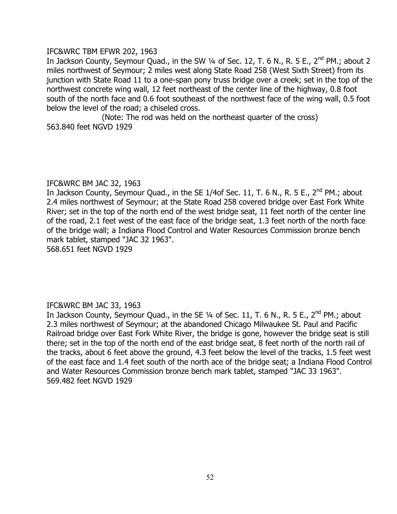# IFC&WRC TBM EFWR 202, 1963

In Jackson County, Seymour Quad., in the SW 1/4 of Sec. 12, T. 6 N., R. 5 E., 2<sup>nd</sup> PM.; about 2 miles northwest of Seymour; 2 miles west along State Road 258 (West Sixth Street) from its junction with State Road 11 to a one-span pony truss bridge over a creek; set in the top of the northwest concrete wing wall, 12 feet northeast of the center line of the highway, 0.8 foot south of the north face and 0.6 foot southeast of the northwest face of the wing wall, 0.5 foot below the level of the road; a chiseled cross.

(Note: The rod was held on the northeast quarter of the cross) 563.840 feet NGVD 1929

# IFC&WRC BM JAC 32, 1963

In Jackson County, Seymour Quad., in the SE 1/4of Sec. 11, T. 6 N., R. 5 E., 2<sup>nd</sup> PM.; about 2.4 miles northwest of Seymour; at the State Road 258 covered bridge over East Fork White River; set in the top of the north end of the west bridge seat, 11 feet north of the center line of the road, 2.1 feet west of the east face of the bridge seat, 1.3 feet north of the north face of the bridge wall; a Indiana Flood Control and Water Resources Commission bronze bench mark tablet, stamped "JAC 32 1963".

568.651 feet NGVD 1929

# IFC&WRC BM JAC 33, 1963

In Jackson County, Seymour Quad., in the SE 1/4 of Sec. 11, T. 6 N., R. 5 E., 2<sup>nd</sup> PM.; about 2.3 miles northwest of Seymour; at the abandoned Chicago Milwaukee St. Paul and Pacific Railroad bridge over East Fork White River, the bridge is gone, however the bridge seat is still there; set in the top of the north end of the east bridge seat, 8 feet north of the north rail of the tracks, about 6 feet above the ground, 4.3 feet below the level of the tracks, 1.5 feet west of the east face and 1.4 feet south of the north ace of the bridge seat; a Indiana Flood Control and Water Resources Commission bronze bench mark tablet, stamped "JAC 33 1963". 569.482 feet NGVD 1929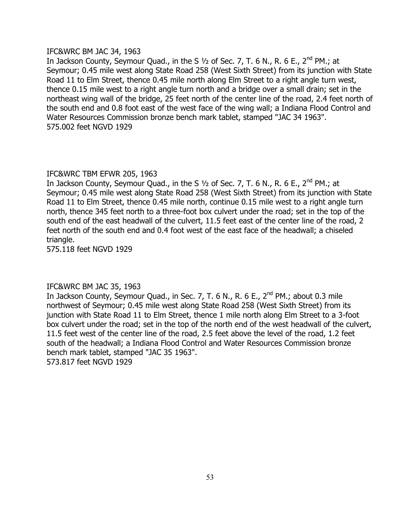# IFC&WRC BM JAC 34, 1963

In Jackson County, Seymour Quad., in the S 1/2 of Sec. 7, T. 6 N., R. 6 E., 2<sup>nd</sup> PM.; at Seymour; 0.45 mile west along State Road 258 (West Sixth Street) from its junction with State Road 11 to Elm Street, thence 0.45 mile north along Elm Street to a right angle turn west, thence 0.15 mile west to a right angle turn north and a bridge over a small drain; set in the northeast wing wall of the bridge, 25 feet north of the center line of the road, 2.4 feet north of the south end and 0.8 foot east of the west face of the wing wall; a Indiana Flood Control and Water Resources Commission bronze bench mark tablet, stamped "JAC 34 1963". 575.002 feet NGVD 1929

# IFC&WRC TBM EFWR 205, 1963

In Jackson County, Seymour Quad., in the S  $1/2$  of Sec. 7, T. 6 N., R. 6 E., 2<sup>nd</sup> PM.; at Seymour; 0.45 mile west along State Road 258 (West Sixth Street) from its junction with State Road 11 to Elm Street, thence 0.45 mile north, continue 0.15 mile west to a right angle turn north, thence 345 feet north to a three-foot box culvert under the road; set in the top of the south end of the east headwall of the culvert, 11.5 feet east of the center line of the road, 2 feet north of the south end and 0.4 foot west of the east face of the headwall; a chiseled triangle.

575.118 feet NGVD 1929

# IFC&WRC BM JAC 35, 1963

In Jackson County, Seymour Quad., in Sec. 7, T. 6 N., R. 6 E.,  $2^{nd}$  PM.; about 0.3 mile northwest of Seymour; 0.45 mile west along State Road 258 (West Sixth Street) from its junction with State Road 11 to Elm Street, thence 1 mile north along Elm Street to a 3-foot box culvert under the road; set in the top of the north end of the west headwall of the culvert, 11.5 feet west of the center line of the road, 2.5 feet above the level of the road, 1.2 feet south of the headwall; a Indiana Flood Control and Water Resources Commission bronze bench mark tablet, stamped "JAC 35 1963". 573.817 feet NGVD 1929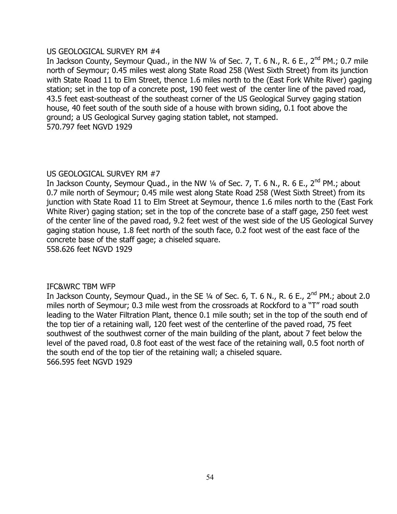#### US GEOLOGICAL SURVEY RM #4

In Jackson County, Seymour Quad., in the NW  $\frac{1}{4}$  of Sec. 7, T. 6 N., R. 6 E., 2<sup>nd</sup> PM.; 0.7 mile north of Seymour; 0.45 miles west along State Road 258 (West Sixth Street) from its junction with State Road 11 to Elm Street, thence 1.6 miles north to the (East Fork White River) gaging station; set in the top of a concrete post, 190 feet west of the center line of the paved road, 43.5 feet east-southeast of the southeast corner of the US Geological Survey gaging station house, 40 feet south of the south side of a house with brown siding, 0.1 foot above the ground; a US Geological Survey gaging station tablet, not stamped. 570.797 feet NGVD 1929

# US GEOLOGICAL SURVEY RM #7

In Jackson County, Seymour Quad., in the NW  $\frac{1}{4}$  of Sec. 7, T. 6 N., R. 6 E., 2<sup>nd</sup> PM.; about 0.7 mile north of Seymour; 0.45 mile west along State Road 258 (West Sixth Street) from its junction with State Road 11 to Elm Street at Seymour, thence 1.6 miles north to the (East Fork White River) gaging station; set in the top of the concrete base of a staff gage, 250 feet west of the center line of the paved road, 9.2 feet west of the west side of the US Geological Survey gaging station house, 1.8 feet north of the south face, 0.2 foot west of the east face of the concrete base of the staff gage; a chiseled square. 558.626 feet NGVD 1929

# IFC&WRC TBM WFP

In Jackson County, Seymour Quad., in the SE  $\frac{1}{4}$  of Sec. 6, T. 6 N., R. 6 E., 2<sup>nd</sup> PM.; about 2.0 miles north of Seymour; 0.3 mile west from the crossroads at Rockford to a "T" road south leading to the Water Filtration Plant, thence 0.1 mile south; set in the top of the south end of the top tier of a retaining wall, 120 feet west of the centerline of the paved road, 75 feet southwest of the southwest corner of the main building of the plant, about 7 feet below the level of the paved road, 0.8 foot east of the west face of the retaining wall, 0.5 foot north of the south end of the top tier of the retaining wall; a chiseled square. 566.595 feet NGVD 1929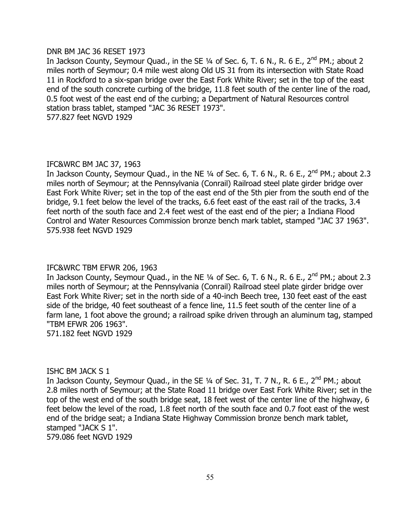#### DNR BM JAC 36 RESET 1973

In Jackson County, Seymour Quad., in the SE 1/4 of Sec. 6, T. 6 N., R. 6 E., 2<sup>nd</sup> PM.; about 2 miles north of Seymour; 0.4 mile west along Old US 31 from its intersection with State Road 11 in Rockford to a six-span bridge over the East Fork White River; set in the top of the east end of the south concrete curbing of the bridge, 11.8 feet south of the center line of the road, 0.5 foot west of the east end of the curbing; a Department of Natural Resources control station brass tablet, stamped "JAC 36 RESET 1973". 577.827 feet NGVD 1929

# IFC&WRC BM JAC 37, 1963

In Jackson County, Seymour Quad., in the NE  $\frac{1}{4}$  of Sec. 6, T. 6 N., R. 6 E., 2<sup>nd</sup> PM.; about 2.3 miles north of Seymour; at the Pennsylvania (Conrail) Railroad steel plate girder bridge over East Fork White River; set in the top of the east end of the 5th pier from the south end of the bridge, 9.1 feet below the level of the tracks, 6.6 feet east of the east rail of the tracks, 3.4 feet north of the south face and 2.4 feet west of the east end of the pier; a Indiana Flood Control and Water Resources Commission bronze bench mark tablet, stamped "JAC 37 1963". 575.938 feet NGVD 1929

# IFC&WRC TBM EFWR 206, 1963

In Jackson County, Seymour Quad., in the NE  $\frac{1}{4}$  of Sec. 6, T. 6 N., R. 6 E., 2<sup>nd</sup> PM.; about 2.3 miles north of Seymour; at the Pennsylvania (Conrail) Railroad steel plate girder bridge over East Fork White River; set in the north side of a 40-inch Beech tree, 130 feet east of the east side of the bridge, 40 feet southeast of a fence line, 11.5 feet south of the center line of a farm lane, 1 foot above the ground; a railroad spike driven through an aluminum tag, stamped "TBM EFWR 206 1963".

571.182 feet NGVD 1929

#### ISHC BM JACK S 1

In Jackson County, Seymour Quad., in the SE  $\frac{1}{4}$  of Sec. 31, T. 7 N., R. 6 E., 2<sup>nd</sup> PM.; about 2.8 miles north of Seymour; at the State Road 11 bridge over East Fork White River; set in the top of the west end of the south bridge seat, 18 feet west of the center line of the highway, 6 feet below the level of the road, 1.8 feet north of the south face and 0.7 foot east of the west end of the bridge seat; a Indiana State Highway Commission bronze bench mark tablet, stamped "JACK S 1". 579.086 feet NGVD 1929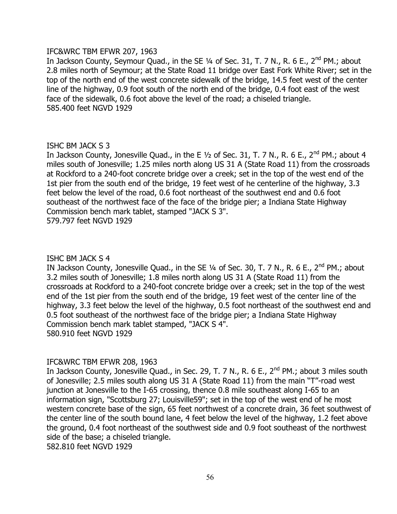#### IFC&WRC TBM EFWR 207, 1963

In Jackson County, Seymour Quad., in the SE 1/4 of Sec. 31, T. 7 N., R. 6 E., 2<sup>nd</sup> PM.; about 2.8 miles north of Seymour; at the State Road 11 bridge over East Fork White River; set in the top of the north end of the west concrete sidewalk of the bridge, 14.5 feet west of the center line of the highway, 0.9 foot south of the north end of the bridge, 0.4 foot east of the west face of the sidewalk, 0.6 foot above the level of the road; a chiseled triangle. 585.400 feet NGVD 1929

# ISHC BM JACK S 3

In Jackson County, Jonesville Quad., in the E  $1/2$  of Sec. 31, T. 7 N., R. 6 E., 2<sup>nd</sup> PM.; about 4 miles south of Jonesville; 1.25 miles north along US 31 A (State Road 11) from the crossroads at Rockford to a 240-foot concrete bridge over a creek; set in the top of the west end of the 1st pier from the south end of the bridge, 19 feet west of he centerline of the highway, 3.3 feet below the level of the road, 0.6 foot northeast of the southwest end and 0.6 foot southeast of the northwest face of the face of the bridge pier; a Indiana State Highway Commission bench mark tablet, stamped "JACK S 3". 579.797 feet NGVD 1929

# ISHC BM JACK S 4

IN Jackson County, Jonesville Quad., in the SE 1/4 of Sec. 30, T. 7 N., R. 6 E., 2<sup>nd</sup> PM.; about 3.2 miles south of Jonesville; 1.8 miles north along US 31 A (State Road 11) from the crossroads at Rockford to a 240-foot concrete bridge over a creek; set in the top of the west end of the 1st pier from the south end of the bridge, 19 feet west of the center line of the highway, 3.3 feet below the level of the highway, 0.5 foot northeast of the southwest end and 0.5 foot southeast of the northwest face of the bridge pier; a Indiana State Highway Commission bench mark tablet stamped, "JACK S 4". 580.910 feet NGVD 1929

# IFC&WRC TBM EFWR 208, 1963

In Jackson County, Jonesville Quad., in Sec. 29, T. 7 N., R. 6 E., 2<sup>nd</sup> PM.; about 3 miles south of Jonesville; 2.5 miles south along US 31 A (State Road 11) from the main "T"-road west junction at Jonesville to the I-65 crossing, thence 0.8 mile southeast along I-65 to an information sign, "Scottsburg 27; Louisville59"; set in the top of the west end of he most western concrete base of the sign, 65 feet northwest of a concrete drain, 36 feet southwest of the center line of the south bound lane, 4 feet below the level of the highway, 1.2 feet above the ground, 0.4 foot northeast of the southwest side and 0.9 foot southeast of the northwest side of the base; a chiseled triangle. 582.810 feet NGVD 1929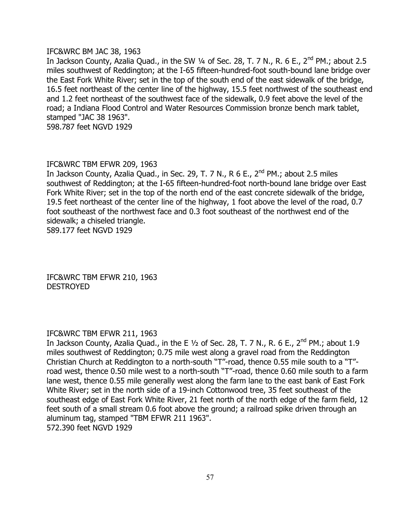# IFC&WRC BM JAC 38, 1963

In Jackson County, Azalia Quad., in the SW 1/4 of Sec. 28, T. 7 N., R. 6 E., 2<sup>nd</sup> PM.; about 2.5 miles southwest of Reddington; at the I-65 fifteen-hundred-foot south-bound lane bridge over the East Fork White River; set in the top of the south end of the east sidewalk of the bridge, 16.5 feet northeast of the center line of the highway, 15.5 feet northwest of the southeast end and 1.2 feet northeast of the southwest face of the sidewalk, 0.9 feet above the level of the road; a Indiana Flood Control and Water Resources Commission bronze bench mark tablet, stamped "JAC 38 1963". 598.787 feet NGVD 1929

# IFC&WRC TBM EFWR 209, 1963

In Jackson County, Azalia Quad., in Sec. 29, T. 7 N., R 6 E.,  $2^{nd}$  PM.; about 2.5 miles southwest of Reddington; at the I-65 fifteen-hundred-foot north-bound lane bridge over East Fork White River; set in the top of the north end of the east concrete sidewalk of the bridge, 19.5 feet northeast of the center line of the highway, 1 foot above the level of the road, 0.7 foot southeast of the northwest face and 0.3 foot southeast of the northwest end of the sidewalk; a chiseled triangle. 589.177 feet NGVD 1929

IFC&WRC TBM EFWR 210, 1963 **DESTROYED** 

# IFC&WRC TBM EFWR 211, 1963

In Jackson County, Azalia Quad., in the E 1/2 of Sec. 28, T. 7 N., R. 6 E., 2<sup>nd</sup> PM.; about 1.9 miles southwest of Reddington; 0.75 mile west along a gravel road from the Reddington Christian Church at Reddington to a north-south "T"-road, thence 0.55 mile south to a "T" road west, thence 0.50 mile west to a north-south "T"-road, thence 0.60 mile south to a farm lane west, thence 0.55 mile generally west along the farm lane to the east bank of East Fork White River; set in the north side of a 19-inch Cottonwood tree, 35 feet southeast of the southeast edge of East Fork White River, 21 feet north of the north edge of the farm field, 12 feet south of a small stream 0.6 foot above the ground; a railroad spike driven through an aluminum tag, stamped "TBM EFWR 211 1963". 572.390 feet NGVD 1929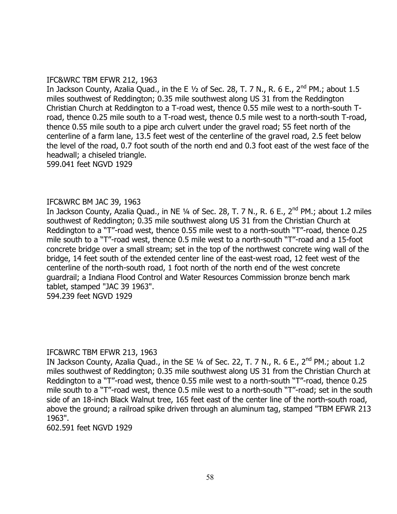# IFC&WRC TBM EFWR 212, 1963

In Jackson County, Azalia Quad., in the E  $1/2$  of Sec. 28, T. 7 N., R. 6 E., 2<sup>nd</sup> PM.; about 1.5 miles southwest of Reddington; 0.35 mile southwest along US 31 from the Reddington Christian Church at Reddington to a T-road west, thence 0.55 mile west to a north-south Troad, thence 0.25 mile south to a T-road west, thence 0.5 mile west to a north-south T-road, thence 0.55 mile south to a pipe arch culvert under the gravel road; 55 feet north of the centerline of a farm lane, 13.5 feet west of the centerline of the gravel road, 2.5 feet below the level of the road, 0.7 foot south of the north end and 0.3 foot east of the west face of the headwall; a chiseled triangle. 599.041 feet NGVD 1929

# IFC&WRC BM JAC 39, 1963

In Jackson County, Azalia Quad., in NE 1/4 of Sec. 28, T. 7 N., R. 6 E., 2<sup>nd</sup> PM.; about 1.2 miles southwest of Reddington; 0.35 mile southwest along US 31 from the Christian Church at Reddington to a "T"-road west, thence 0.55 mile west to a north-south "T"-road, thence 0.25 mile south to a "T"-road west, thence 0.5 mile west to a north-south "T"-road and a 15-foot concrete bridge over a small stream; set in the top of the northwest concrete wing wall of the bridge, 14 feet south of the extended center line of the east-west road, 12 feet west of the centerline of the north-south road, 1 foot north of the north end of the west concrete guardrail; a Indiana Flood Control and Water Resources Commission bronze bench mark tablet, stamped "JAC 39 1963". 594.239 feet NGVD 1929

# IFC&WRC TBM EFWR 213, 1963

IN Jackson County, Azalia Quad., in the SE 1/4 of Sec. 22, T. 7 N., R. 6 E., 2<sup>nd</sup> PM.; about 1.2 miles southwest of Reddington; 0.35 mile southwest along US 31 from the Christian Church at Reddington to a "T"-road west, thence 0.55 mile west to a north-south "T"-road, thence 0.25 mile south to a "T"-road west, thence 0.5 mile west to a north-south "T"-road; set in the south side of an 18-inch Black Walnut tree, 165 feet east of the center line of the north-south road, above the ground; a railroad spike driven through an aluminum tag, stamped "TBM EFWR 213 1963".

602.591 feet NGVD 1929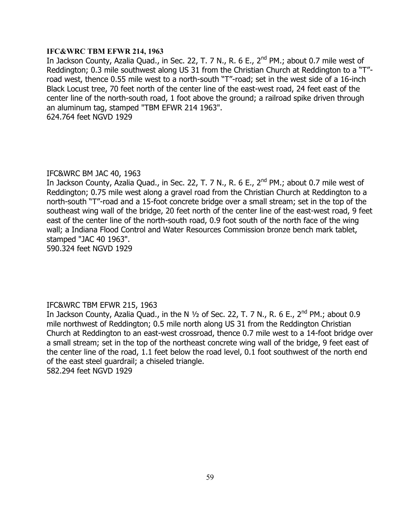#### **IFC&WRC TBM EFWR 214, 1963**

In Jackson County, Azalia Quad., in Sec. 22, T. 7 N., R. 6 E., 2<sup>nd</sup> PM.; about 0.7 mile west of Reddington; 0.3 mile southwest along US 31 from the Christian Church at Reddington to a "T" road west, thence 0.55 mile west to a north-south "T"-road; set in the west side of a 16-inch Black Locust tree, 70 feet north of the center line of the east-west road, 24 feet east of the center line of the north-south road, 1 foot above the ground; a railroad spike driven through an aluminum tag, stamped "TBM EFWR 214 1963". 624.764 feet NGVD 1929

#### IFC&WRC BM JAC 40, 1963

In Jackson County, Azalia Quad., in Sec. 22, T. 7 N., R. 6 E.,  $2^{nd}$  PM.; about 0.7 mile west of Reddington; 0.75 mile west along a gravel road from the Christian Church at Reddington to a north-south "T"-road and a 15-foot concrete bridge over a small stream; set in the top of the southeast wing wall of the bridge, 20 feet north of the center line of the east-west road, 9 feet east of the center line of the north-south road, 0.9 foot south of the north face of the wing wall; a Indiana Flood Control and Water Resources Commission bronze bench mark tablet, stamped "JAC 40 1963".

590.324 feet NGVD 1929

# IFC&WRC TBM EFWR 215, 1963

In Jackson County, Azalia Quad., in the N  $\frac{1}{2}$  of Sec. 22, T. 7 N., R. 6 E., 2<sup>nd</sup> PM.; about 0.9 mile northwest of Reddington; 0.5 mile north along US 31 from the Reddington Christian Church at Reddington to an east-west crossroad, thence 0.7 mile west to a 14-foot bridge over a small stream; set in the top of the northeast concrete wing wall of the bridge, 9 feet east of the center line of the road, 1.1 feet below the road level, 0.1 foot southwest of the north end of the east steel guardrail; a chiseled triangle. 582.294 feet NGVD 1929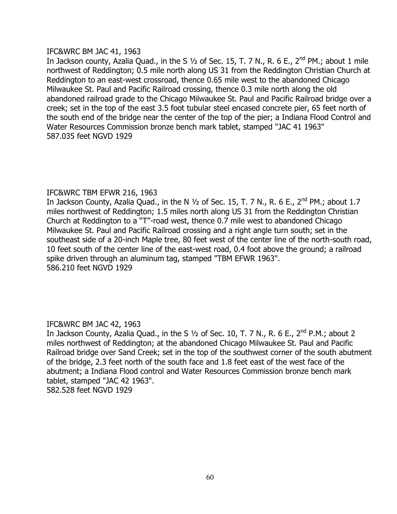# IFC&WRC BM JAC 41, 1963

In Jackson county, Azalia Quad., in the S  $1/2$  of Sec. 15, T. 7 N., R. 6 E., 2<sup>nd</sup> PM.; about 1 mile northwest of Reddington; 0.5 mile north along US 31 from the Reddington Christian Church at Reddington to an east-west crossroad, thence 0.65 mile west to the abandoned Chicago Milwaukee St. Paul and Pacific Railroad crossing, thence 0.3 mile north along the old abandoned railroad grade to the Chicago Milwaukee St. Paul and Pacific Railroad bridge over a creek; set in the top of the east 3.5 foot tubular steel encased concrete pier, 65 feet north of the south end of the bridge near the center of the top of the pier; a Indiana Flood Control and Water Resources Commission bronze bench mark tablet, stamped "JAC 41 1963" 587.035 feet NGVD 1929

# IFC&WRC TBM EFWR 216, 1963

In Jackson County, Azalia Quad., in the N  $1/2$  of Sec. 15, T. 7 N., R. 6 E., 2<sup>nd</sup> PM.; about 1.7 miles northwest of Reddington; 1.5 miles north along US 31 from the Reddington Christian Church at Reddington to a "T"-road west, thence 0.7 mile west to abandoned Chicago Milwaukee St. Paul and Pacific Railroad crossing and a right angle turn south; set in the southeast side of a 20-inch Maple tree, 80 feet west of the center line of the north-south road, 10 feet south of the center line of the east-west road, 0.4 foot above the ground; a railroad spike driven through an aluminum tag, stamped "TBM EFWR 1963". 586.210 feet NGVD 1929

# IFC&WRC BM JAC 42, 1963

In Jackson County, Azalia Quad., in the S  $1/2$  of Sec. 10, T. 7 N., R. 6 E., 2<sup>nd</sup> P.M.; about 2 miles northwest of Reddington; at the abandoned Chicago Milwaukee St. Paul and Pacific Railroad bridge over Sand Creek; set in the top of the southwest corner of the south abutment of the bridge, 2.3 feet north of the south face and 1.8 feet east of the west face of the abutment; a Indiana Flood control and Water Resources Commission bronze bench mark tablet, stamped "JAC 42 1963". 582.528 feet NGVD 1929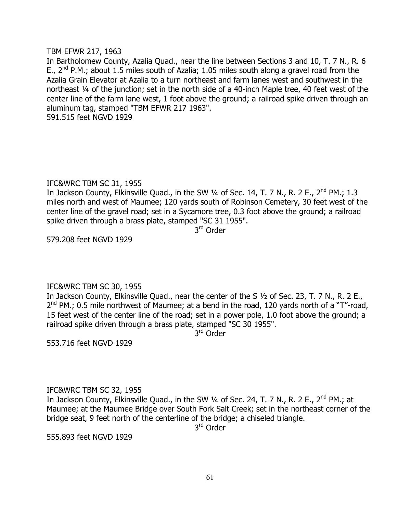#### TBM EFWR 217, 1963

In Bartholomew County, Azalia Quad., near the line between Sections 3 and 10, T. 7 N., R. 6 E.,  $2^{nd}$  P.M.; about 1.5 miles south of Azalia; 1.05 miles south along a gravel road from the Azalia Grain Elevator at Azalia to a turn northeast and farm lanes west and southwest in the northeast ¼ of the junction; set in the north side of a 40-inch Maple tree, 40 feet west of the center line of the farm lane west, 1 foot above the ground; a railroad spike driven through an aluminum tag, stamped "TBM EFWR 217 1963".

591.515 feet NGVD 1929

# IFC&WRC TBM SC 31, 1955

In Jackson County, Elkinsville Quad., in the SW  $\frac{1}{4}$  of Sec. 14, T. 7 N., R. 2 E., 2<sup>nd</sup> PM.; 1.3 miles north and west of Maumee; 120 yards south of Robinson Cemetery, 30 feet west of the center line of the gravel road; set in a Sycamore tree, 0.3 foot above the ground; a railroad spike driven through a brass plate, stamped "SC 31 1955".

3<sup>rd</sup> Order

579.208 feet NGVD 1929

# IFC&WRC TBM SC 30, 1955

In Jackson County, Elkinsville Quad., near the center of the S ½ of Sec. 23, T. 7 N., R. 2 E., 2<sup>nd</sup> PM.; 0.5 mile northwest of Maumee; at a bend in the road, 120 yards north of a "T"-road, 15 feet west of the center line of the road; set in a power pole, 1.0 foot above the ground; a railroad spike driven through a brass plate, stamped "SC 30 1955".

3<sup>rd</sup> Order

553.716 feet NGVD 1929

# IFC&WRC TBM SC 32, 1955

In Jackson County, Elkinsville Quad., in the SW 1/4 of Sec. 24, T. 7 N., R. 2 E., 2<sup>nd</sup> PM.; at Maumee; at the Maumee Bridge over South Fork Salt Creek; set in the northeast corner of the bridge seat, 9 feet north of the centerline of the bridge; a chiseled triangle.

3<sup>rd</sup> Order

555.893 feet NGVD 1929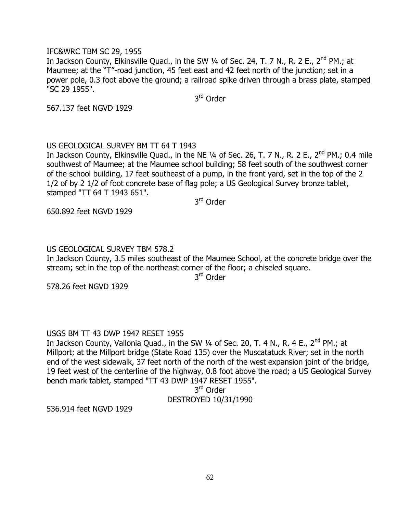#### IFC&WRC TBM SC 29, 1955

In Jackson County, Elkinsville Quad., in the SW 1/4 of Sec. 24, T. 7 N., R. 2 E., 2<sup>nd</sup> PM.; at Maumee; at the "T"-road junction, 45 feet east and 42 feet north of the junction; set in a power pole, 0.3 foot above the ground; a railroad spike driven through a brass plate, stamped "SC 29 1955".

3<sup>rd</sup> Order

567.137 feet NGVD 1929

# US GEOLOGICAL SURVEY BM TT 64 T 1943

In Jackson County, Elkinsville Quad., in the NE  $\frac{1}{4}$  of Sec. 26, T. 7 N., R. 2 E., 2<sup>nd</sup> PM.; 0.4 mile southwest of Maumee; at the Maumee school building; 58 feet south of the southwest corner of the school building, 17 feet southeast of a pump, in the front yard, set in the top of the 2 1/2 of by 2 1/2 of foot concrete base of flag pole; a US Geological Survey bronze tablet, stamped "TT 64 T 1943 651".

3<sup>rd</sup> Order

650.892 feet NGVD 1929

#### US GEOLOGICAL SURVEY TBM 578.2

In Jackson County, 3.5 miles southeast of the Maumee School, at the concrete bridge over the stream; set in the top of the northeast corner of the floor; a chiseled square.

3<sup>rd</sup> Order

578.26 feet NGVD 1929

# USGS BM TT 43 DWP 1947 RESET 1955

In Jackson County, Vallonia Quad., in the SW 1/4 of Sec. 20, T. 4 N., R. 4 E., 2<sup>nd</sup> PM.; at Millport; at the Millport bridge (State Road 135) over the Muscatatuck River; set in the north end of the west sidewalk, 37 feet north of the north of the west expansion joint of the bridge, 19 feet west of the centerline of the highway, 0.8 foot above the road; a US Geological Survey bench mark tablet, stamped "TT 43 DWP 1947 RESET 1955".

3<sup>rd</sup> Order

# DESTROYED 10/31/1990

536.914 feet NGVD 1929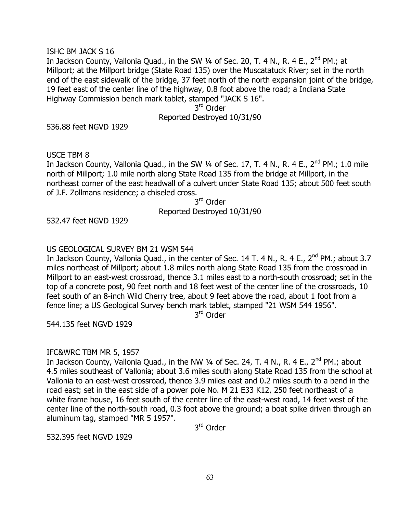#### ISHC BM JACK S 16

In Jackson County, Vallonia Quad., in the SW 1/4 of Sec. 20, T. 4 N., R. 4 E., 2<sup>nd</sup> PM.; at Millport; at the Millport bridge (State Road 135) over the Muscatatuck River; set in the north end of the east sidewalk of the bridge, 37 feet north of the north expansion joint of the bridge, 19 feet east of the center line of the highway, 0.8 foot above the road; a Indiana State Highway Commission bench mark tablet, stamped "JACK S 16".

> 3<sup>rd</sup> Order Reported Destroyed 10/31/90

536.88 feet NGVD 1929

USCE TBM 8

In Jackson County, Vallonia Quad., in the SW 1/4 of Sec. 17, T. 4 N., R. 4 E., 2<sup>nd</sup> PM.; 1.0 mile north of Millport; 1.0 mile north along State Road 135 from the bridge at Millport, in the northeast corner of the east headwall of a culvert under State Road 135; about 500 feet south of J.F. Zollmans residence; a chiseled cross.

3<sup>rd</sup> Order Reported Destroyed 10/31/90

532.47 feet NGVD 1929

# US GEOLOGICAL SURVEY BM 21 WSM 544

In Jackson County, Vallonia Quad., in the center of Sec. 14 T. 4 N., R. 4 E., 2<sup>nd</sup> PM.; about 3.7 miles northeast of Millport; about 1.8 miles north along State Road 135 from the crossroad in Millport to an east-west crossroad, thence 3.1 miles east to a north-south crossroad; set in the top of a concrete post, 90 feet north and 18 feet west of the center line of the crossroads, 10 feet south of an 8-inch Wild Cherry tree, about 9 feet above the road, about 1 foot from a fence line; a US Geological Survey bench mark tablet, stamped "21 WSM 544 1956".

3<sup>rd</sup> Order

544.135 feet NGVD 1929

# IFC&WRC TBM MR 5, 1957

In Jackson County, Vallonia Quad., in the NW 1/4 of Sec. 24, T. 4 N., R. 4 E., 2<sup>nd</sup> PM.; about 4.5 miles southeast of Vallonia; about 3.6 miles south along State Road 135 from the school at Vallonia to an east-west crossroad, thence 3.9 miles east and 0.2 miles south to a bend in the road east; set in the east side of a power pole No. M 21 E33 K12, 250 feet northeast of a white frame house, 16 feet south of the center line of the east-west road, 14 feet west of the center line of the north-south road, 0.3 foot above the ground; a boat spike driven through an aluminum tag, stamped "MR 5 1957".

3<sup>rd</sup> Order

532.395 feet NGVD 1929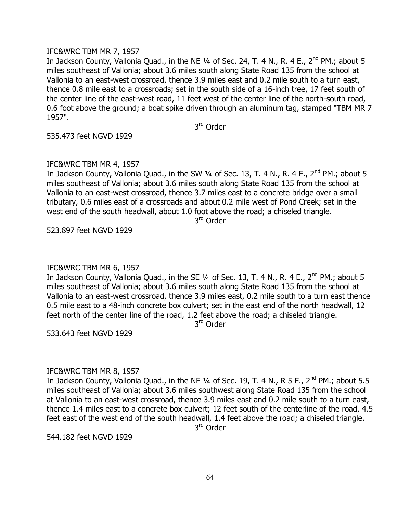#### IFC&WRC TBM MR 7, 1957

In Jackson County, Vallonia Quad., in the NE 1/4 of Sec. 24, T. 4 N., R. 4 E., 2<sup>nd</sup> PM.; about 5 miles southeast of Vallonia; about 3.6 miles south along State Road 135 from the school at Vallonia to an east-west crossroad, thence 3.9 miles east and 0.2 mile south to a turn east, thence 0.8 mile east to a crossroads; set in the south side of a 16-inch tree, 17 feet south of the center line of the east-west road, 11 feet west of the center line of the north-south road, 0.6 foot above the ground; a boat spike driven through an aluminum tag, stamped "TBM MR 7 1957".

3<sup>rd</sup> Order

535.473 feet NGVD 1929

#### IFC&WRC TBM MR 4, 1957

In Jackson County, Vallonia Quad., in the SW  $\frac{1}{4}$  of Sec. 13, T. 4 N., R. 4 E., 2<sup>nd</sup> PM.; about 5 miles southeast of Vallonia; about 3.6 miles south along State Road 135 from the school at Vallonia to an east-west crossroad, thence 3.7 miles east to a concrete bridge over a small tributary, 0.6 miles east of a crossroads and about 0.2 mile west of Pond Creek; set in the west end of the south headwall, about 1.0 foot above the road; a chiseled triangle.

3<sup>rd</sup> Order

523.897 feet NGVD 1929

#### IFC&WRC TBM MR 6, 1957

In Jackson County, Vallonia Quad., in the SE 1/4 of Sec. 13, T. 4 N., R. 4 E., 2<sup>nd</sup> PM.; about 5 miles southeast of Vallonia; about 3.6 miles south along State Road 135 from the school at Vallonia to an east-west crossroad, thence 3.9 miles east, 0.2 mile south to a turn east thence 0.5 mile east to a 48-inch concrete box culvert; set in the east end of the north headwall, 12 feet north of the center line of the road, 1.2 feet above the road; a chiseled triangle.

3<sup>rd</sup> Order

533.643 feet NGVD 1929

#### IFC&WRC TBM MR 8, 1957

In Jackson County, Vallonia Quad., in the NE  $\frac{1}{4}$  of Sec. 19, T. 4 N., R 5 E., 2<sup>nd</sup> PM.; about 5.5 miles southeast of Vallonia; about 3.6 miles southwest along State Road 135 from the school at Vallonia to an east-west crossroad, thence 3.9 miles east and 0.2 mile south to a turn east, thence 1.4 miles east to a concrete box culvert; 12 feet south of the centerline of the road, 4.5 feet east of the west end of the south headwall, 1.4 feet above the road; a chiseled triangle.

3<sup>rd</sup> Order

544.182 feet NGVD 1929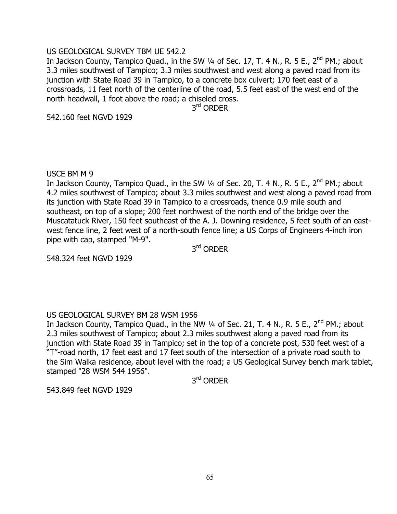# US GEOLOGICAL SURVEY TBM UE 542.2

In Jackson County, Tampico Quad., in the SW  $\frac{1}{4}$  of Sec. 17, T. 4 N., R. 5 E., 2<sup>nd</sup> PM.; about 3.3 miles southwest of Tampico; 3.3 miles southwest and west along a paved road from its junction with State Road 39 in Tampico, to a concrete box culvert; 170 feet east of a crossroads, 11 feet north of the centerline of the road, 5.5 feet east of the west end of the north headwall, 1 foot above the road; a chiseled cross.

3<sup>rd</sup> ORDER

542.160 feet NGVD 1929

# USCE BM M 9

In Jackson County, Tampico Quad., in the SW  $\frac{1}{4}$  of Sec. 20, T. 4 N., R. 5 E., 2<sup>nd</sup> PM.; about 4.2 miles southwest of Tampico; about 3.3 miles southwest and west along a paved road from its junction with State Road 39 in Tampico to a crossroads, thence 0.9 mile south and southeast, on top of a slope; 200 feet northwest of the north end of the bridge over the Muscatatuck River, 150 feet southeast of the A. J. Downing residence, 5 feet south of an eastwest fence line, 2 feet west of a north-south fence line; a US Corps of Engineers 4-inch iron pipe with cap, stamped "M-9".

3<sup>rd</sup> Order

548.324 feet NGVD 1929

# US GEOLOGICAL SURVEY BM 28 WSM 1956

In Jackson County, Tampico Quad., in the NW 1/4 of Sec. 21, T. 4 N., R. 5 E., 2<sup>nd</sup> PM.; about 2.3 miles southwest of Tampico; about 2.3 miles southwest along a paved road from its junction with State Road 39 in Tampico; set in the top of a concrete post, 530 feet west of a "T"-road north, 17 feet east and 17 feet south of the intersection of a private road south to the Sim Walka residence, about level with the road; a US Geological Survey bench mark tablet, stamped "28 WSM 544 1956".

3<sup>rd</sup> Order

543.849 feet NGVD 1929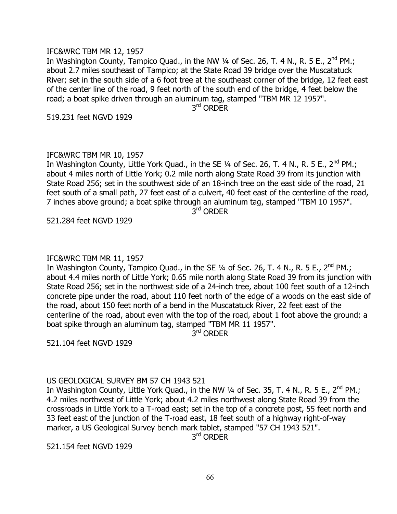#### IFC&WRC TBM MR 12, 1957

In Washington County, Tampico Quad., in the NW  $\frac{1}{4}$  of Sec. 26, T. 4 N., R. 5 E., 2<sup>nd</sup> PM.; about 2.7 miles southeast of Tampico; at the State Road 39 bridge over the Muscatatuck River; set in the south side of a 6 foot tree at the southeast corner of the bridge, 12 feet east of the center line of the road, 9 feet north of the south end of the bridge, 4 feet below the road; a boat spike driven through an aluminum tag, stamped "TBM MR 12 1957". 3 rd ORDER

519.231 feet NGVD 1929

#### IFC&WRC TBM MR 10, 1957

In Washington County, Little York Quad., in the SE 1/4 of Sec. 26, T. 4 N., R. 5 E., 2<sup>nd</sup> PM.; about 4 miles north of Little York; 0.2 mile north along State Road 39 from its junction with State Road 256; set in the southwest side of an 18-inch tree on the east side of the road, 21 feet south of a small path, 27 feet east of a culvert, 40 feet east of the centerline of the road, 7 inches above ground; a boat spike through an aluminum tag, stamped "TBM 10 1957". 3 rd ORDER

521.284 feet NGVD 1929

#### IFC&WRC TBM MR 11, 1957

In Washington County, Tampico Quad., in the SE 1/4 of Sec. 26, T. 4 N., R. 5 E., 2<sup>nd</sup> PM.; about 4.4 miles north of Little York; 0.65 mile north along State Road 39 from its junction with State Road 256; set in the northwest side of a 24-inch tree, about 100 feet south of a 12-inch concrete pipe under the road, about 110 feet north of the edge of a woods on the east side of the road, about 150 feet north of a bend in the Muscatatuck River, 22 feet east of the centerline of the road, about even with the top of the road, about 1 foot above the ground; a boat spike through an aluminum tag, stamped "TBM MR 11 1957".

3<sup>rd</sup> ORDER

521.104 feet NGVD 1929

# US GEOLOGICAL SURVEY BM 57 CH 1943 521

In Washington County, Little York Quad., in the NW 1/4 of Sec. 35, T. 4 N., R. 5 E., 2<sup>nd</sup> PM.; 4.2 miles northwest of Little York; about 4.2 miles northwest along State Road 39 from the crossroads in Little York to a T-road east; set in the top of a concrete post, 55 feet north and 33 feet east of the junction of the T-road east, 18 feet south of a highway right-of-way marker, a US Geological Survey bench mark tablet, stamped "57 CH 1943 521".

3<sup>rd</sup> Order

521.154 feet NGVD 1929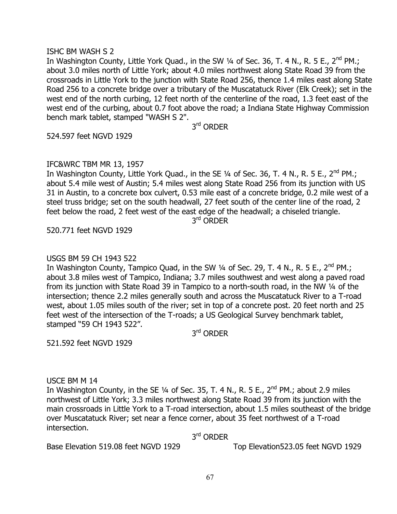#### ISHC BM WASH S 2

In Washington County, Little York Quad., in the SW 1/4 of Sec. 36, T. 4 N., R. 5 E., 2<sup>nd</sup> PM.; about 3.0 miles north of Little York; about 4.0 miles northwest along State Road 39 from the crossroads in Little York to the junction with State Road 256, thence 1.4 miles east along State Road 256 to a concrete bridge over a tributary of the Muscatatuck River (Elk Creek); set in the west end of the north curbing, 12 feet north of the centerline of the road, 1.3 feet east of the west end of the curbing, about 0.7 foot above the road; a Indiana State Highway Commission bench mark tablet, stamped "WASH S 2".

3<sup>rd</sup> Order

524.597 feet NGVD 1929

#### IFC&WRC TBM MR 13, 1957

In Washington County, Little York Quad., in the SE  $\frac{1}{4}$  of Sec. 36, T. 4 N., R. 5 E., 2<sup>nd</sup> PM.; about 5.4 mile west of Austin; 5.4 miles west along State Road 256 from its junction with US 31 in Austin, to a concrete box culvert, 0.53 mile east of a concrete bridge, 0.2 mile west of a steel truss bridge; set on the south headwall, 27 feet south of the center line of the road, 2 feet below the road, 2 feet west of the east edge of the headwall; a chiseled triangle.

3<sup>rd</sup> ORDER

520.771 feet NGVD 1929

#### USGS BM 59 CH 1943 522

In Washington County, Tampico Quad, in the SW 1/4 of Sec. 29, T. 4 N., R. 5 E., 2<sup>nd</sup> PM.; about 3.8 miles west of Tampico, Indiana; 3.7 miles southwest and west along a paved road from its junction with State Road 39 in Tampico to a north-south road, in the NW ¼ of the intersection; thence 2.2 miles generally south and across the Muscatatuck River to a T-road west, about 1.05 miles south of the river; set in top of a concrete post. 20 feet north and 25 feet west of the intersection of the T-roads; a US Geological Survey benchmark tablet, stamped "59 CH 1943 522".

3<sup>rd</sup> Order

521.592 feet NGVD 1929

USCE BM M 14

In Washington County, in the SE  $\frac{1}{4}$  of Sec. 35, T. 4 N., R. 5 E., 2<sup>nd</sup> PM.; about 2.9 miles northwest of Little York; 3.3 miles northwest along State Road 39 from its junction with the main crossroads in Little York to a T-road intersection, about 1.5 miles southeast of the bridge over Muscatatuck River; set near a fence corner, about 35 feet northwest of a T-road intersection.

3<sup>rd</sup> Order

Base Elevation 519.08 feet NGVD 1929 Top Elevation523.05 feet NGVD 1929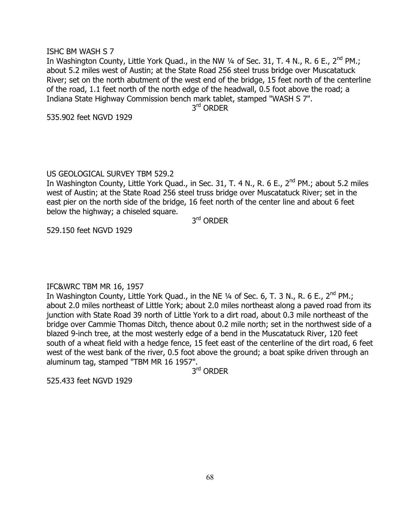#### ISHC BM WASH S 7

In Washington County, Little York Quad., in the NW  $\frac{1}{4}$  of Sec. 31, T. 4 N., R. 6 E., 2<sup>nd</sup> PM.; about 5.2 miles west of Austin; at the State Road 256 steel truss bridge over Muscatatuck River; set on the north abutment of the west end of the bridge, 15 feet north of the centerline of the road, 1.1 feet north of the north edge of the headwall, 0.5 foot above the road; a Indiana State Highway Commission bench mark tablet, stamped "WASH S 7".

3<sup>rd</sup> ORDER

535.902 feet NGVD 1929

# US GEOLOGICAL SURVEY TBM 529.2

In Washington County, Little York Quad., in Sec. 31, T. 4 N., R. 6 E., 2<sup>nd</sup> PM.; about 5.2 miles west of Austin; at the State Road 256 steel truss bridge over Muscatatuck River; set in the east pier on the north side of the bridge, 16 feet north of the center line and about 6 feet below the highway; a chiseled square.

3<sup>rd</sup> Order

529.150 feet NGVD 1929

# IFC&WRC TBM MR 16, 1957

In Washington County, Little York Quad., in the NE  $\frac{1}{4}$  of Sec. 6, T. 3 N., R. 6 E., 2<sup>nd</sup> PM.; about 2.0 miles northeast of Little York; about 2.0 miles northeast along a paved road from its junction with State Road 39 north of Little York to a dirt road, about 0.3 mile northeast of the bridge over Cammie Thomas Ditch, thence about 0.2 mile north; set in the northwest side of a blazed 9-inch tree, at the most westerly edge of a bend in the Muscatatuck River, 120 feet south of a wheat field with a hedge fence, 15 feet east of the centerline of the dirt road, 6 feet west of the west bank of the river, 0.5 foot above the ground; a boat spike driven through an aluminum tag, stamped "TBM MR 16 1957".

3<sup>rd</sup> Order

525.433 feet NGVD 1929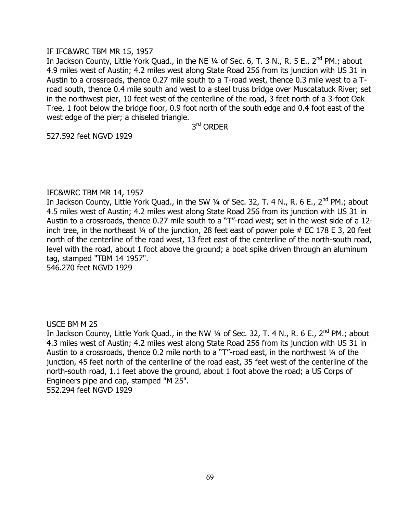#### IF IFC&WRC TBM MR 15, 1957

In Jackson County, Little York Quad., in the NE 1/4 of Sec. 6, T. 3 N., R. 5 E., 2<sup>nd</sup> PM.; about 4.9 miles west of Austin; 4.2 miles west along State Road 256 from its junction with US 31 in Austin to a crossroads, thence 0.27 mile south to a T-road west, thence 0.3 mile west to a Troad south, thence 0.4 mile south and west to a steel truss bridge over Muscatatuck River; set in the northwest pier, 10 feet west of the centerline of the road, 3 feet north of a 3-foot Oak Tree, 1 foot below the bridge floor, 0.9 foot north of the south edge and 0.4 foot east of the west edge of the pier; a chiseled triangle.

3<sup>rd</sup> Order

527.592 feet NGVD 1929

#### IFC&WRC TBM MR 14, 1957

In Jackson County, Little York Quad., in the SW 1/4 of Sec. 32, T. 4 N., R. 6 E., 2<sup>nd</sup> PM.; about 4.5 miles west of Austin; 4.2 miles west along State Road 256 from its junction with US 31 in Austin to a crossroads, thence 0.27 mile south to a "T"-road west; set in the west side of a 12 inch tree, in the northeast ¼ of the junction, 28 feet east of power pole # EC 178 E 3, 20 feet north of the centerline of the road west, 13 feet east of the centerline of the north-south road, level with the road, about 1 foot above the ground; a boat spike driven through an aluminum tag, stamped "TBM 14 1957". 546.270 feet NGVD 1929

USCE BM M 25

In Jackson County, Little York Quad., in the NW 1/4 of Sec. 32, T. 4 N., R. 6 E., 2<sup>nd</sup> PM.; about 4.3 miles west of Austin; 4.2 miles west along State Road 256 from its junction with US 31 in Austin to a crossroads, thence 0.2 mile north to a "T"-road east, in the northwest 1/4 of the junction, 45 feet north of the centerline of the road east, 35 feet west of the centerline of the north-south road, 1.1 feet above the ground, about 1 foot above the road; a US Corps of Engineers pipe and cap, stamped "M 25". 552.294 feet NGVD 1929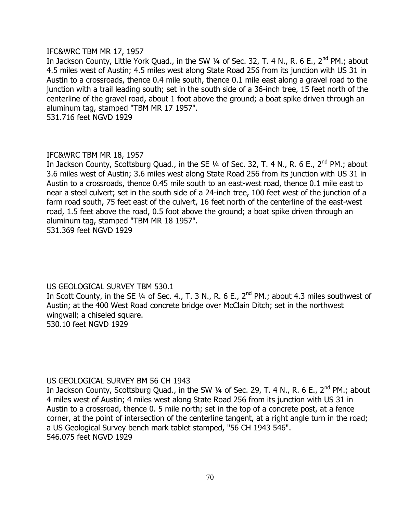#### IFC&WRC TBM MR 17, 1957

In Jackson County, Little York Quad., in the SW 1/4 of Sec. 32, T. 4 N., R. 6 E., 2<sup>nd</sup> PM.; about 4.5 miles west of Austin; 4.5 miles west along State Road 256 from its junction with US 31 in Austin to a crossroads, thence 0.4 mile south, thence 0.1 mile east along a gravel road to the junction with a trail leading south; set in the south side of a 36-inch tree, 15 feet north of the centerline of the gravel road, about 1 foot above the ground; a boat spike driven through an aluminum tag, stamped "TBM MR 17 1957".

531.716 feet NGVD 1929

# IFC&WRC TBM MR 18, 1957

In Jackson County, Scottsburg Quad., in the SE 1/4 of Sec. 32, T. 4 N., R. 6 E., 2<sup>nd</sup> PM.; about 3.6 miles west of Austin; 3.6 miles west along State Road 256 from its junction with US 31 in Austin to a crossroads, thence 0.45 mile south to an east-west road, thence 0.1 mile east to near a steel culvert; set in the south side of a 24-inch tree, 100 feet west of the junction of a farm road south, 75 feet east of the culvert, 16 feet north of the centerline of the east-west road, 1.5 feet above the road, 0.5 foot above the ground; a boat spike driven through an aluminum tag, stamped "TBM MR 18 1957". 531.369 feet NGVD 1929

US GEOLOGICAL SURVEY TBM 530.1

In Scott County, in the SE  $\frac{1}{4}$  of Sec. 4., T. 3 N., R. 6 E., 2<sup>nd</sup> PM.; about 4.3 miles southwest of Austin; at the 400 West Road concrete bridge over McClain Ditch; set in the northwest wingwall; a chiseled square. 530.10 feet NGVD 1929

# US GEOLOGICAL SURVEY BM 56 CH 1943

In Jackson County, Scottsburg Quad., in the SW 1/4 of Sec. 29, T. 4 N., R. 6 E., 2<sup>nd</sup> PM.; about 4 miles west of Austin; 4 miles west along State Road 256 from its junction with US 31 in Austin to a crossroad, thence 0. 5 mile north; set in the top of a concrete post, at a fence corner, at the point of intersection of the centerline tangent, at a right angle turn in the road; a US Geological Survey bench mark tablet stamped, "56 CH 1943 546". 546.075 feet NGVD 1929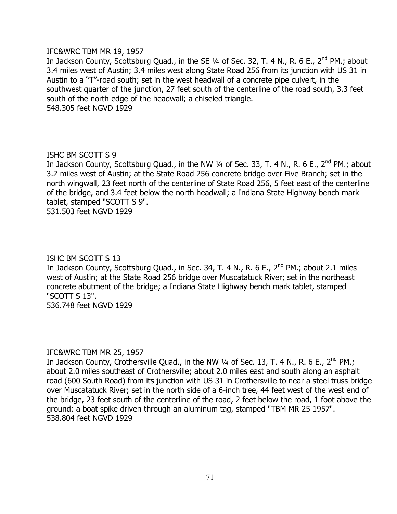#### IFC&WRC TBM MR 19, 1957

In Jackson County, Scottsburg Quad., in the SE 1/4 of Sec. 32, T. 4 N., R. 6 E., 2<sup>nd</sup> PM.; about 3.4 miles west of Austin; 3.4 miles west along State Road 256 from its junction with US 31 in Austin to a "T"-road south; set in the west headwall of a concrete pipe culvert, in the southwest quarter of the junction, 27 feet south of the centerline of the road south, 3.3 feet south of the north edge of the headwall; a chiseled triangle. 548.305 feet NGVD 1929

# ISHC BM SCOTT S 9

In Jackson County, Scottsburg Quad., in the NW  $\frac{1}{4}$  of Sec. 33, T. 4 N., R. 6 E., 2<sup>nd</sup> PM.; about 3.2 miles west of Austin; at the State Road 256 concrete bridge over Five Branch; set in the north wingwall, 23 feet north of the centerline of State Road 256, 5 feet east of the centerline of the bridge, and 3.4 feet below the north headwall; a Indiana State Highway bench mark tablet, stamped "SCOTT S 9". 531.503 feet NGVD 1929

# ISHC BM SCOTT S 13

In Jackson County, Scottsburg Quad., in Sec. 34, T. 4 N., R. 6 E., 2<sup>nd</sup> PM.; about 2.1 miles west of Austin; at the State Road 256 bridge over Muscatatuck River; set in the northeast concrete abutment of the bridge; a Indiana State Highway bench mark tablet, stamped "SCOTT S 13".

536.748 feet NGVD 1929

# IFC&WRC TBM MR 25, 1957

In Jackson County, Crothersville Quad., in the NW 1/4 of Sec. 13, T. 4 N., R. 6 E., 2<sup>nd</sup> PM.; about 2.0 miles southeast of Crothersville; about 2.0 miles east and south along an asphalt road (600 South Road) from its junction with US 31 in Crothersville to near a steel truss bridge over Muscatatuck River; set in the north side of a 6-inch tree, 44 feet west of the west end of the bridge, 23 feet south of the centerline of the road, 2 feet below the road, 1 foot above the ground; a boat spike driven through an aluminum tag, stamped "TBM MR 25 1957". 538.804 feet NGVD 1929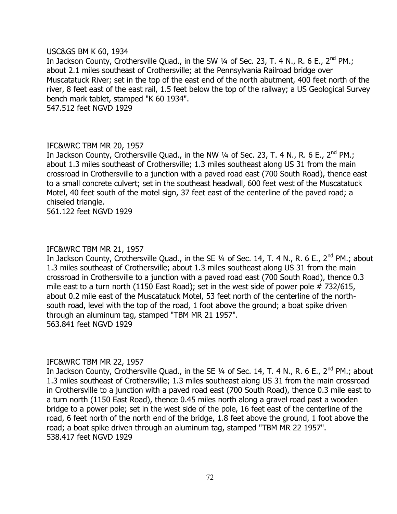#### USC&GS BM K 60, 1934

In Jackson County, Crothersville Quad., in the SW 1/4 of Sec. 23, T. 4 N., R. 6 E., 2<sup>nd</sup> PM.; about 2.1 miles southeast of Crothersville; at the Pennsylvania Railroad bridge over Muscatatuck River; set in the top of the east end of the north abutment, 400 feet north of the river, 8 feet east of the east rail, 1.5 feet below the top of the railway; a US Geological Survey bench mark tablet, stamped "K 60 1934". 547.512 feet NGVD 1929

#### IFC&WRC TBM MR 20, 1957

In Jackson County, Crothersville Quad., in the NW 1/4 of Sec. 23, T. 4 N., R. 6 E., 2<sup>nd</sup> PM.; about 1.3 miles southeast of Crothersville; 1.3 miles southeast along US 31 from the main crossroad in Crothersville to a junction with a paved road east (700 South Road), thence east to a small concrete culvert; set in the southeast headwall, 600 feet west of the Muscatatuck Motel, 40 feet south of the motel sign, 37 feet east of the centerline of the paved road; a chiseled triangle.

561.122 feet NGVD 1929

#### IFC&WRC TBM MR 21, 1957

In Jackson County, Crothersville Quad., in the SE 1/4 of Sec. 14, T. 4 N., R. 6 E., 2<sup>nd</sup> PM.; about 1.3 miles southeast of Crothersville; about 1.3 miles southeast along US 31 from the main crossroad in Crothersville to a junction with a paved road east (700 South Road), thence 0.3 mile east to a turn north (1150 East Road); set in the west side of power pole #732/615, about 0.2 mile east of the Muscatatuck Motel, 53 feet north of the centerline of the northsouth road, level with the top of the road, 1 foot above the ground; a boat spike driven through an aluminum tag, stamped "TBM MR 21 1957". 563.841 feet NGVD 1929

#### IFC&WRC TBM MR 22, 1957

In Jackson County, Crothersville Quad., in the SE 1/4 of Sec. 14, T. 4 N., R. 6 E., 2<sup>nd</sup> PM.; about 1.3 miles southeast of Crothersville; 1.3 miles southeast along US 31 from the main crossroad in Crothersville to a junction with a paved road east (700 South Road), thence 0.3 mile east to a turn north (1150 East Road), thence 0.45 miles north along a gravel road past a wooden bridge to a power pole; set in the west side of the pole, 16 feet east of the centerline of the road, 6 feet north of the north end of the bridge, 1.8 feet above the ground, 1 foot above the road; a boat spike driven through an aluminum tag, stamped "TBM MR 22 1957". 538.417 feet NGVD 1929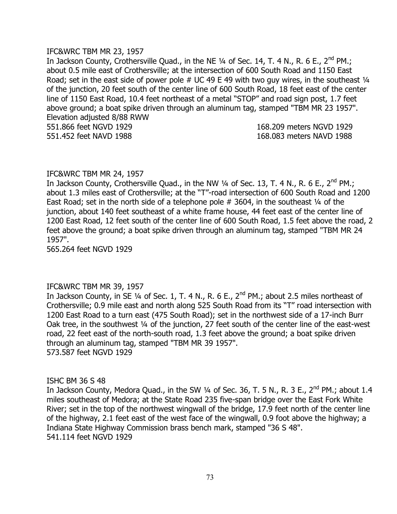#### IFC&WRC TBM MR 23, 1957

In Jackson County, Crothersville Quad., in the NE  $\frac{1}{4}$  of Sec. 14, T. 4 N., R. 6 E., 2<sup>nd</sup> PM.; about 0.5 mile east of Crothersville; at the intersection of 600 South Road and 1150 East Road; set in the east side of power pole  $#$  UC 49 E 49 with two guy wires, in the southeast  $\frac{1}{4}$ of the junction, 20 feet south of the center line of 600 South Road, 18 feet east of the center line of 1150 East Road, 10.4 feet northeast of a metal "STOP" and road sign post, 1.7 feet above ground; a boat spike driven through an aluminum tag, stamped "TBM MR 23 1957". Elevation adjusted 8/88 RWW 551.866 feet NGVD 1929 168.209 meters NGVD 1929

551.452 feet NAVD 1988 168.083 meters NAVD 1988

# IFC&WRC TBM MR 24, 1957

In Jackson County, Crothersville Quad., in the NW 1/4 of Sec. 13, T. 4 N., R. 6 E., 2<sup>nd</sup> PM.; about 1.3 miles east of Crothersville; at the "T"-road intersection of 600 South Road and 1200 East Road; set in the north side of a telephone pole  $#$  3604, in the southeast  $\frac{1}{4}$  of the junction, about 140 feet southeast of a white frame house, 44 feet east of the center line of 1200 East Road, 12 feet south of the center line of 600 South Road, 1.5 feet above the road, 2 feet above the ground; a boat spike driven through an aluminum tag, stamped "TBM MR 24 1957".

565.264 feet NGVD 1929

# IFC&WRC TBM MR 39, 1957

In Jackson County, in SE 1/4 of Sec. 1, T. 4 N., R. 6 E.,  $2^{nd}$  PM.; about 2.5 miles northeast of Crothersville; 0.9 mile east and north along 525 South Road from its "T" road intersection with 1200 East Road to a turn east (475 South Road); set in the northwest side of a 17-inch Burr Oak tree, in the southwest ¼ of the junction, 27 feet south of the center line of the east-west road, 22 feet east of the north-south road, 1.3 feet above the ground; a boat spike driven through an aluminum tag, stamped "TBM MR 39 1957". 573.587 feet NGVD 1929

# ISHC BM 36 S 48

In Jackson County, Medora Quad., in the SW  $\frac{1}{4}$  of Sec. 36, T. 5 N., R. 3 E., 2<sup>nd</sup> PM.; about 1.4 miles southeast of Medora; at the State Road 235 five-span bridge over the East Fork White River; set in the top of the northwest wingwall of the bridge, 17.9 feet north of the center line of the highway, 2.1 feet east of the west face of the wingwall, 0.9 foot above the highway; a Indiana State Highway Commission brass bench mark, stamped "36 S 48". 541.114 feet NGVD 1929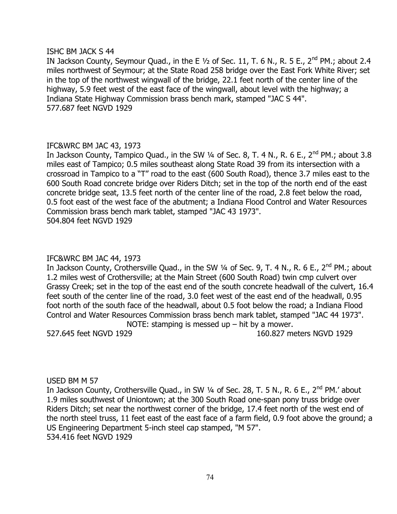#### ISHC BM JACK S 44

IN Jackson County, Seymour Quad., in the E  $1/2$  of Sec. 11, T. 6 N., R. 5 E., 2<sup>nd</sup> PM.; about 2.4 miles northwest of Seymour; at the State Road 258 bridge over the East Fork White River; set in the top of the northwest wingwall of the bridge, 22.1 feet north of the center line of the highway, 5.9 feet west of the east face of the wingwall, about level with the highway; a Indiana State Highway Commission brass bench mark, stamped "JAC S 44". 577.687 feet NGVD 1929

# IFC&WRC BM JAC 43, 1973

In Jackson County, Tampico Quad., in the SW  $\frac{1}{4}$  of Sec. 8, T. 4 N., R. 6 E., 2<sup>nd</sup> PM.; about 3.8 miles east of Tampico; 0.5 miles southeast along State Road 39 from its intersection with a crossroad in Tampico to a "T" road to the east (600 South Road), thence 3.7 miles east to the 600 South Road concrete bridge over Riders Ditch; set in the top of the north end of the east concrete bridge seat, 13.5 feet north of the center line of the road, 2.8 feet below the road, 0.5 foot east of the west face of the abutment; a Indiana Flood Control and Water Resources Commission brass bench mark tablet, stamped "JAC 43 1973". 504.804 feet NGVD 1929

## IFC&WRC BM JAC 44, 1973

In Jackson County, Crothersville Quad., in the SW 1/4 of Sec. 9, T. 4 N., R. 6 E., 2<sup>nd</sup> PM.; about 1.2 miles west of Crothersville; at the Main Street (600 South Road) twin cmp culvert over Grassy Creek; set in the top of the east end of the south concrete headwall of the culvert, 16.4 feet south of the center line of the road, 3.0 feet west of the east end of the headwall, 0.95 foot north of the south face of the headwall, about 0.5 foot below the road; a Indiana Flood Control and Water Resources Commission brass bench mark tablet, stamped "JAC 44 1973". NOTE: stamping is messed up  $-$  hit by a mower.

527.645 feet NGVD 1929 160.827 meters NGVD 1929

#### USED BM M 57

In Jackson County, Crothersville Quad., in SW 1/4 of Sec. 28, T. 5 N., R. 6 E., 2<sup>nd</sup> PM.' about 1.9 miles southwest of Uniontown; at the 300 South Road one-span pony truss bridge over Riders Ditch; set near the northwest corner of the bridge, 17.4 feet north of the west end of the north steel truss, 11 feet east of the east face of a farm field, 0.9 foot above the ground; a US Engineering Department 5-inch steel cap stamped, "M 57". 534.416 feet NGVD 1929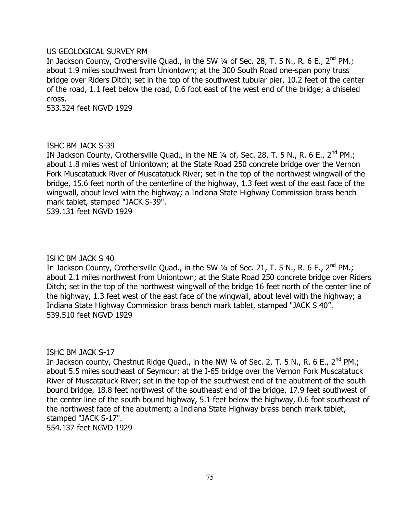### US GEOLOGICAL SURVEY RM

In Jackson County, Crothersville Quad., in the SW 1/4 of Sec. 28, T. 5 N., R. 6 E., 2<sup>nd</sup> PM.; about 1.9 miles southwest from Uniontown; at the 300 South Road one-span pony truss bridge over Riders Ditch; set in the top of the southwest tubular pier, 10.2 feet of the center of the road, 1.1 feet below the road, 0.6 foot east of the west end of the bridge; a chiseled cross.

533.324 feet NGVD 1929

### ISHC BM JACK S-39

IN Jackson County, Crothersville Quad., in the NE  $\frac{1}{4}$  of, Sec. 28, T. 5 N., R. 6 E., 2<sup>nd</sup> PM.; about 1.8 miles west of Uniontown; at the State Road 250 concrete bridge over the Vernon Fork Muscatatuck River of Muscatatuck River; set in the top of the northwest wingwall of the bridge, 15.6 feet north of the centerline of the highway, 1.3 feet west of the east face of the wingwall, about level with the highway; a Indiana State Highway Commission brass bench mark tablet, stamped "JACK S-39".

539.131 feet NGVD 1929

#### ISHC BM JACK S 40

In Jackson County, Crothersville Quad., in the SW 1/4 of Sec. 21, T. 5 N., R. 6 E., 2<sup>nd</sup> PM.; about 2.1 miles northwest from Uniontown; at the State Road 250 concrete bridge over Riders Ditch; set in the top of the northwest wingwall of the bridge 16 feet north of the center line of the highway, 1.3 feet west of the east face of the wingwall, about level with the highway; a Indiana State Highway Commission brass bench mark tablet, stamped "JACK S 40". 539.510 feet NGVD 1929

# ISHC BM JACK S-17

In Jackson county, Chestnut Ridge Quad., in the NW 1/4 of Sec. 2, T. 5 N., R. 6 E., 2<sup>nd</sup> PM.; about 5.5 miles southeast of Seymour; at the I-65 bridge over the Vernon Fork Muscatatuck River of Muscatatuck River; set in the top of the southwest end of the abutment of the south bound bridge, 18.8 feet northwest of the southeast end of the bridge, 17.9 feet southwest of the center line of the south bound highway, 5.1 feet below the highway, 0.6 foot southeast of the northwest face of the abutment; a Indiana State Highway brass bench mark tablet, stamped "JACK S-17".

554.137 feet NGVD 1929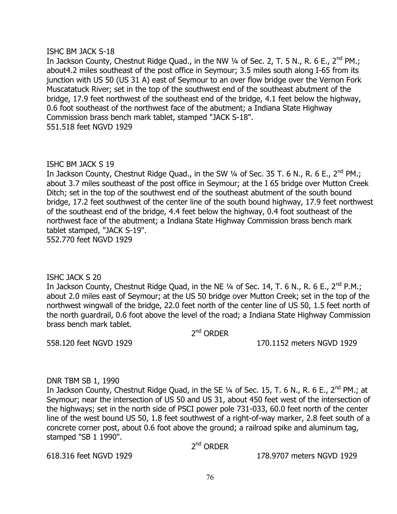### ISHC BM JACK S-18

In Jackson County, Chestnut Ridge Quad., in the NW 1/4 of Sec. 2, T. 5 N., R. 6 E., 2<sup>nd</sup> PM.; about4.2 miles southeast of the post office in Seymour; 3.5 miles south along I-65 from its junction with US 50 (US 31 A) east of Seymour to an over flow bridge over the Vernon Fork Muscatatuck River; set in the top of the southwest end of the southeast abutment of the bridge, 17.9 feet northwest of the southeast end of the bridge, 4.1 feet below the highway, 0.6 foot southeast of the northwest face of the abutment; a Indiana State Highway Commission brass bench mark tablet, stamped "JACK S-18". 551.518 feet NGVD 1929

# ISHC BM JACK S 19

In Jackson County, Chestnut Ridge Quad., in the SW  $\frac{1}{4}$  of Sec. 35 T. 6 N., R. 6 E., 2<sup>nd</sup> PM.; about 3.7 miles southeast of the post office in Seymour; at the I 65 bridge over Mutton Creek Ditch; set in the top of the southwest end of the southeast abutment of the south bound bridge, 17.2 feet southwest of the center line of the south bound highway, 17.9 feet northwest of the southeast end of the bridge, 4.4 feet below the highway, 0.4 foot southeast of the northwest face of the abutment; a Indiana State Highway Commission brass bench mark tablet stamped, "JACK S-19". 552.770 feet NGVD 1929

# ISHC JACK S 20

In Jackson County, Chestnut Ridge Quad, in the NE 1/4 of Sec. 14, T. 6 N., R. 6 E., 2<sup>nd</sup> P.M.; about 2.0 miles east of Seymour; at the US 50 bridge over Mutton Creek; set in the top of the northwest wingwall of the bridge, 22.0 feet north of the center line of US 50, 1.5 feet north of the north guardrail, 0.6 foot above the level of the road; a Indiana State Highway Commission brass bench mark tablet.

2<sup>nd</sup> ORDER

558.120 feet NGVD 1929 170.1152 meters NGVD 1929

# DNR TBM SB 1, 1990

In Jackson County, Chestnut Ridge Quad, in the SE 1/4 of Sec. 15, T. 6 N., R. 6 E., 2<sup>nd</sup> PM.; at Seymour; near the intersection of US 50 and US 31, about 450 feet west of the intersection of the highways; set in the north side of PSCI power pole 731-033, 60.0 feet north of the center line of the west bound US 50, 1.8 feet southwest of a right-of-way marker, 2.8 feet south of a concrete corner post, about 0.6 foot above the ground; a railroad spike and aluminum tag, stamped "SB 1 1990".

2<sup>nd</sup> ORDER

618.316 feet NGVD 1929 178.9707 meters NGVD 1929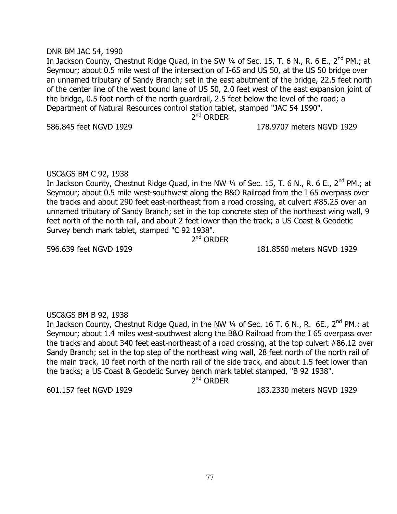#### DNR BM JAC 54, 1990

In Jackson County, Chestnut Ridge Quad, in the SW  $\frac{1}{4}$  of Sec. 15, T. 6 N., R. 6 E., 2<sup>nd</sup> PM.; at Seymour; about 0.5 mile west of the intersection of I-65 and US 50, at the US 50 bridge over an unnamed tributary of Sandy Branch; set in the east abutment of the bridge, 22.5 feet north of the center line of the west bound lane of US 50, 2.0 feet west of the east expansion joint of the bridge, 0.5 foot north of the north guardrail, 2.5 feet below the level of the road; a Department of Natural Resources control station tablet, stamped "JAC 54 1990".

2<sup>nd</sup> ORDER

586.845 feet NGVD 1929 178.9707 meters NGVD 1929

# USC&GS BM C 92, 1938

In Jackson County, Chestnut Ridge Quad, in the NW 1/4 of Sec. 15, T. 6 N., R. 6 E., 2<sup>nd</sup> PM.; at Seymour; about 0.5 mile west-southwest along the B&O Railroad from the I 65 overpass over the tracks and about 290 feet east-northeast from a road crossing, at culvert #85.25 over an unnamed tributary of Sandy Branch; set in the top concrete step of the northeast wing wall, 9 feet north of the north rail, and about 2 feet lower than the track; a US Coast & Geodetic Survey bench mark tablet, stamped "C 92 1938".

2<sup>nd</sup> ORDER

596.639 feet NGVD 1929 181.8560 meters NGVD 1929

# USC&GS BM B 92, 1938

In Jackson County, Chestnut Ridge Quad, in the NW 1/4 of Sec. 16 T. 6 N., R. 6E., 2<sup>nd</sup> PM.; at Seymour; about 1.4 miles west-southwest along the B&O Railroad from the I 65 overpass over the tracks and about 340 feet east-northeast of a road crossing, at the top culvert #86.12 over Sandy Branch; set in the top step of the northeast wing wall, 28 feet north of the north rail of the main track, 10 feet north of the north rail of the side track, and about 1.5 feet lower than the tracks; a US Coast & Geodetic Survey bench mark tablet stamped, "B 92 1938".

2<sup>nd</sup> ORDER

601.157 feet NGVD 1929 183.2330 meters NGVD 1929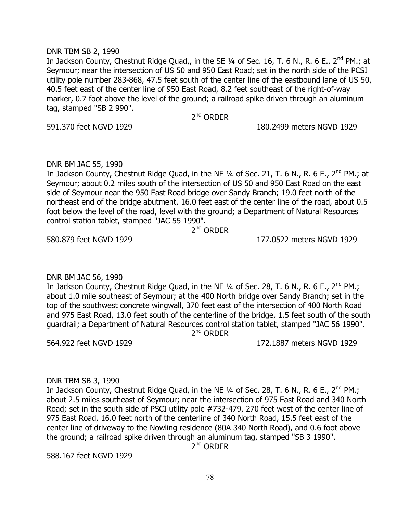#### DNR TBM SB 2, 1990

In Jackson County, Chestnut Ridge Quad,, in the SE 1/4 of Sec. 16, T. 6 N., R. 6 E., 2<sup>nd</sup> PM.; at Seymour; near the intersection of US 50 and 950 East Road; set in the north side of the PCSI utility pole number 283-868, 47.5 feet south of the center line of the eastbound lane of US 50, 40.5 feet east of the center line of 950 East Road, 8.2 feet southeast of the right-of-way marker, 0.7 foot above the level of the ground; a railroad spike driven through an aluminum tag, stamped "SB 2 990".

2<sup>nd</sup> ORDER

591.370 feet NGVD 1929 180.2499 meters NGVD 1929

### DNR BM JAC 55, 1990

In Jackson County, Chestnut Ridge Quad, in the NE  $\frac{1}{4}$  of Sec. 21, T. 6 N., R. 6 E., 2<sup>nd</sup> PM.; at Seymour; about 0.2 miles south of the intersection of US 50 and 950 East Road on the east side of Seymour near the 950 East Road bridge over Sandy Branch; 19.0 feet north of the northeast end of the bridge abutment, 16.0 feet east of the center line of the road, about 0.5 foot below the level of the road, level with the ground; a Department of Natural Resources control station tablet, stamped "JAC 55 1990".

2<sup>nd</sup> ORDER

580.879 feet NGVD 1929 177.0522 meters NGVD 1929

# DNR BM JAC 56, 1990

In Jackson County, Chestnut Ridge Quad, in the NE  $\frac{1}{4}$  of Sec. 28, T. 6 N., R. 6 E., 2<sup>nd</sup> PM.; about 1.0 mile southeast of Seymour; at the 400 North bridge over Sandy Branch; set in the top of the southwest concrete wingwall, 370 feet east of the intersection of 400 North Road and 975 East Road, 13.0 feet south of the centerline of the bridge, 1.5 feet south of the south guardrail; a Department of Natural Resources control station tablet, stamped "JAC 56 1990". 2<sup>nd</sup> ORDER

564.922 feet NGVD 1929 172.1887 meters NGVD 1929

# DNR TBM SB 3, 1990

In Jackson County, Chestnut Ridge Quad, in the NE  $\frac{1}{4}$  of Sec. 28, T. 6 N., R. 6 E., 2<sup>nd</sup> PM.; about 2.5 miles southeast of Seymour; near the intersection of 975 East Road and 340 North Road; set in the south side of PSCI utility pole #732-479, 270 feet west of the center line of 975 East Road, 16.0 feet north of the centerline of 340 North Road, 15.5 feet east of the center line of driveway to the Nowling residence (80A 340 North Road), and 0.6 foot above the ground; a railroad spike driven through an aluminum tag, stamped "SB 3 1990".

2<sup>nd</sup> ORDER

588.167 feet NGVD 1929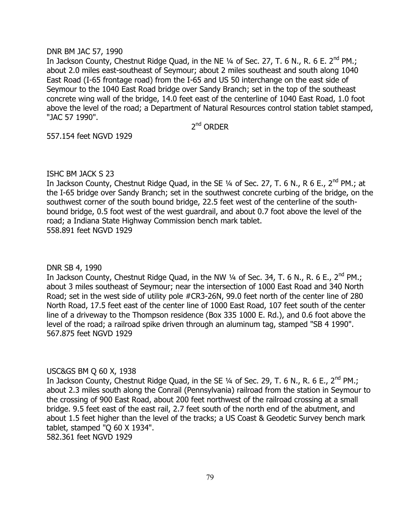#### DNR BM JAC 57, 1990

In Jackson County, Chestnut Ridge Quad, in the NE 1/4 of Sec. 27, T. 6 N., R. 6 E. 2<sup>nd</sup> PM.; about 2.0 miles east-southeast of Seymour; about 2 miles southeast and south along 1040 East Road (I-65 frontage road) from the I-65 and US 50 interchange on the east side of Seymour to the 1040 East Road bridge over Sandy Branch; set in the top of the southeast concrete wing wall of the bridge, 14.0 feet east of the centerline of 1040 East Road, 1.0 foot above the level of the road; a Department of Natural Resources control station tablet stamped, "JAC 57 1990".

2<sup>nd</sup> ORDER

557.154 feet NGVD 1929

# ISHC BM JACK S 23

In Jackson County, Chestnut Ridge Quad, in the SE 1/4 of Sec. 27, T. 6 N., R 6 E., 2<sup>nd</sup> PM.; at the I-65 bridge over Sandy Branch; set in the southwest concrete curbing of the bridge, on the southwest corner of the south bound bridge, 22.5 feet west of the centerline of the southbound bridge, 0.5 foot west of the west guardrail, and about 0.7 foot above the level of the road; a Indiana State Highway Commission bench mark tablet. 558.891 feet NGVD 1929

# DNR SB 4, 1990

In Jackson County, Chestnut Ridge Quad, in the NW  $\frac{1}{4}$  of Sec. 34, T. 6 N., R. 6 E., 2<sup>nd</sup> PM.; about 3 miles southeast of Seymour; near the intersection of 1000 East Road and 340 North Road; set in the west side of utility pole #CR3-26N, 99.0 feet north of the center line of 280 North Road, 17.5 feet east of the center line of 1000 East Road, 107 feet south of the center line of a driveway to the Thompson residence (Box 335 1000 E. Rd.), and 0.6 foot above the level of the road; a railroad spike driven through an aluminum tag, stamped "SB 4 1990". 567.875 feet NGVD 1929

# USC&GS BM Q 60 X, 1938

In Jackson County, Chestnut Ridge Quad, in the SE  $\frac{1}{4}$  of Sec. 29, T. 6 N., R. 6 E., 2<sup>nd</sup> PM.; about 2.3 miles south along the Conrail (Pennsylvania) railroad from the station in Seymour to the crossing of 900 East Road, about 200 feet northwest of the railroad crossing at a small bridge. 9.5 feet east of the east rail, 2.7 feet south of the north end of the abutment, and about 1.5 feet higher than the level of the tracks; a US Coast & Geodetic Survey bench mark tablet, stamped "Q 60 X 1934".

582.361 feet NGVD 1929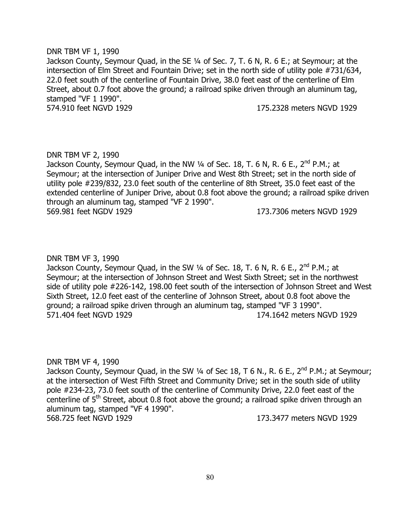### DNR TBM VF 1, 1990

Jackson County, Seymour Quad, in the SE 1/4 of Sec. 7, T. 6 N, R. 6 E.; at Seymour; at the intersection of Elm Street and Fountain Drive; set in the north side of utility pole #731/634, 22.0 feet south of the centerline of Fountain Drive, 38.0 feet east of the centerline of Elm Street, about 0.7 foot above the ground; a railroad spike driven through an aluminum tag, stamped "VF 1 1990". 574.910 feet NGVD 1929 175.2328 meters NGVD 1929

# DNR TBM VF 2, 1990

Jackson County, Seymour Quad, in the NW ¼ of Sec. 18, T. 6 N, R. 6 E., 2<sup>nd</sup> P.M.; at Seymour; at the intersection of Juniper Drive and West 8th Street; set in the north side of utility pole #239/832, 23.0 feet south of the centerline of 8th Street, 35.0 feet east of the extended centerline of Juniper Drive, about 0.8 foot above the ground; a railroad spike driven through an aluminum tag, stamped "VF 2 1990". 569.981 feet NGDV 1929 173.7306 meters NGVD 1929

# DNR TBM VF 3, 1990

Jackson County, Seymour Quad, in the SW 1/4 of Sec. 18, T. 6 N, R. 6 E., 2<sup>nd</sup> P.M.; at Seymour; at the intersection of Johnson Street and West Sixth Street; set in the northwest side of utility pole #226-142, 198.00 feet south of the intersection of Johnson Street and West Sixth Street, 12.0 feet east of the centerline of Johnson Street, about 0.8 foot above the ground; a railroad spike driven through an aluminum tag, stamped "VF 3 1990". 571.404 feet NGVD 1929 174.1642 meters NGVD 1929

# DNR TBM VF 4, 1990

Jackson County, Seymour Quad, in the SW  $\frac{1}{4}$  of Sec 18, T 6 N., R. 6 E., 2<sup>nd</sup> P.M.; at Seymour; at the intersection of West Fifth Street and Community Drive; set in the south side of utility pole #234-23, 73.0 feet south of the centerline of Community Drive, 22.0 feet east of the centerline of  $5<sup>th</sup>$  Street, about 0.8 foot above the ground; a railroad spike driven through an aluminum tag, stamped "VF 4 1990". 568.725 feet NGVD 1929 173.3477 meters NGVD 1929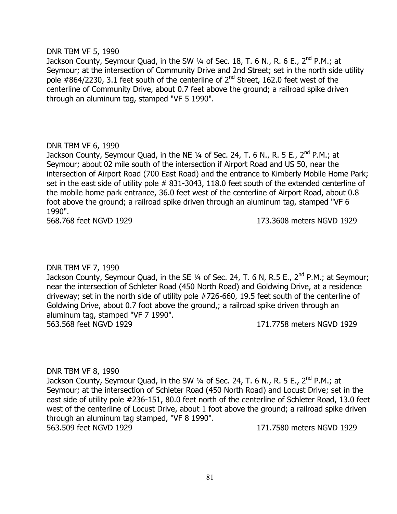#### DNR TBM VF 5, 1990

Jackson County, Seymour Quad, in the SW  $\frac{1}{4}$  of Sec. 18, T. 6 N., R. 6 E., 2<sup>nd</sup> P.M.; at Seymour; at the intersection of Community Drive and 2nd Street; set in the north side utility pole  $\#864/2230$ , 3.1 feet south of the centerline of  $2^{nd}$  Street, 162.0 feet west of the centerline of Community Drive, about 0.7 feet above the ground; a railroad spike driven through an aluminum tag, stamped "VF 5 1990".

# DNR TBM VF 6, 1990

Jackson County, Seymour Quad, in the NE  $\frac{1}{4}$  of Sec. 24, T. 6 N., R. 5 E., 2<sup>nd</sup> P.M.; at Seymour; about 02 mile south of the intersection if Airport Road and US 50, near the intersection of Airport Road (700 East Road) and the entrance to Kimberly Mobile Home Park; set in the east side of utility pole # 831-3043, 118.0 feet south of the extended centerline of the mobile home park entrance, 36.0 feet west of the centerline of Airport Road, about 0.8 foot above the ground; a railroad spike driven through an aluminum tag, stamped "VF 6 1990".

568.768 feet NGVD 1929 173.3608 meters NGVD 1929

# DNR TBM VF 7, 1990

Jackson County, Seymour Quad, in the SE  $\frac{1}{4}$  of Sec. 24, T. 6 N, R.5 E., 2<sup>nd</sup> P.M.; at Seymour; near the intersection of Schleter Road (450 North Road) and Goldwing Drive, at a residence driveway; set in the north side of utility pole #726-660, 19.5 feet south of the centerline of Goldwing Drive, about 0.7 foot above the ground,; a railroad spike driven through an aluminum tag, stamped "VF 7 1990". 563.568 feet NGVD 1929 171.7758 meters NGVD 1929

# DNR TBM VF 8, 1990

Jackson County, Seymour Quad, in the SW  $\frac{1}{4}$  of Sec. 24, T. 6 N., R. 5 E., 2<sup>nd</sup> P.M.; at Seymour; at the intersection of Schleter Road (450 North Road) and Locust Drive; set in the east side of utility pole #236-151, 80.0 feet north of the centerline of Schleter Road, 13.0 feet west of the centerline of Locust Drive, about 1 foot above the ground; a railroad spike driven through an aluminum tag stamped, "VF 8 1990". 563.509 feet NGVD 1929 171.7580 meters NGVD 1929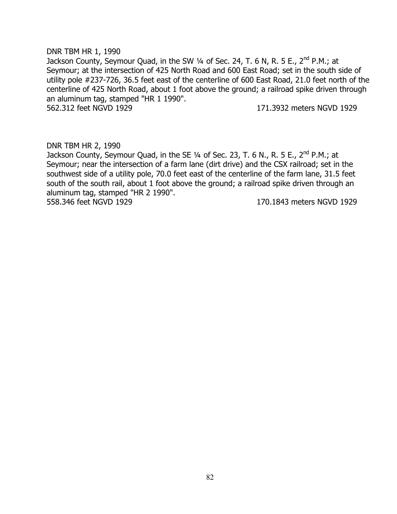# DNR TBM HR 1, 1990 Jackson County, Seymour Quad, in the SW  $\frac{1}{4}$  of Sec. 24, T. 6 N, R. 5 E., 2<sup>nd</sup> P.M.; at Seymour; at the intersection of 425 North Road and 600 East Road; set in the south side of utility pole #237-726, 36.5 feet east of the centerline of 600 East Road, 21.0 feet north of the centerline of 425 North Road, about 1 foot above the ground; a railroad spike driven through an aluminum tag, stamped "HR 1 1990". 562.312 feet NGVD 1929 171.3932 meters NGVD 1929

### DNR TBM HR 2, 1990

Jackson County, Seymour Quad, in the SE  $\frac{1}{4}$  of Sec. 23, T. 6 N., R. 5 E., 2<sup>nd</sup> P.M.; at Seymour; near the intersection of a farm lane (dirt drive) and the CSX railroad; set in the southwest side of a utility pole, 70.0 feet east of the centerline of the farm lane, 31.5 feet south of the south rail, about 1 foot above the ground; a railroad spike driven through an aluminum tag, stamped "HR 2 1990". 558.346 feet NGVD 1929 170.1843 meters NGVD 1929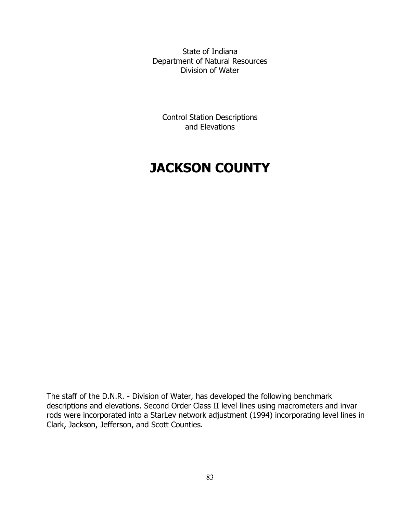State of Indiana Department of Natural Resources Division of Water

Control Station Descriptions and Elevations

# **JACKSON COUNTY**

The staff of the D.N.R. - Division of Water, has developed the following benchmark descriptions and elevations. Second Order Class II level lines using macrometers and invar rods were incorporated into a StarLev network adjustment (1994) incorporating level lines in Clark, Jackson, Jefferson, and Scott Counties.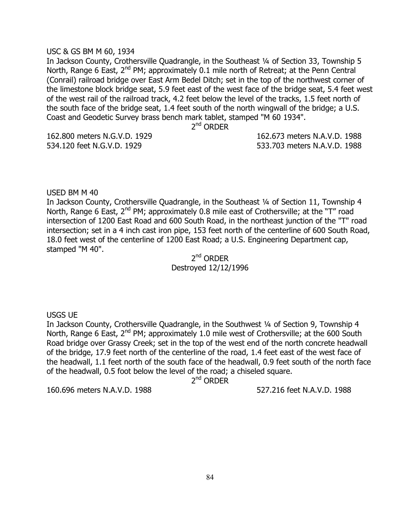#### USC & GS BM M 60, 1934

In Jackson County, Crothersville Quadrangle, in the Southeast ¼ of Section 33, Township 5 North, Range 6 East,  $2^{nd}$  PM; approximately 0.1 mile north of Retreat; at the Penn Central (Conrail) railroad bridge over East Arm Bedel Ditch; set in the top of the northwest corner of the limestone block bridge seat, 5.9 feet east of the west face of the bridge seat, 5.4 feet west of the west rail of the railroad track, 4.2 feet below the level of the tracks, 1.5 feet north of the south face of the bridge seat, 1.4 feet south of the north wingwall of the bridge; a U.S. Coast and Geodetic Survey brass bench mark tablet, stamped "M 60 1934".

2<sup>nd</sup> ORDER

162.800 meters N.G.V.D. 1929 162.673 meters N.A.V.D. 1988 534.120 feet N.G.V.D. 1929 533.703 meters N.A.V.D. 1988

USED BM M 40

In Jackson County, Crothersville Quadrangle, in the Southeast ¼ of Section 11, Township 4 North, Range 6 East, 2<sup>nd</sup> PM; approximately 0.8 mile east of Crothersville; at the "T" road intersection of 1200 East Road and 600 South Road, in the northeast junction of the "T" road intersection; set in a 4 inch cast iron pipe, 153 feet north of the centerline of 600 South Road, 18.0 feet west of the centerline of 1200 East Road; a U.S. Engineering Department cap, stamped "M 40".

2<sup>nd</sup> ORDER Destroyed 12/12/1996

USGS UE

In Jackson County, Crothersville Quadrangle, in the Southwest ¼ of Section 9, Township 4 North, Range 6 East,  $2^{nd}$  PM; approximately 1.0 mile west of Crothersville; at the 600 South Road bridge over Grassy Creek; set in the top of the west end of the north concrete headwall of the bridge, 17.9 feet north of the centerline of the road, 1.4 feet east of the west face of the headwall, 1.1 feet north of the south face of the headwall, 0.9 feet south of the north face of the headwall, 0.5 foot below the level of the road; a chiseled square.

2<sup>nd</sup> ORDER

160.696 meters N.A.V.D. 1988 527.216 feet N.A.V.D. 1988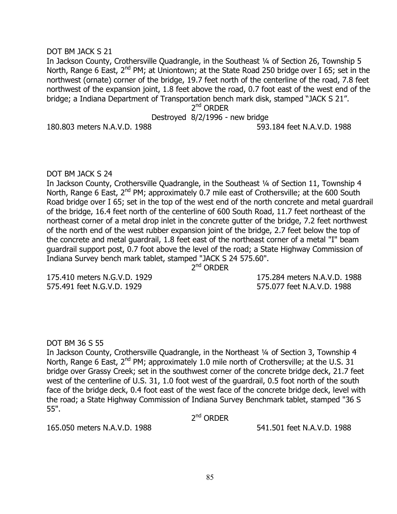#### DOT BM JACK S 21

In Jackson County, Crothersville Quadrangle, in the Southeast 1/4 of Section 26, Township 5 North, Range 6 East,  $2^{nd}$  PM; at Uniontown; at the State Road 250 bridge over I 65; set in the northwest (ornate) corner of the bridge, 19.7 feet north of the centerline of the road, 7.8 feet northwest of the expansion joint, 1.8 feet above the road, 0.7 foot east of the west end of the bridge; a Indiana Department of Transportation bench mark disk, stamped "JACK S 21".

2<sup>nd</sup> ORDER

Destroyed 8/2/1996 - new bridge

180.803 meters N.A.V.D. 1988 593.184 feet N.A.V.D. 1988

### DOT BM JACK S 24

In Jackson County, Crothersville Quadrangle, in the Southeast 1/4 of Section 11, Township 4 North, Range 6 East,  $2^{nd}$  PM; approximately 0.7 mile east of Crothersville; at the 600 South Road bridge over I 65; set in the top of the west end of the north concrete and metal guardrail of the bridge, 16.4 feet north of the centerline of 600 South Road, 11.7 feet northeast of the northeast corner of a metal drop inlet in the concrete gutter of the bridge, 7.2 feet northwest of the north end of the west rubber expansion joint of the bridge, 2.7 feet below the top of the concrete and metal guardrail, 1.8 feet east of the northeast corner of a metal "I" beam guardrail support post, 0.7 foot above the level of the road; a State Highway Commission of Indiana Survey bench mark tablet, stamped "JACK S 24 575.60".

2<sup>nd</sup> ORDER

575.491 feet N.G.V.D. 1929 575.077 feet N.A.V.D. 1988

175.410 meters N.G.V.D. 1929 175.284 meters N.A.V.D. 1988

# DOT BM 36 S 55

In Jackson County, Crothersville Quadrangle, in the Northeast ¼ of Section 3, Township 4 North, Range 6 East, 2<sup>nd</sup> PM; approximately 1.0 mile north of Crothersville; at the U.S. 31 bridge over Grassy Creek; set in the southwest corner of the concrete bridge deck, 21.7 feet west of the centerline of U.S. 31, 1.0 foot west of the guardrail, 0.5 foot north of the south face of the bridge deck, 0.4 foot east of the west face of the concrete bridge deck, level with the road; a State Highway Commission of Indiana Survey Benchmark tablet, stamped "36 S 55".

2<sup>nd</sup> ORDER

165.050 meters N.A.V.D. 1988 541.501 feet N.A.V.D. 1988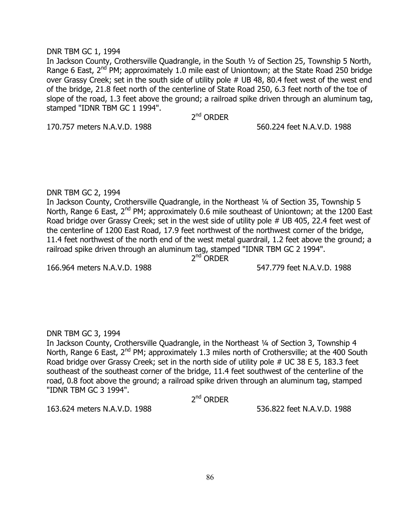### DNR TBM GC 1, 1994

In Jackson County, Crothersville Quadrangle, in the South ½ of Section 25, Township 5 North, Range 6 East,  $2^{nd}$  PM; approximately 1.0 mile east of Uniontown; at the State Road 250 bridge over Grassy Creek; set in the south side of utility pole # UB 48, 80.4 feet west of the west end of the bridge, 21.8 feet north of the centerline of State Road 250, 6.3 feet north of the toe of slope of the road, 1.3 feet above the ground; a railroad spike driven through an aluminum tag, stamped "IDNR TBM GC 1 1994".

2<sup>nd</sup> ORDER

170.757 meters N.A.V.D. 1988 560.224 feet N.A.V.D. 1988

# DNR TBM GC 2, 1994

In Jackson County, Crothersville Quadrangle, in the Northeast 1/4 of Section 35, Township 5 North, Range 6 East, 2<sup>nd</sup> PM; approximately 0.6 mile southeast of Uniontown; at the 1200 East Road bridge over Grassy Creek; set in the west side of utility pole # UB 405, 22.4 feet west of the centerline of 1200 East Road, 17.9 feet northwest of the northwest corner of the bridge, 11.4 feet northwest of the north end of the west metal guardrail, 1.2 feet above the ground; a railroad spike driven through an aluminum tag, stamped "IDNR TBM GC 2 1994".

2<sup>nd</sup> ORDER

166.964 meters N.A.V.D. 1988 547.779 feet N.A.V.D. 1988

# DNR TBM GC 3, 1994

In Jackson County, Crothersville Quadrangle, in the Northeast 1/4 of Section 3, Township 4 North, Range 6 East,  $2^{nd}$  PM; approximately 1.3 miles north of Crothersville; at the 400 South Road bridge over Grassy Creek; set in the north side of utility pole # UC 38 E 5, 183.3 feet southeast of the southeast corner of the bridge, 11.4 feet southwest of the centerline of the road, 0.8 foot above the ground; a railroad spike driven through an aluminum tag, stamped "IDNR TBM GC 3 1994".

2<sup>nd</sup> ORDER

163.624 meters N.A.V.D. 1988 536.822 feet N.A.V.D. 1988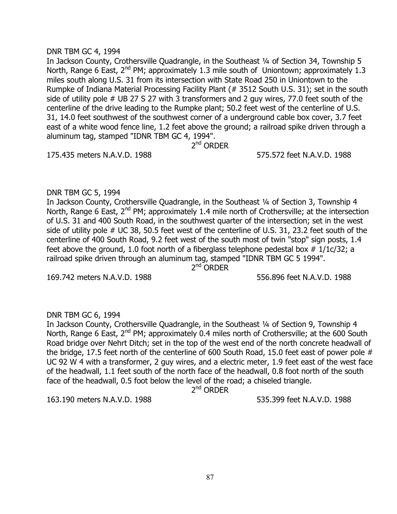#### DNR TBM GC 4, 1994

In Jackson County, Crothersville Quadrangle, in the Southeast 1/4 of Section 34, Township 5 North, Range 6 East, 2<sup>nd</sup> PM; approximately 1.3 mile south of Uniontown; approximately 1.3 miles south along U.S. 31 from its intersection with State Road 250 in Uniontown to the Rumpke of Indiana Material Processing Facility Plant (# 3512 South U.S. 31); set in the south side of utility pole # UB 27 S 27 with 3 transformers and 2 guy wires, 77.0 feet south of the centerline of the drive leading to the Rumpke plant; 50.2 feet west of the centerline of U.S. 31, 14.0 feet southwest of the southwest corner of a underground cable box cover, 3.7 feet east of a white wood fence line, 1.2 feet above the ground; a railroad spike driven through a aluminum tag, stamped "IDNR TBM GC 4, 1994".

2<sup>nd</sup> ORDER

175.435 meters N.A.V.D. 1988 575.572 feet N.A.V.D. 1988

### DNR TBM GC 5, 1994

In Jackson County, Crothersville Quadrangle, in the Southeast ¼ of Section 3, Township 4 North, Range 6 East,  $2^{nd}$  PM; approximately 1.4 mile north of Crothersville; at the intersection of U.S. 31 and 400 South Road, in the southwest quarter of the intersection; set in the west side of utility pole # UC 38, 50.5 feet west of the centerline of U.S. 31, 23.2 feet south of the centerline of 400 South Road, 9.2 feet west of the south most of twin "stop" sign posts, 1.4 feet above the ground, 1.0 foot north of a fiberglass telephone pedestal box  $\#$  1/1c/32; a railroad spike driven through an aluminum tag, stamped "IDNR TBM GC 5 1994".

2<sup>nd</sup> ORDER

169.742 meters N.A.V.D. 1988 556.896 feet N.A.V.D. 1988

# DNR TBM GC 6, 1994

In Jackson County, Crothersville Quadrangle, in the Southeast ¼ of Section 9, Township 4 North, Range 6 East,  $2^{nd}$  PM; approximately 0.4 miles north of Crothersville; at the 600 South Road bridge over Nehrt Ditch; set in the top of the west end of the north concrete headwall of the bridge, 17.5 feet north of the centerline of 600 South Road, 15.0 feet east of power pole # UC 92 W 4 with a transformer, 2 guy wires, and a electric meter, 1.9 feet east of the west face of the headwall, 1.1 feet south of the north face of the headwall, 0.8 foot north of the south face of the headwall, 0.5 foot below the level of the road; a chiseled triangle.

2<sup>nd</sup> ORDER

163.190 meters N.A.V.D. 1988 535.399 feet N.A.V.D. 1988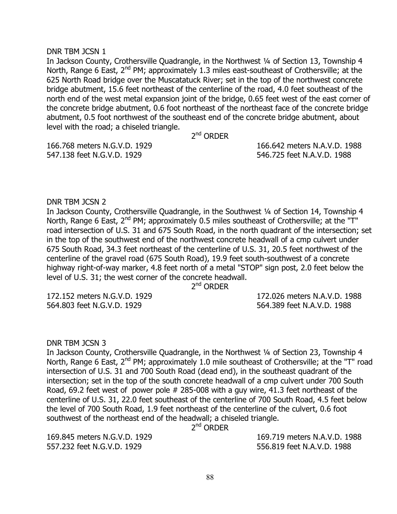#### DNR TBM JCSN 1

In Jackson County, Crothersville Quadrangle, in the Northwest ¼ of Section 13, Township 4 North, Range 6 East,  $2^{nd}$  PM; approximately 1.3 miles east-southeast of Crothersville; at the 625 North Road bridge over the Muscatatuck River; set in the top of the northwest concrete bridge abutment, 15.6 feet northeast of the centerline of the road, 4.0 feet southeast of the north end of the west metal expansion joint of the bridge, 0.65 feet west of the east corner of the concrete bridge abutment, 0.6 foot northeast of the northeast face of the concrete bridge abutment, 0.5 foot northwest of the southeast end of the concrete bridge abutment, about level with the road; a chiseled triangle.

2<sup>nd</sup> ORDER

166.768 meters N.G.V.D. 1929 166.642 meters N.A.V.D. 1988 547.138 feet N.G.V.D. 1929 546.725 feet N.A.V.D. 1988

#### DNR TBM JCSN 2

In Jackson County, Crothersville Quadrangle, in the Southwest 1/4 of Section 14, Township 4 North, Range 6 East, 2<sup>nd</sup> PM; approximately 0.5 miles southeast of Crothersville; at the "T" road intersection of U.S. 31 and 675 South Road, in the north quadrant of the intersection; set in the top of the southwest end of the northwest concrete headwall of a cmp culvert under 675 South Road, 34.3 feet northeast of the centerline of U.S. 31, 20.5 feet northwest of the centerline of the gravel road (675 South Road), 19.9 feet south-southwest of a concrete highway right-of-way marker, 4.8 feet north of a metal "STOP" sign post, 2.0 feet below the level of U.S. 31; the west corner of the concrete headwall.

2<sup>nd</sup> ORDER

564.803 feet N.G.V.D. 1929 564.389 feet N.A.V.D. 1988

172.152 meters N.G.V.D. 1929 172.026 meters N.A.V.D. 1988

DNR TBM JCSN 3

In Jackson County, Crothersville Quadrangle, in the Northwest ¼ of Section 23, Township 4 North, Range 6 East, 2<sup>nd</sup> PM; approximately 1.0 mile southeast of Crothersville; at the "T" road intersection of U.S. 31 and 700 South Road (dead end), in the southeast quadrant of the intersection; set in the top of the south concrete headwall of a cmp culvert under 700 South Road, 69.2 feet west of power pole # 285-008 with a guy wire, 41.3 feet northeast of the centerline of U.S. 31, 22.0 feet southeast of the centerline of 700 South Road, 4.5 feet below the level of 700 South Road, 1.9 feet northeast of the centerline of the culvert, 0.6 foot southwest of the northeast end of the headwall; a chiseled triangle.

2<sup>nd</sup> ORDER

557.232 feet N.G.V.D. 1929 556.819 feet N.A.V.D. 1988

169.845 meters N.G.V.D. 1929 169.719 meters N.A.V.D. 1988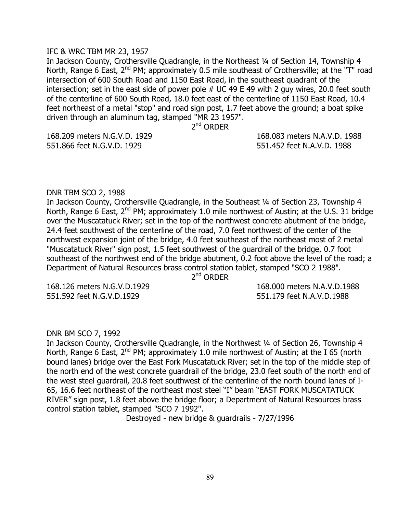#### IFC & WRC TBM MR 23, 1957

In Jackson County, Crothersville Quadrangle, in the Northeast 1/4 of Section 14, Township 4 North, Range 6 East, 2<sup>nd</sup> PM; approximately 0.5 mile southeast of Crothersville; at the "T" road intersection of 600 South Road and 1150 East Road, in the southeast quadrant of the intersection; set in the east side of power pole # UC 49 E 49 with 2 guy wires, 20.0 feet south of the centerline of 600 South Road, 18.0 feet east of the centerline of 1150 East Road, 10.4 feet northeast of a metal "stop" and road sign post, 1.7 feet above the ground; a boat spike driven through an aluminum tag, stamped "MR 23 1957".

2<sup>nd</sup> ORDER

551.866 feet N.G.V.D. 1929 551.452 feet N.A.V.D. 1988

168.209 meters N.G.V.D. 1929 168.083 meters N.A.V.D. 1988

### DNR TBM SCO 2, 1988

In Jackson County, Crothersville Quadrangle, in the Southeast 1/4 of Section 23, Township 4 North, Range 6 East,  $2^{nd}$  PM; approximately 1.0 mile northwest of Austin; at the U.S. 31 bridge over the Muscatatuck River; set in the top of the northwest concrete abutment of the bridge, 24.4 feet southwest of the centerline of the road, 7.0 feet northwest of the center of the northwest expansion joint of the bridge, 4.0 feet southeast of the northeast most of 2 metal "Muscatatuck River" sign post, 1.5 feet southwest of the guardrail of the bridge, 0.7 foot southeast of the northwest end of the bridge abutment, 0.2 foot above the level of the road; a Department of Natural Resources brass control station tablet, stamped "SCO 2 1988".

2<sup>nd</sup> ORDER

551.592 feet N.G.V.D.1929 551.179 feet N.A.V.D.1988

168.126 meters N.G.V.D.1929 168.000 meters N.A.V.D.1988

#### DNR BM SCO 7, 1992

In Jackson County, Crothersville Quadrangle, in the Northwest 1/4 of Section 26, Township 4 North, Range 6 East,  $2^{nd}$  PM; approximately 1.0 mile northwest of Austin; at the I 65 (north bound lanes) bridge over the East Fork Muscatatuck River; set in the top of the middle step of the north end of the west concrete guardrail of the bridge, 23.0 feet south of the north end of the west steel guardrail, 20.8 feet southwest of the centerline of the north bound lanes of I-65, 16.6 feet northeast of the northeast most steel "I" beam "EAST FORK MUSCATATUCK RIVER" sign post, 1.8 feet above the bridge floor; a Department of Natural Resources brass control station tablet, stamped "SCO 7 1992".

Destroyed - new bridge & guardrails - 7/27/1996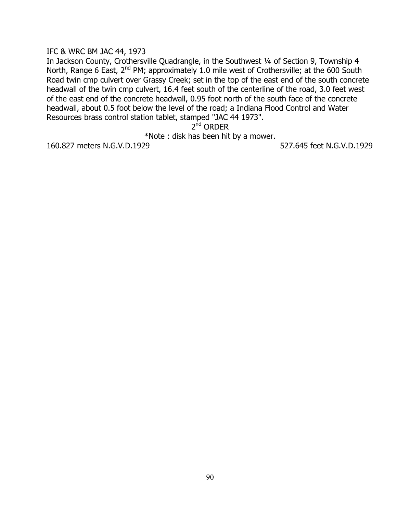#### IFC & WRC BM JAC 44, 1973

In Jackson County, Crothersville Quadrangle, in the Southwest ¼ of Section 9, Township 4 North, Range 6 East, 2<sup>nd</sup> PM; approximately 1.0 mile west of Crothersville; at the 600 South Road twin cmp culvert over Grassy Creek; set in the top of the east end of the south concrete headwall of the twin cmp culvert, 16.4 feet south of the centerline of the road, 3.0 feet west of the east end of the concrete headwall, 0.95 foot north of the south face of the concrete headwall, about 0.5 foot below the level of the road; a Indiana Flood Control and Water Resources brass control station tablet, stamped "JAC 44 1973".

2<sup>nd</sup> ORDER

\*Note : disk has been hit by a mower.

160.827 meters N.G.V.D.1929 527.645 feet N.G.V.D.1929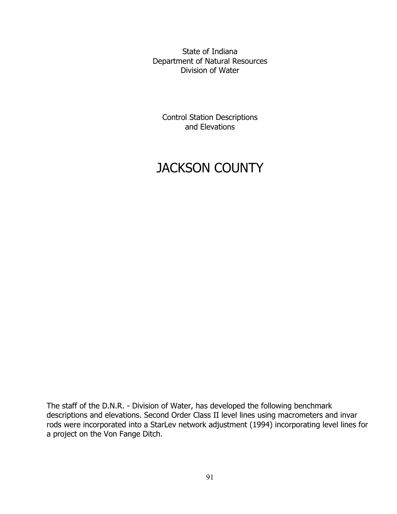State of Indiana Department of Natural Resources Division of Water

Control Station Descriptions and Elevations

# JACKSON COUNTY

The staff of the D.N.R. - Division of Water, has developed the following benchmark descriptions and elevations. Second Order Class II level lines using macrometers and invar rods were incorporated into a StarLev network adjustment (1994) incorporating level lines for a project on the Von Fange Ditch.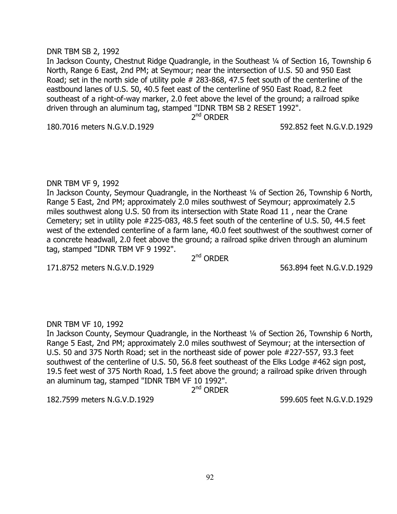#### DNR TBM SB 2, 1992

In Jackson County, Chestnut Ridge Quadrangle, in the Southeast ¼ of Section 16, Township 6 North, Range 6 East, 2nd PM; at Seymour; near the intersection of U.S. 50 and 950 East Road; set in the north side of utility pole # 283-868, 47.5 feet south of the centerline of the eastbound lanes of U.S. 50, 40.5 feet east of the centerline of 950 East Road, 8.2 feet southeast of a right-of-way marker, 2.0 feet above the level of the ground; a railroad spike driven through an aluminum tag, stamped "IDNR TBM SB 2 RESET 1992".

2<sup>nd</sup> ORDER

180.7016 meters N.G.V.D.1929 592.852 feet N.G.V.D.1929

### DNR TBM VF 9, 1992

In Jackson County, Seymour Quadrangle, in the Northeast ¼ of Section 26, Township 6 North, Range 5 East, 2nd PM; approximately 2.0 miles southwest of Seymour; approximately 2.5 miles southwest along U.S. 50 from its intersection with State Road 11 , near the Crane Cemetery; set in utility pole #225-083, 48.5 feet south of the centerline of U.S. 50, 44.5 feet west of the extended centerline of a farm lane, 40.0 feet southwest of the southwest corner of a concrete headwall, 2.0 feet above the ground; a railroad spike driven through an aluminum tag, stamped "IDNR TBM VF 9 1992".

2<sup>nd</sup> ORDER

171.8752 meters N.G.V.D.1929 563.894 feet N.G.V.D.1929

# DNR TBM VF 10, 1992

In Jackson County, Seymour Quadrangle, in the Northeast ¼ of Section 26, Township 6 North, Range 5 East, 2nd PM; approximately 2.0 miles southwest of Seymour; at the intersection of U.S. 50 and 375 North Road; set in the northeast side of power pole #227-557, 93.3 feet southwest of the centerline of U.S. 50, 56.8 feet southeast of the Elks Lodge #462 sign post, 19.5 feet west of 375 North Road, 1.5 feet above the ground; a railroad spike driven through an aluminum tag, stamped "IDNR TBM VF 10 1992".

2<sup>nd</sup> ORDER

182.7599 meters N.G.V.D.1929 599.605 feet N.G.V.D.1929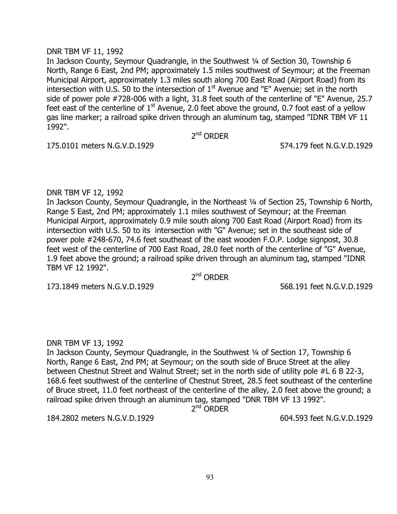### DNR TBM VF 11, 1992

In Jackson County, Seymour Quadrangle, in the Southwest ¼ of Section 30, Township 6 North, Range 6 East, 2nd PM; approximately 1.5 miles southwest of Seymour; at the Freeman Municipal Airport, approximately 1.3 miles south along 700 East Road (Airport Road) from its intersection with U.S. 50 to the intersection of  $1<sup>st</sup>$  Avenue and "E" Avenue; set in the north side of power pole #728-006 with a light, 31.8 feet south of the centerline of "E" Avenue, 25.7 feet east of the centerline of  $1<sup>st</sup>$  Avenue, 2.0 feet above the ground, 0.7 foot east of a yellow gas line marker; a railroad spike driven through an aluminum tag, stamped "IDNR TBM VF 11 1992".

2<sup>nd</sup> ORDER

175.0101 meters N.G.V.D.1929 574.179 feet N.G.V.D.1929

# DNR TBM VF 12, 1992

In Jackson County, Seymour Quadrangle, in the Northeast ¼ of Section 25, Township 6 North, Range 5 East, 2nd PM; approximately 1.1 miles southwest of Seymour; at the Freeman Municipal Airport, approximately 0.9 mile south along 700 East Road (Airport Road) from its intersection with U.S. 50 to its intersection with "G" Avenue; set in the southeast side of power pole #248-670, 74.6 feet southeast of the east wooden F.O.P. Lodge signpost, 30.8 feet west of the centerline of 700 East Road, 28.0 feet north of the centerline of "G" Avenue, 1.9 feet above the ground; a railroad spike driven through an aluminum tag, stamped "IDNR TBM VF 12 1992".

2<sup>nd</sup> ORDER

173.1849 meters N.G.V.D.1929 568.191 feet N.G.V.D.1929

# DNR TBM VF 13, 1992

In Jackson County, Seymour Quadrangle, in the Southwest ¼ of Section 17, Township 6 North, Range 6 East, 2nd PM; at Seymour; on the south side of Bruce Street at the alley between Chestnut Street and Walnut Street; set in the north side of utility pole #L 6 B 22-3, 168.6 feet southwest of the centerline of Chestnut Street, 28.5 feet southeast of the centerline of Bruce street, 11.0 feet northeast of the centerline of the alley, 2.0 feet above the ground; a railroad spike driven through an aluminum tag, stamped "DNR TBM VF 13 1992".

2<sup>nd</sup> ORDER

184.2802 meters N.G.V.D.1929 604.593 feet N.G.V.D.1929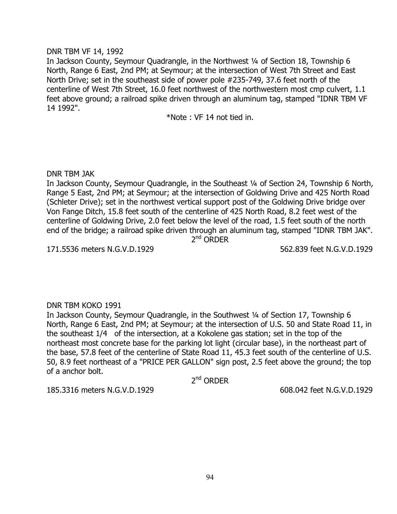# DNR TBM VF 14, 1992

In Jackson County, Seymour Quadrangle, in the Northwest 1/4 of Section 18, Township 6 North, Range 6 East, 2nd PM; at Seymour; at the intersection of West 7th Street and East North Drive; set in the southeast side of power pole #235-749, 37.6 feet north of the centerline of West 7th Street, 16.0 feet northwest of the northwestern most cmp culvert, 1.1 feet above ground; a railroad spike driven through an aluminum tag, stamped "IDNR TBM VF 14 1992".

\*Note : VF 14 not tied in.

# DNR TBM JAK

In Jackson County, Seymour Quadrangle, in the Southeast ¼ of Section 24, Township 6 North, Range 5 East, 2nd PM; at Seymour; at the intersection of Goldwing Drive and 425 North Road (Schleter Drive); set in the northwest vertical support post of the Goldwing Drive bridge over Von Fange Ditch, 15.8 feet south of the centerline of 425 North Road, 8.2 feet west of the centerline of Goldwing Drive, 2.0 feet below the level of the road, 1.5 feet south of the north end of the bridge; a railroad spike driven through an aluminum tag, stamped "IDNR TBM JAK". 2<sup>nd</sup> ORDER

171.5536 meters N.G.V.D.1929 562.839 feet N.G.V.D.1929

# DNR TBM KOKO 1991

In Jackson County, Seymour Quadrangle, in the Southwest ¼ of Section 17, Township 6 North, Range 6 East, 2nd PM; at Seymour; at the intersection of U.S. 50 and State Road 11, in the southeast 1/4 of the intersection, at a Kokolene gas station; set in the top of the northeast most concrete base for the parking lot light (circular base), in the northeast part of the base, 57.8 feet of the centerline of State Road 11, 45.3 feet south of the centerline of U.S. 50, 8.9 feet northeast of a "PRICE PER GALLON" sign post, 2.5 feet above the ground; the top of a anchor bolt.

2<sup>nd</sup> ORDER

185.3316 meters N.G.V.D.1929 608.042 feet N.G.V.D.1929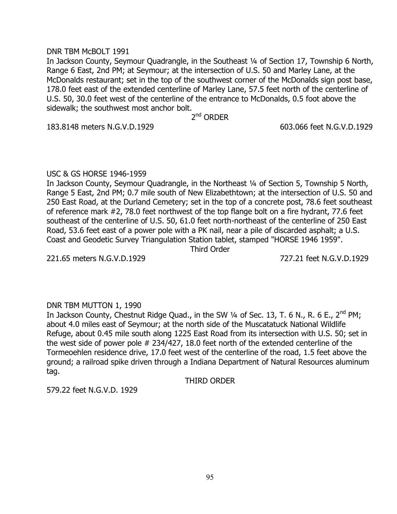#### DNR TBM McBOLT 1991

In Jackson County, Seymour Quadrangle, in the Southeast ¼ of Section 17, Township 6 North, Range 6 East, 2nd PM; at Seymour; at the intersection of U.S. 50 and Marley Lane, at the McDonalds restaurant; set in the top of the southwest corner of the McDonalds sign post base, 178.0 feet east of the extended centerline of Marley Lane, 57.5 feet north of the centerline of U.S. 50, 30.0 feet west of the centerline of the entrance to McDonalds, 0.5 foot above the sidewalk; the southwest most anchor bolt.

2<sup>nd</sup> ORDER

183.8148 meters N.G.V.D.1929 603.066 feet N.G.V.D.1929

# USC & GS HORSE 1946-1959

In Jackson County, Seymour Quadrangle, in the Northeast 1/4 of Section 5, Township 5 North, Range 5 East, 2nd PM; 0.7 mile south of New Elizabethtown; at the intersection of U.S. 50 and 250 East Road, at the Durland Cemetery; set in the top of a concrete post, 78.6 feet southeast of reference mark #2, 78.0 feet northwest of the top flange bolt on a fire hydrant, 77.6 feet southeast of the centerline of U.S. 50, 61.0 feet north-northeast of the centerline of 250 East Road, 53.6 feet east of a power pole with a PK nail, near a pile of discarded asphalt; a U.S. Coast and Geodetic Survey Triangulation Station tablet, stamped "HORSE 1946 1959".

Third Order

# 221.65 meters N.G.V.D.1929 727.21 feet N.G.V.D.1929

# DNR TBM MUTTON 1, 1990

In Jackson County, Chestnut Ridge Quad., in the SW  $\frac{1}{4}$  of Sec. 13, T. 6 N., R. 6 E., 2<sup>nd</sup> PM; about 4.0 miles east of Seymour; at the north side of the Muscatatuck National Wildlife Refuge, about 0.45 mile south along 1225 East Road from its intersection with U.S. 50; set in the west side of power pole # 234/427, 18.0 feet north of the extended centerline of the Tormeoehlen residence drive, 17.0 feet west of the centerline of the road, 1.5 feet above the ground; a railroad spike driven through a Indiana Department of Natural Resources aluminum tag.

THIRD ORDER

579.22 feet N.G.V.D. 1929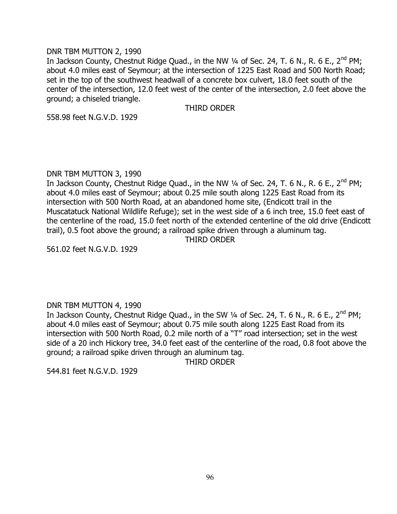#### DNR TBM MUTTON 2, 1990

In Jackson County, Chestnut Ridge Quad., in the NW 1/4 of Sec. 24, T. 6 N., R. 6 E., 2<sup>nd</sup> PM; about 4.0 miles east of Seymour; at the intersection of 1225 East Road and 500 North Road; set in the top of the southwest headwall of a concrete box culvert, 18.0 feet south of the center of the intersection, 12.0 feet west of the center of the intersection, 2.0 feet above the ground; a chiseled triangle.

THIRD ORDER

558.98 feet N.G.V.D. 1929

### DNR TBM MUTTON 3, 1990

In Jackson County, Chestnut Ridge Quad., in the NW 1/4 of Sec. 24, T. 6 N., R. 6 E., 2<sup>nd</sup> PM; about 4.0 miles east of Seymour; about 0.25 mile south along 1225 East Road from its intersection with 500 North Road, at an abandoned home site, (Endicott trail in the Muscatatuck National Wildlife Refuge); set in the west side of a 6 inch tree, 15.0 feet east of the centerline of the road, 15.0 feet north of the extended centerline of the old drive (Endicott trail), 0.5 foot above the ground; a railroad spike driven through a aluminum tag.

THIRD ORDER

561.02 feet N.G.V.D. 1929

# DNR TBM MUTTON 4, 1990

In Jackson County, Chestnut Ridge Quad., in the SW  $\frac{1}{4}$  of Sec. 24, T. 6 N., R. 6 E., 2<sup>nd</sup> PM; about 4.0 miles east of Seymour; about 0.75 mile south along 1225 East Road from its intersection with 500 North Road, 0.2 mile north of a "T" road intersection; set in the west side of a 20 inch Hickory tree, 34.0 feet east of the centerline of the road, 0.8 foot above the ground; a railroad spike driven through an aluminum tag.

THIRD ORDER

544.81 feet N.G.V.D. 1929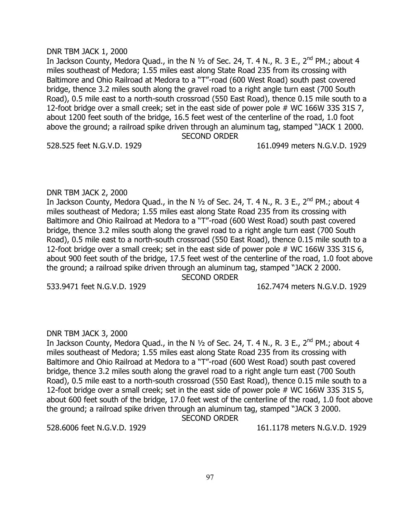#### DNR TBM JACK 1, 2000

In Jackson County, Medora Quad., in the N  $1/2$  of Sec. 24, T. 4 N., R. 3 E., 2<sup>nd</sup> PM.; about 4 miles southeast of Medora; 1.55 miles east along State Road 235 from its crossing with Baltimore and Ohio Railroad at Medora to a "T"-road (600 West Road) south past covered bridge, thence 3.2 miles south along the gravel road to a right angle turn east (700 South Road), 0.5 mile east to a north-south crossroad (550 East Road), thence 0.15 mile south to a 12-foot bridge over a small creek; set in the east side of power pole # WC 166W 33S 31S 7, about 1200 feet south of the bridge, 16.5 feet west of the centerline of the road, 1.0 foot above the ground; a railroad spike driven through an aluminum tag, stamped "JACK 1 2000. SECOND ORDER

#### 528.525 feet N.G.V.D. 1929 161.0949 meters N.G.V.D. 1929

#### DNR TBM JACK 2, 2000

In Jackson County, Medora Quad., in the N  $1/2$  of Sec. 24, T. 4 N., R. 3 E., 2<sup>nd</sup> PM.; about 4 miles southeast of Medora; 1.55 miles east along State Road 235 from its crossing with Baltimore and Ohio Railroad at Medora to a "T"-road (600 West Road) south past covered bridge, thence 3.2 miles south along the gravel road to a right angle turn east (700 South Road), 0.5 mile east to a north-south crossroad (550 East Road), thence 0.15 mile south to a 12-foot bridge over a small creek; set in the east side of power pole # WC 166W 33S 31S 6, about 900 feet south of the bridge, 17.5 feet west of the centerline of the road, 1.0 foot above the ground; a railroad spike driven through an aluminum tag, stamped "JACK 2 2000.

SECOND ORDER

533.9471 feet N.G.V.D. 1929 162.7474 meters N.G.V.D. 1929

#### DNR TBM JACK 3, 2000

In Jackson County, Medora Quad., in the N  $1/2$  of Sec. 24, T. 4 N., R. 3 E., 2<sup>nd</sup> PM.; about 4 miles southeast of Medora; 1.55 miles east along State Road 235 from its crossing with Baltimore and Ohio Railroad at Medora to a "T"-road (600 West Road) south past covered bridge, thence 3.2 miles south along the gravel road to a right angle turn east (700 South Road), 0.5 mile east to a north-south crossroad (550 East Road), thence 0.15 mile south to a 12-foot bridge over a small creek; set in the east side of power pole # WC 166W 33S 31S 5, about 600 feet south of the bridge, 17.0 feet west of the centerline of the road, 1.0 foot above the ground; a railroad spike driven through an aluminum tag, stamped "JACK 3 2000.

SECOND ORDER

528.6006 feet N.G.V.D. 1929 161.1178 meters N.G.V.D. 1929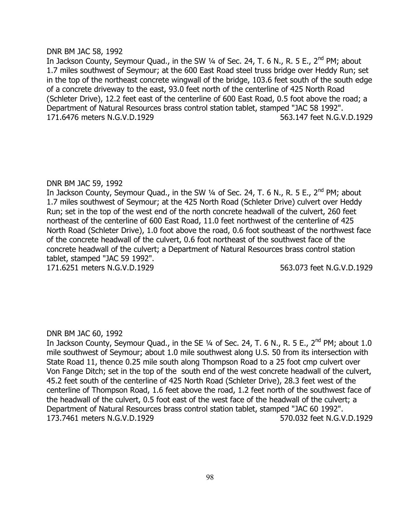### DNR BM JAC 58, 1992

In Jackson County, Seymour Quad., in the SW 1/4 of Sec. 24, T. 6 N., R. 5 E., 2<sup>nd</sup> PM; about 1.7 miles southwest of Seymour; at the 600 East Road steel truss bridge over Heddy Run; set in the top of the northeast concrete wingwall of the bridge, 103.6 feet south of the south edge of a concrete driveway to the east, 93.0 feet north of the centerline of 425 North Road (Schleter Drive), 12.2 feet east of the centerline of 600 East Road, 0.5 foot above the road; a Department of Natural Resources brass control station tablet, stamped "JAC 58 1992". 171.6476 meters N.G.V.D.1929 563.147 feet N.G.V.D.1929

# DNR BM JAC 59, 1992

In Jackson County, Seymour Quad., in the SW  $\frac{1}{4}$  of Sec. 24, T. 6 N., R. 5 E., 2<sup>nd</sup> PM; about 1.7 miles southwest of Seymour; at the 425 North Road (Schleter Drive) culvert over Heddy Run; set in the top of the west end of the north concrete headwall of the culvert, 260 feet northeast of the centerline of 600 East Road, 11.0 feet northwest of the centerline of 425 North Road (Schleter Drive), 1.0 foot above the road, 0.6 foot southeast of the northwest face of the concrete headwall of the culvert, 0.6 foot northeast of the southwest face of the concrete headwall of the culvert; a Department of Natural Resources brass control station tablet, stamped "JAC 59 1992". 171.6251 meters N.G.V.D.1929 563.073 feet N.G.V.D.1929

# DNR BM JAC 60, 1992

In Jackson County, Seymour Quad., in the SE  $\frac{1}{4}$  of Sec. 24, T. 6 N., R. 5 E., 2<sup>nd</sup> PM; about 1.0 mile southwest of Seymour; about 1.0 mile southwest along U.S. 50 from its intersection with State Road 11, thence 0.25 mile south along Thompson Road to a 25 foot cmp culvert over Von Fange Ditch; set in the top of the south end of the west concrete headwall of the culvert, 45.2 feet south of the centerline of 425 North Road (Schleter Drive), 28.3 feet west of the centerline of Thompson Road, 1.6 feet above the road, 1.2 feet north of the southwest face of the headwall of the culvert, 0.5 foot east of the west face of the headwall of the culvert; a Department of Natural Resources brass control station tablet, stamped "JAC 60 1992". 173.7461 meters N.G.V.D.1929 570.032 feet N.G.V.D.1929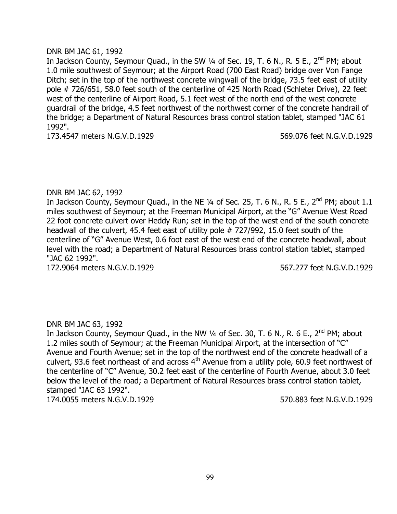### DNR BM JAC 61, 1992

In Jackson County, Seymour Quad., in the SW 1/4 of Sec. 19, T. 6 N., R. 5 E., 2<sup>nd</sup> PM; about 1.0 mile southwest of Seymour; at the Airport Road (700 East Road) bridge over Von Fange Ditch; set in the top of the northwest concrete wingwall of the bridge, 73.5 feet east of utility pole # 726/651, 58.0 feet south of the centerline of 425 North Road (Schleter Drive), 22 feet west of the centerline of Airport Road, 5.1 feet west of the north end of the west concrete guardrail of the bridge, 4.5 feet northwest of the northwest corner of the concrete handrail of the bridge; a Department of Natural Resources brass control station tablet, stamped "JAC 61 1992".

173.4547 meters N.G.V.D.1929 569.076 feet N.G.V.D.1929

# DNR BM JAC 62, 1992

In Jackson County, Seymour Quad., in the NE 1/4 of Sec. 25, T. 6 N., R. 5 E., 2<sup>nd</sup> PM; about 1.1 miles southwest of Seymour; at the Freeman Municipal Airport, at the "G" Avenue West Road 22 foot concrete culvert over Heddy Run; set in the top of the west end of the south concrete headwall of the culvert, 45.4 feet east of utility pole # 727/992, 15.0 feet south of the centerline of "G" Avenue West, 0.6 foot east of the west end of the concrete headwall, about level with the road; a Department of Natural Resources brass control station tablet, stamped "JAC 62 1992".

172.9064 meters N.G.V.D.1929 567.277 feet N.G.V.D.1929

# DNR BM JAC 63, 1992

In Jackson County, Seymour Quad., in the NW  $\frac{1}{4}$  of Sec. 30, T. 6 N., R. 6 E., 2<sup>nd</sup> PM; about 1.2 miles south of Seymour; at the Freeman Municipal Airport, at the intersection of "C" Avenue and Fourth Avenue; set in the top of the northwest end of the concrete headwall of a culvert, 93.6 feet northeast of and across 4<sup>th</sup> Avenue from a utility pole, 60.9 feet northwest of the centerline of "C" Avenue, 30.2 feet east of the centerline of Fourth Avenue, about 3.0 feet below the level of the road; a Department of Natural Resources brass control station tablet, stamped "JAC 63 1992".

174.0055 meters N.G.V.D.1929 570.883 feet N.G.V.D.1929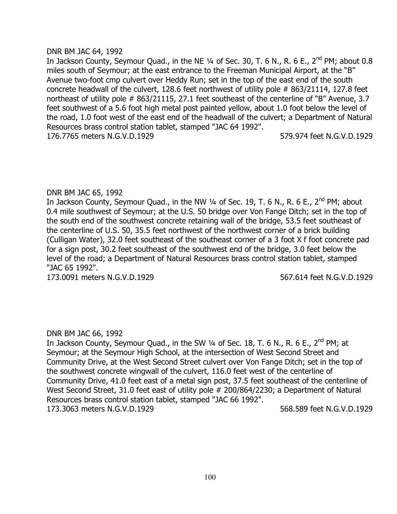### DNR BM JAC 64, 1992

In Jackson County, Seymour Quad., in the NE  $\frac{1}{4}$  of Sec. 30, T. 6 N., R. 6 E., 2<sup>nd</sup> PM; about 0.8 miles south of Seymour; at the east entrance to the Freeman Municipal Airport, at the "B" Avenue two-foot cmp culvert over Heddy Run; set in the top of the east end of the south concrete headwall of the culvert, 128.6 feet northwest of utility pole # 863/21114, 127.8 feet northeast of utility pole # 863/21115, 27.1 feet southeast of the centerline of "B" Avenue, 3.7 feet southwest of a 5.6 foot high metal post painted yellow, about 1.0 foot below the level of the road, 1.0 foot west of the east end of the headwall of the culvert; a Department of Natural Resources brass control station tablet, stamped "JAC 64 1992". 176.7765 meters N.G.V.D.1929 579.974 feet N.G.V.D.1929

# DNR BM JAC 65, 1992

In Jackson County, Seymour Quad., in the NW  $\frac{1}{4}$  of Sec. 19, T. 6 N., R. 6 E., 2<sup>nd</sup> PM; about 0.4 mile southwest of Seymour; at the U.S. 50 bridge over Von Fange Ditch; set in the top of the south end of the southwest concrete retaining wall of the bridge, 53.5 feet southeast of the centerline of U.S. 50, 35.5 feet northwest of the northwest corner of a brick building (Culligan Water), 32.0 feet southeast of the southeast corner of a 3 foot X f foot concrete pad for a sign post, 30.2 feet southeast of the southwest end of the bridge, 3.0 feet below the level of the road; a Department of Natural Resources brass control station tablet, stamped "JAC 65 1992".

173.0091 meters N.G.V.D.1929 567.614 feet N.G.V.D.1929

# DNR BM JAC 66, 1992

In Jackson County, Seymour Quad., in the SW  $\frac{1}{4}$  of Sec. 18, T. 6 N., R. 6 E., 2<sup>nd</sup> PM; at Seymour; at the Seymour High School, at the intersection of West Second Street and Community Drive, at the West Second Street culvert over Von Fange Ditch; set in the top of the southwest concrete wingwall of the culvert, 116.0 feet west of the centerline of Community Drive, 41.0 feet east of a metal sign post, 37.5 feet southeast of the centerline of West Second Street, 31.0 feet east of utility pole # 200/864/2230; a Department of Natural Resources brass control station tablet, stamped "JAC 66 1992". 173.3063 meters N.G.V.D.1929 568.589 feet N.G.V.D.1929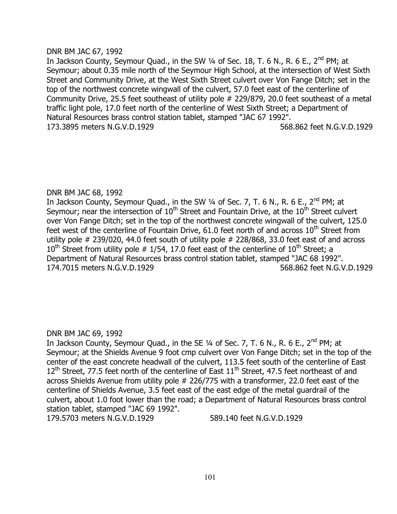### DNR BM JAC 67, 1992

In Jackson County, Seymour Quad., in the SW  $\frac{1}{4}$  of Sec. 18, T. 6 N., R. 6 E., 2<sup>nd</sup> PM; at Seymour; about 0.35 mile north of the Seymour High School, at the intersection of West Sixth Street and Community Drive, at the West Sixth Street culvert over Von Fange Ditch; set in the top of the northwest concrete wingwall of the culvert, 57.0 feet east of the centerline of Community Drive, 25.5 feet southeast of utility pole # 229/879, 20.0 feet southeast of a metal traffic light pole, 17.0 feet north of the centerline of West Sixth Street; a Department of Natural Resources brass control station tablet, stamped "JAC 67 1992". 173.3895 meters N.G.V.D.1929 568.862 feet N.G.V.D.1929

# DNR BM JAC 68, 1992

In Jackson County, Seymour Quad., in the SW  $\frac{1}{4}$  of Sec. 7, T. 6 N., R. 6 E., 2<sup>nd</sup> PM; at Seymour; near the intersection of  $10<sup>th</sup>$  Street and Fountain Drive, at the  $10<sup>th</sup>$  Street culvert over Von Fange Ditch; set in the top of the northwest concrete wingwall of the culvert, 125.0 feet west of the centerline of Fountain Drive,  $61.0$  feet north of and across  $10<sup>th</sup>$  Street from utility pole # 239/020, 44.0 feet south of utility pole # 228/868, 33.0 feet east of and across  $10^{th}$  Street from utility pole # 1/54, 17.0 feet east of the centerline of  $10^{th}$  Street; a Department of Natural Resources brass control station tablet, stamped "JAC 68 1992". 174.7015 meters N.G.V.D.1929 568.862 feet N.G.V.D.1929

# DNR BM JAC 69, 1992

In Jackson County, Seymour Quad., in the SE  $\frac{1}{4}$  of Sec. 7, T. 6 N., R. 6 E., 2<sup>nd</sup> PM; at Seymour; at the Shields Avenue 9 foot cmp culvert over Von Fange Ditch; set in the top of the center of the east concrete headwall of the culvert, 113.5 feet south of the centerline of East  $12<sup>th</sup>$  Street, 77.5 feet north of the centerline of East  $11<sup>th</sup>$  Street, 47.5 feet northeast of and across Shields Avenue from utility pole # 226/775 with a transformer, 22.0 feet east of the centerline of Shields Avenue, 3.5 feet east of the east edge of the metal guardrail of the culvert, about 1.0 foot lower than the road; a Department of Natural Resources brass control station tablet, stamped "JAC 69 1992". 179.5703 meters N.G.V.D.1929 589.140 feet N.G.V.D.1929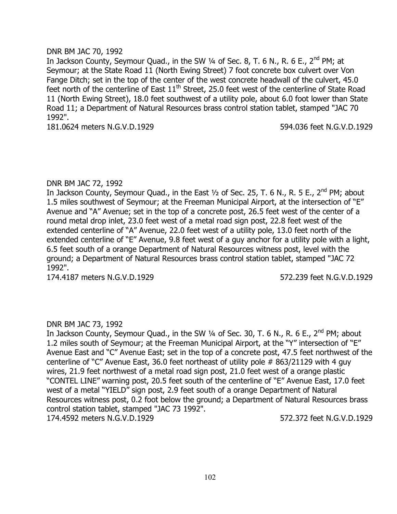# DNR BM JAC 70, 1992

In Jackson County, Seymour Quad., in the SW  $\frac{1}{4}$  of Sec. 8, T. 6 N., R. 6 E., 2<sup>nd</sup> PM; at Seymour; at the State Road 11 (North Ewing Street) 7 foot concrete box culvert over Von Fange Ditch; set in the top of the center of the west concrete headwall of the culvert, 45.0 feet north of the centerline of East  $11<sup>th</sup>$  Street, 25.0 feet west of the centerline of State Road 11 (North Ewing Street), 18.0 feet southwest of a utility pole, about 6.0 foot lower than State Road 11; a Department of Natural Resources brass control station tablet, stamped "JAC 70 1992".

181.0624 meters N.G.V.D.1929 594.036 feet N.G.V.D.1929

### DNR BM JAC 72, 1992

In Jackson County, Seymour Quad., in the East  $\frac{1}{2}$  of Sec. 25, T. 6 N., R. 5 E., 2<sup>nd</sup> PM; about 1.5 miles southwest of Seymour; at the Freeman Municipal Airport, at the intersection of "E" Avenue and "A" Avenue; set in the top of a concrete post, 26.5 feet west of the center of a round metal drop inlet, 23.0 feet west of a metal road sign post, 22.8 feet west of the extended centerline of "A" Avenue, 22.0 feet west of a utility pole, 13.0 feet north of the extended centerline of "E" Avenue, 9.8 feet west of a guy anchor for a utility pole with a light, 6.5 feet south of a orange Department of Natural Resources witness post, level with the ground; a Department of Natural Resources brass control station tablet, stamped "JAC 72 1992".

174.4187 meters N.G.V.D.1929 572.239 feet N.G.V.D.1929

# DNR BM JAC 73, 1992

In Jackson County, Seymour Quad., in the SW 1/4 of Sec. 30, T. 6 N., R. 6 E., 2<sup>nd</sup> PM; about 1.2 miles south of Seymour; at the Freeman Municipal Airport, at the "Y" intersection of "E" Avenue East and "C" Avenue East; set in the top of a concrete post, 47.5 feet northwest of the centerline of "C" Avenue East, 36.0 feet northeast of utility pole # 863/21129 with 4 guy wires, 21.9 feet northwest of a metal road sign post, 21.0 feet west of a orange plastic "CONTEL LINE" warning post, 20.5 feet south of the centerline of "E" Avenue East, 17.0 feet west of a metal "YIELD" sign post, 2.9 feet south of a orange Department of Natural Resources witness post, 0.2 foot below the ground; a Department of Natural Resources brass control station tablet, stamped "JAC 73 1992". 174.4592 meters N.G.V.D.1929 572.372 feet N.G.V.D.1929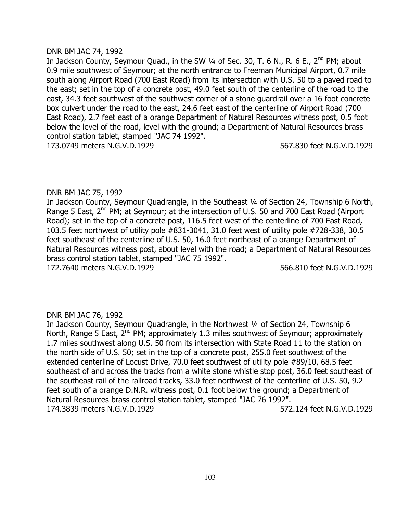#### DNR BM JAC 74, 1992

In Jackson County, Seymour Quad., in the SW 1/4 of Sec. 30, T. 6 N., R. 6 E., 2<sup>nd</sup> PM; about 0.9 mile southwest of Seymour; at the north entrance to Freeman Municipal Airport, 0.7 mile south along Airport Road (700 East Road) from its intersection with U.S. 50 to a paved road to the east; set in the top of a concrete post, 49.0 feet south of the centerline of the road to the east, 34.3 feet southwest of the southwest corner of a stone guardrail over a 16 foot concrete box culvert under the road to the east, 24.6 feet east of the centerline of Airport Road (700 East Road), 2.7 feet east of a orange Department of Natural Resources witness post, 0.5 foot below the level of the road, level with the ground; a Department of Natural Resources brass control station tablet, stamped "JAC 74 1992".

173.0749 meters N.G.V.D.1929 567.830 feet N.G.V.D.1929

# DNR BM JAC 75, 1992

In Jackson County, Seymour Quadrangle, in the Southeast 1/4 of Section 24, Township 6 North, Range 5 East, 2<sup>nd</sup> PM; at Seymour; at the intersection of U.S. 50 and 700 East Road (Airport Road); set in the top of a concrete post, 116.5 feet west of the centerline of 700 East Road, 103.5 feet northwest of utility pole #831-3041, 31.0 feet west of utility pole #728-338, 30.5 feet southeast of the centerline of U.S. 50, 16.0 feet northeast of a orange Department of Natural Resources witness post, about level with the road; a Department of Natural Resources brass control station tablet, stamped "JAC 75 1992". 172.7640 meters N.G.V.D.1929 566.810 feet N.G.V.D.1929

# DNR BM JAC 76, 1992

In Jackson County, Seymour Quadrangle, in the Northwest ¼ of Section 24, Township 6 North, Range 5 East,  $2^{nd}$  PM; approximately 1.3 miles southwest of Seymour; approximately 1.7 miles southwest along U.S. 50 from its intersection with State Road 11 to the station on the north side of U.S. 50; set in the top of a concrete post, 255.0 feet southwest of the extended centerline of Locust Drive, 70.0 feet southwest of utility pole #89/10, 68.5 feet southeast of and across the tracks from a white stone whistle stop post, 36.0 feet southeast of the southeast rail of the railroad tracks, 33.0 feet northwest of the centerline of U.S. 50, 9.2 feet south of a orange D.N.R. witness post, 0.1 foot below the ground; a Department of Natural Resources brass control station tablet, stamped "JAC 76 1992". 174.3839 meters N.G.V.D.1929 572.124 feet N.G.V.D.1929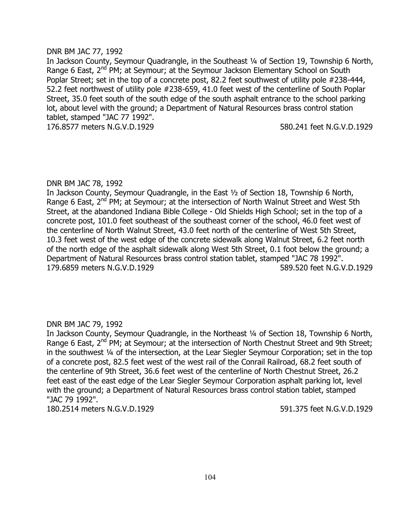#### DNR BM JAC 77, 1992

In Jackson County, Seymour Quadrangle, in the Southeast 1/4 of Section 19, Township 6 North, Range 6 East, 2<sup>nd</sup> PM; at Seymour; at the Seymour Jackson Elementary School on South Poplar Street; set in the top of a concrete post, 82.2 feet southwest of utility pole #238-444, 52.2 feet northwest of utility pole #238-659, 41.0 feet west of the centerline of South Poplar Street, 35.0 feet south of the south edge of the south asphalt entrance to the school parking lot, about level with the ground; a Department of Natural Resources brass control station tablet, stamped "JAC 77 1992".

176.8577 meters N.G.V.D.1929 580.241 feet N.G.V.D.1929

### DNR BM JAC 78, 1992

In Jackson County, Seymour Quadrangle, in the East ½ of Section 18, Township 6 North, Range 6 East, 2<sup>nd</sup> PM; at Seymour; at the intersection of North Walnut Street and West 5th Street, at the abandoned Indiana Bible College - Old Shields High School; set in the top of a concrete post, 101.0 feet southeast of the southeast corner of the school, 46.0 feet west of the centerline of North Walnut Street, 43.0 feet north of the centerline of West 5th Street, 10.3 feet west of the west edge of the concrete sidewalk along Walnut Street, 6.2 feet north of the north edge of the asphalt sidewalk along West 5th Street, 0.1 foot below the ground; a Department of Natural Resources brass control station tablet, stamped "JAC 78 1992". 179.6859 meters N.G.V.D.1929 589.520 feet N.G.V.D.1929

# DNR BM JAC 79, 1992

In Jackson County, Seymour Quadrangle, in the Northeast 1/4 of Section 18, Township 6 North, Range 6 East, 2<sup>nd</sup> PM; at Seymour; at the intersection of North Chestnut Street and 9th Street; in the southwest ¼ of the intersection, at the Lear Siegler Seymour Corporation; set in the top of a concrete post, 82.5 feet west of the west rail of the Conrail Railroad, 68.2 feet south of the centerline of 9th Street, 36.6 feet west of the centerline of North Chestnut Street, 26.2 feet east of the east edge of the Lear Siegler Seymour Corporation asphalt parking lot, level with the ground; a Department of Natural Resources brass control station tablet, stamped "JAC 79 1992".

180.2514 meters N.G.V.D.1929 591.375 feet N.G.V.D.1929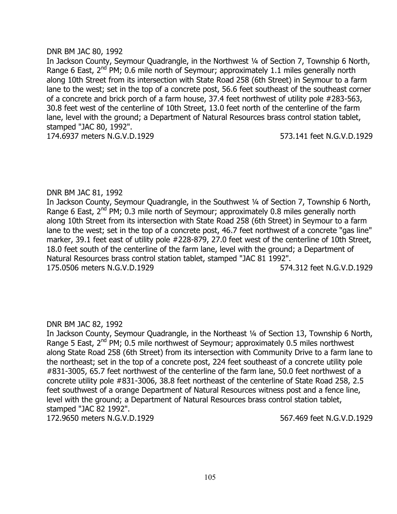#### DNR BM JAC 80, 1992

In Jackson County, Seymour Quadrangle, in the Northwest 1/4 of Section 7, Township 6 North, Range 6 East,  $2^{nd}$  PM; 0.6 mile north of Seymour; approximately 1.1 miles generally north along 10th Street from its intersection with State Road 258 (6th Street) in Seymour to a farm lane to the west; set in the top of a concrete post, 56.6 feet southeast of the southeast corner of a concrete and brick porch of a farm house, 37.4 feet northwest of utility pole #283-563, 30.8 feet west of the centerline of 10th Street, 13.0 feet north of the centerline of the farm lane, level with the ground; a Department of Natural Resources brass control station tablet, stamped "JAC 80, 1992". 174.6937 meters N.G.V.D.1929 573.141 feet N.G.V.D.1929

# DNR BM JAC 81, 1992

In Jackson County, Seymour Quadrangle, in the Southwest ¼ of Section 7, Township 6 North, Range 6 East,  $2^{nd}$  PM; 0.3 mile north of Seymour; approximately 0.8 miles generally north along 10th Street from its intersection with State Road 258 (6th Street) in Seymour to a farm lane to the west; set in the top of a concrete post, 46.7 feet northwest of a concrete "gas line" marker, 39.1 feet east of utility pole #228-879, 27.0 feet west of the centerline of 10th Street, 18.0 feet south of the centerline of the farm lane, level with the ground; a Department of Natural Resources brass control station tablet, stamped "JAC 81 1992". 175.0506 meters N.G.V.D.1929 574.312 feet N.G.V.D.1929

# DNR BM JAC 82, 1992

In Jackson County, Seymour Quadrangle, in the Northeast 1/4 of Section 13, Township 6 North, Range 5 East, 2<sup>nd</sup> PM; 0.5 mile northwest of Seymour; approximately 0.5 miles northwest along State Road 258 (6th Street) from its intersection with Community Drive to a farm lane to the northeast; set in the top of a concrete post, 224 feet southeast of a concrete utility pole #831-3005, 65.7 feet northwest of the centerline of the farm lane, 50.0 feet northwest of a concrete utility pole #831-3006, 38.8 feet northeast of the centerline of State Road 258, 2.5 feet southwest of a orange Department of Natural Resources witness post and a fence line, level with the ground; a Department of Natural Resources brass control station tablet, stamped "JAC 82 1992". 172.9650 meters N.G.V.D.1929 567.469 feet N.G.V.D.1929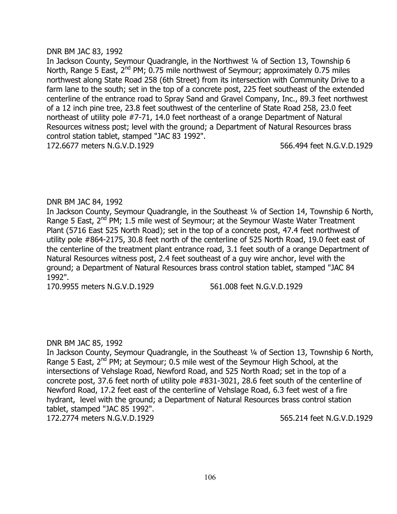#### DNR BM JAC 83, 1992

In Jackson County, Seymour Quadrangle, in the Northwest ¼ of Section 13, Township 6 North, Range 5 East,  $2^{nd}$  PM; 0.75 mile northwest of Seymour; approximately 0.75 miles northwest along State Road 258 (6th Street) from its intersection with Community Drive to a farm lane to the south; set in the top of a concrete post, 225 feet southeast of the extended centerline of the entrance road to Spray Sand and Gravel Company, Inc., 89.3 feet northwest of a 12 inch pine tree, 23.8 feet southwest of the centerline of State Road 258, 23.0 feet northeast of utility pole #7-71, 14.0 feet northeast of a orange Department of Natural Resources witness post; level with the ground; a Department of Natural Resources brass control station tablet, stamped "JAC 83 1992".

172.6677 meters N.G.V.D.1929 566.494 feet N.G.V.D.1929

# DNR BM JAC 84, 1992

In Jackson County, Seymour Quadrangle, in the Southeast 1/4 of Section 14, Township 6 North, Range 5 East,  $2^{nd}$  PM; 1.5 mile west of Seymour; at the Seymour Waste Water Treatment Plant (5716 East 525 North Road); set in the top of a concrete post, 47.4 feet northwest of utility pole #864-2175, 30.8 feet north of the centerline of 525 North Road, 19.0 feet east of the centerline of the treatment plant entrance road, 3.1 feet south of a orange Department of Natural Resources witness post, 2.4 feet southeast of a guy wire anchor, level with the ground; a Department of Natural Resources brass control station tablet, stamped "JAC 84 1992".

170.9955 meters N.G.V.D.1929 561.008 feet N.G.V.D.1929

# DNR BM JAC 85, 1992

In Jackson County, Seymour Quadrangle, in the Southeast 1/4 of Section 13, Township 6 North, Range 5 East,  $2^{nd}$  PM; at Seymour; 0.5 mile west of the Seymour High School, at the intersections of Vehslage Road, Newford Road, and 525 North Road; set in the top of a concrete post, 37.6 feet north of utility pole #831-3021, 28.6 feet south of the centerline of Newford Road, 17.2 feet east of the centerline of Vehslage Road, 6.3 feet west of a fire hydrant, level with the ground; a Department of Natural Resources brass control station tablet, stamped "JAC 85 1992". 172.2774 meters N.G.V.D.1929 565.214 feet N.G.V.D.1929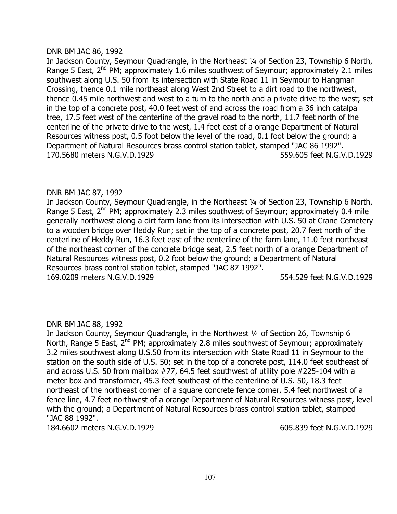#### DNR BM JAC 86, 1992

In Jackson County, Seymour Quadrangle, in the Northeast ¼ of Section 23, Township 6 North, Range 5 East,  $2^{nd}$  PM; approximately 1.6 miles southwest of Seymour; approximately 2.1 miles southwest along U.S. 50 from its intersection with State Road 11 in Seymour to Hangman Crossing, thence 0.1 mile northeast along West 2nd Street to a dirt road to the northwest, thence 0.45 mile northwest and west to a turn to the north and a private drive to the west; set in the top of a concrete post, 40.0 feet west of and across the road from a 36 inch catalpa tree, 17.5 feet west of the centerline of the gravel road to the north, 11.7 feet north of the centerline of the private drive to the west, 1.4 feet east of a orange Department of Natural Resources witness post, 0.5 foot below the level of the road, 0.1 foot below the ground; a Department of Natural Resources brass control station tablet, stamped "JAC 86 1992". 170.5680 meters N.G.V.D.1929 559.605 feet N.G.V.D.1929

# DNR BM JAC 87, 1992

In Jackson County, Seymour Quadrangle, in the Northeast 1/4 of Section 23, Township 6 North, Range 5 East, 2<sup>nd</sup> PM; approximately 2.3 miles southwest of Seymour; approximately 0.4 mile generally northwest along a dirt farm lane from its intersection with U.S. 50 at Crane Cemetery to a wooden bridge over Heddy Run; set in the top of a concrete post, 20.7 feet north of the centerline of Heddy Run, 16.3 feet east of the centerline of the farm lane, 11.0 feet northeast of the northeast corner of the concrete bridge seat, 2.5 feet north of a orange Department of Natural Resources witness post, 0.2 foot below the ground; a Department of Natural Resources brass control station tablet, stamped "JAC 87 1992". 169.0209 meters N.G.V.D.1929 554.529 feet N.G.V.D.1929

# DNR BM JAC 88, 1992

In Jackson County, Seymour Quadrangle, in the Northwest ¼ of Section 26, Township 6 North, Range 5 East,  $2^{nd}$  PM; approximately 2.8 miles southwest of Seymour; approximately 3.2 miles southwest along U.S.50 from its intersection with State Road 11 in Seymour to the station on the south side of U.S. 50; set in the top of a concrete post, 114.0 feet southeast of and across U.S. 50 from mailbox #77, 64.5 feet southwest of utility pole #225-104 with a meter box and transformer, 45.3 feet southeast of the centerline of U.S. 50, 18.3 feet northeast of the northeast corner of a square concrete fence corner, 5.4 feet northwest of a fence line, 4.7 feet northwest of a orange Department of Natural Resources witness post, level with the ground; a Department of Natural Resources brass control station tablet, stamped "JAC 88 1992".

184.6602 meters N.G.V.D.1929 605.839 feet N.G.V.D.1929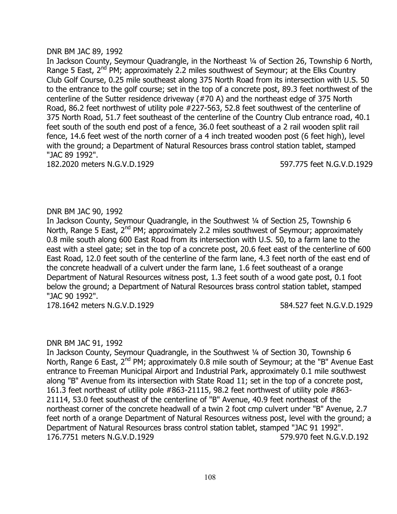#### DNR BM JAC 89, 1992

In Jackson County, Seymour Quadrangle, in the Northeast ¼ of Section 26, Township 6 North, Range 5 East,  $2^{nd}$  PM; approximately 2.2 miles southwest of Seymour; at the Elks Country Club Golf Course, 0.25 mile southeast along 375 North Road from its intersection with U.S. 50 to the entrance to the golf course; set in the top of a concrete post, 89.3 feet northwest of the centerline of the Sutter residence driveway (#70 A) and the northeast edge of 375 North Road, 86.2 feet northwest of utility pole #227-563, 52.8 feet southwest of the centerline of 375 North Road, 51.7 feet southeast of the centerline of the Country Club entrance road, 40.1 feet south of the south end post of a fence, 36.0 feet southeast of a 2 rail wooden split rail fence, 14.6 feet west of the north corner of a 4 inch treated wooden post (6 feet high), level with the ground; a Department of Natural Resources brass control station tablet, stamped "JAC 89 1992".

182.2020 meters N.G.V.D.1929 597.775 feet N.G.V.D.1929

# DNR BM JAC 90, 1992

In Jackson County, Seymour Quadrangle, in the Southwest ¼ of Section 25, Township 6 North, Range 5 East,  $2^{nd}$  PM; approximately 2.2 miles southwest of Seymour; approximately 0.8 mile south along 600 East Road from its intersection with U.S. 50, to a farm lane to the east with a steel gate; set in the top of a concrete post, 20.6 feet east of the centerline of 600 East Road, 12.0 feet south of the centerline of the farm lane, 4.3 feet north of the east end of the concrete headwall of a culvert under the farm lane, 1.6 feet southeast of a orange Department of Natural Resources witness post, 1.3 feet south of a wood gate post, 0.1 foot below the ground; a Department of Natural Resources brass control station tablet, stamped "JAC 90 1992".

178.1642 meters N.G.V.D.1929 584.527 feet N.G.V.D.1929

# DNR BM JAC 91, 1992

In Jackson County, Seymour Quadrangle, in the Southwest ¼ of Section 30, Township 6 North, Range 6 East, 2<sup>nd</sup> PM; approximately 0.8 mile south of Seymour; at the "B" Avenue East entrance to Freeman Municipal Airport and Industrial Park, approximately 0.1 mile southwest along "B" Avenue from its intersection with State Road 11; set in the top of a concrete post, 161.3 feet northeast of utility pole #863-21115, 98.2 feet northwest of utility pole #863- 21114, 53.0 feet southeast of the centerline of "B" Avenue, 40.9 feet northeast of the northeast corner of the concrete headwall of a twin 2 foot cmp culvert under "B" Avenue, 2.7 feet north of a orange Department of Natural Resources witness post, level with the ground; a Department of Natural Resources brass control station tablet, stamped "JAC 91 1992". 176.7751 meters N.G.V.D.1929 579.970 feet N.G.V.D.192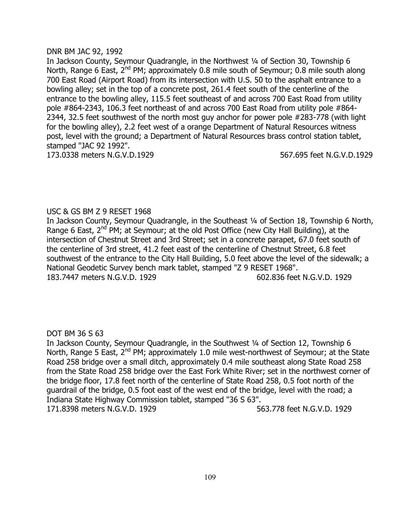### DNR BM JAC 92, 1992

In Jackson County, Seymour Quadrangle, in the Northwest ¼ of Section 30, Township 6 North, Range 6 East, 2<sup>nd</sup> PM; approximately 0.8 mile south of Seymour; 0.8 mile south along 700 East Road (Airport Road) from its intersection with U.S. 50 to the asphalt entrance to a bowling alley; set in the top of a concrete post, 261.4 feet south of the centerline of the entrance to the bowling alley, 115.5 feet southeast of and across 700 East Road from utility pole #864-2343, 106.3 feet northeast of and across 700 East Road from utility pole #864- 2344, 32.5 feet southwest of the north most guy anchor for power pole #283-778 (with light for the bowling alley), 2.2 feet west of a orange Department of Natural Resources witness post, level with the ground; a Department of Natural Resources brass control station tablet, stamped "JAC 92 1992".

173.0338 meters N.G.V.D.1929 567.695 feet N.G.V.D.1929

# USC & GS BM Z 9 RESET 1968

In Jackson County, Seymour Quadrangle, in the Southeast 1/4 of Section 18, Township 6 North, Range 6 East,  $2^{nd}$  PM; at Seymour; at the old Post Office (new City Hall Building), at the intersection of Chestnut Street and 3rd Street; set in a concrete parapet, 67.0 feet south of the centerline of 3rd street, 41.2 feet east of the centerline of Chestnut Street, 6.8 feet southwest of the entrance to the City Hall Building, 5.0 feet above the level of the sidewalk; a National Geodetic Survey bench mark tablet, stamped "Z 9 RESET 1968". 183.7447 meters N.G.V.D. 1929 602.836 feet N.G.V.D. 1929

## DOT BM 36 S 63

In Jackson County, Seymour Quadrangle, in the Southwest ¼ of Section 12, Township 6 North, Range 5 East,  $2^{nd}$  PM; approximately 1.0 mile west-northwest of Seymour; at the State Road 258 bridge over a small ditch, approximately 0.4 mile southeast along State Road 258 from the State Road 258 bridge over the East Fork White River; set in the northwest corner of the bridge floor, 17.8 feet north of the centerline of State Road 258, 0.5 foot north of the guardrail of the bridge, 0.5 foot east of the west end of the bridge, level with the road; a Indiana State Highway Commission tablet, stamped "36 S 63". 171.8398 meters N.G.V.D. 1929 563.778 feet N.G.V.D. 1929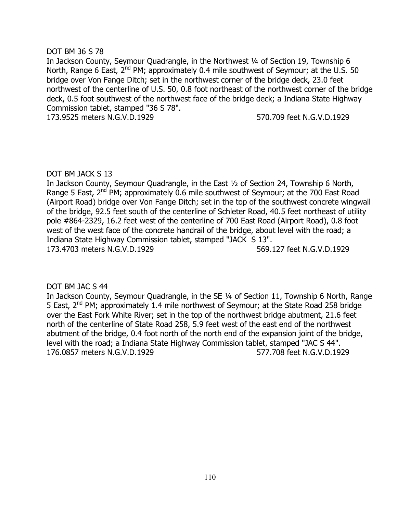## DOT BM 36 S 78

In Jackson County, Seymour Quadrangle, in the Northwest 1/4 of Section 19, Township 6 North, Range 6 East, 2<sup>nd</sup> PM; approximately 0.4 mile southwest of Seymour; at the U.S. 50 bridge over Von Fange Ditch; set in the northwest corner of the bridge deck, 23.0 feet northwest of the centerline of U.S. 50, 0.8 foot northeast of the northwest corner of the bridge deck, 0.5 foot southwest of the northwest face of the bridge deck; a Indiana State Highway Commission tablet, stamped "36 S 78".

173.9525 meters N.G.V.D.1929 570.709 feet N.G.V.D.1929

## DOT BM JACK S 13

In Jackson County, Seymour Quadrangle, in the East ½ of Section 24, Township 6 North, Range 5 East, 2<sup>nd</sup> PM; approximately 0.6 mile southwest of Seymour; at the 700 East Road (Airport Road) bridge over Von Fange Ditch; set in the top of the southwest concrete wingwall of the bridge, 92.5 feet south of the centerline of Schleter Road, 40.5 feet northeast of utility pole #864-2329, 16.2 feet west of the centerline of 700 East Road (Airport Road), 0.8 foot west of the west face of the concrete handrail of the bridge, about level with the road; a Indiana State Highway Commission tablet, stamped "JACK S 13". 173.4703 meters N.G.V.D.1929 569.127 feet N.G.V.D.1929

## DOT BM JAC S 44

In Jackson County, Seymour Quadrangle, in the SE ¼ of Section 11, Township 6 North, Range 5 East, 2nd PM; approximately 1.4 mile northwest of Seymour; at the State Road 258 bridge over the East Fork White River; set in the top of the northwest bridge abutment, 21.6 feet north of the centerline of State Road 258, 5.9 feet west of the east end of the northwest abutment of the bridge, 0.4 foot north of the north end of the expansion joint of the bridge, level with the road; a Indiana State Highway Commission tablet, stamped "JAC S 44". 176.0857 meters N.G.V.D.1929 577.708 feet N.G.V.D.1929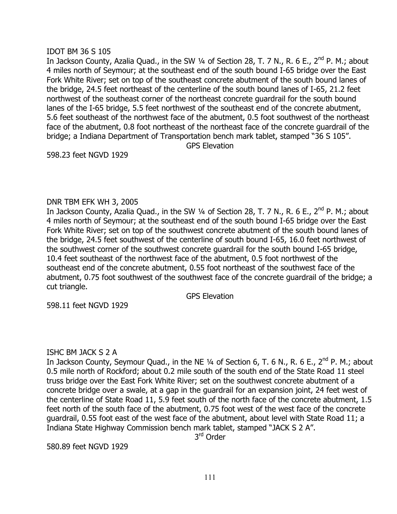### IDOT BM 36 S 105

In Jackson County, Azalia Quad., in the SW 1/4 of Section 28, T. 7 N., R. 6 E., 2<sup>nd</sup> P. M.; about 4 miles north of Seymour; at the southeast end of the south bound I-65 bridge over the East Fork White River; set on top of the southeast concrete abutment of the south bound lanes of the bridge, 24.5 feet northeast of the centerline of the south bound lanes of I-65, 21.2 feet northwest of the southeast corner of the northeast concrete guardrail for the south bound lanes of the I-65 bridge, 5.5 feet northwest of the southeast end of the concrete abutment, 5.6 feet southeast of the northwest face of the abutment, 0.5 foot southwest of the northeast face of the abutment, 0.8 foot northeast of the northeast face of the concrete guardrail of the bridge; a Indiana Department of Transportation bench mark tablet, stamped "36 S 105". GPS Elevation

598.23 feet NGVD 1929

## DNR TBM EFK WH 3, 2005

In Jackson County, Azalia Quad., in the SW 1/4 of Section 28, T. 7 N., R. 6 E., 2<sup>nd</sup> P. M.; about 4 miles north of Seymour; at the southeast end of the south bound I-65 bridge over the East Fork White River; set on top of the southwest concrete abutment of the south bound lanes of the bridge, 24.5 feet southwest of the centerline of south bound I-65, 16.0 feet northwest of the southwest corner of the southwest concrete guardrail for the south bound I-65 bridge, 10.4 feet southeast of the northwest face of the abutment, 0.5 foot northwest of the southeast end of the concrete abutment, 0.55 foot northeast of the southwest face of the abutment, 0.75 foot southwest of the southwest face of the concrete guardrail of the bridge; a cut triangle.

GPS Elevation

598.11 feet NGVD 1929

## ISHC BM JACK S 2 A

In Jackson County, Seymour Quad., in the NE 1/4 of Section 6, T. 6 N., R. 6 E., 2<sup>nd</sup> P. M.; about 0.5 mile north of Rockford; about 0.2 mile south of the south end of the State Road 11 steel truss bridge over the East Fork White River; set on the southwest concrete abutment of a concrete bridge over a swale, at a gap in the guardrail for an expansion joint, 24 feet west of the centerline of State Road 11, 5.9 feet south of the north face of the concrete abutment, 1.5 feet north of the south face of the abutment, 0.75 foot west of the west face of the concrete guardrail, 0.55 foot east of the west face of the abutment, about level with State Road 11; a Indiana State Highway Commission bench mark tablet, stamped "JACK S 2 A".

3<sup>rd</sup> Order

580.89 feet NGVD 1929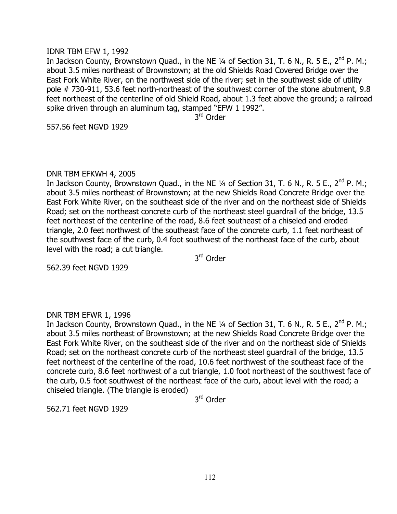#### IDNR TBM EFW 1, 1992

In Jackson County, Brownstown Quad., in the NE  $\frac{1}{4}$  of Section 31, T. 6 N., R. 5 E., 2<sup>nd</sup> P. M.; about 3.5 miles northeast of Brownstown; at the old Shields Road Covered Bridge over the East Fork White River, on the northwest side of the river; set in the southwest side of utility pole # 730-911, 53.6 feet north-northeast of the southwest corner of the stone abutment, 9.8 feet northeast of the centerline of old Shield Road, about 1.3 feet above the ground; a railroad spike driven through an aluminum tag, stamped "EFW 1 1992".

3<sup>rd</sup> Order

557.56 feet NGVD 1929

#### DNR TBM EFKWH 4, 2005

In Jackson County, Brownstown Quad., in the NE  $\frac{1}{4}$  of Section 31, T. 6 N., R. 5 E., 2<sup>nd</sup> P. M.; about 3.5 miles northeast of Brownstown; at the new Shields Road Concrete Bridge over the East Fork White River, on the southeast side of the river and on the northeast side of Shields Road; set on the northeast concrete curb of the northeast steel guardrail of the bridge, 13.5 feet northeast of the centerline of the road, 8.6 feet southeast of a chiseled and eroded triangle, 2.0 feet northwest of the southeast face of the concrete curb, 1.1 feet northeast of the southwest face of the curb, 0.4 foot southwest of the northeast face of the curb, about level with the road; a cut triangle.

3<sup>rd</sup> Order

562.39 feet NGVD 1929

## DNR TBM EFWR 1, 1996

In Jackson County, Brownstown Quad., in the NE 1/4 of Section 31, T. 6 N., R. 5 E., 2<sup>nd</sup> P. M.; about 3.5 miles northeast of Brownstown; at the new Shields Road Concrete Bridge over the East Fork White River, on the southeast side of the river and on the northeast side of Shields Road; set on the northeast concrete curb of the northeast steel guardrail of the bridge, 13.5 feet northeast of the centerline of the road, 10.6 feet northwest of the southeast face of the concrete curb, 8.6 feet northwest of a cut triangle, 1.0 foot northeast of the southwest face of the curb, 0.5 foot southwest of the northeast face of the curb, about level with the road; a chiseled triangle. (The triangle is eroded)

3<sup>rd</sup> Order

562.71 feet NGVD 1929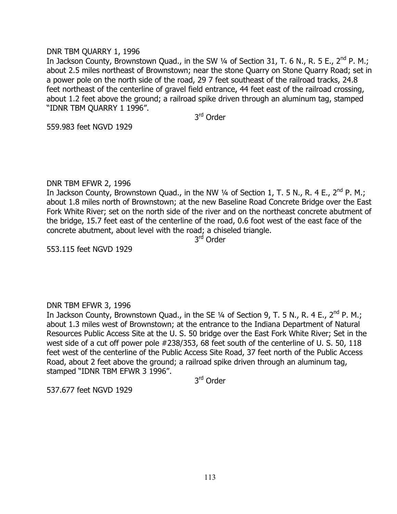### DNR TBM QUARRY 1, 1996

In Jackson County, Brownstown Quad., in the SW 1/4 of Section 31, T. 6 N., R. 5 E., 2<sup>nd</sup> P. M.; about 2.5 miles northeast of Brownstown; near the stone Quarry on Stone Quarry Road; set in a power pole on the north side of the road, 29 7 feet southeast of the railroad tracks, 24.8 feet northeast of the centerline of gravel field entrance, 44 feet east of the railroad crossing, about 1.2 feet above the ground; a railroad spike driven through an aluminum tag, stamped "IDNR TBM QUARRY 1 1996".

3<sup>rd</sup> Order

559.983 feet NGVD 1929

### DNR TBM EFWR 2, 1996

In Jackson County, Brownstown Quad., in the NW  $\frac{1}{4}$  of Section 1, T. 5 N., R. 4 E., 2<sup>nd</sup> P. M.; about 1.8 miles north of Brownstown; at the new Baseline Road Concrete Bridge over the East Fork White River; set on the north side of the river and on the northeast concrete abutment of the bridge, 15.7 feet east of the centerline of the road, 0.6 foot west of the east face of the concrete abutment, about level with the road; a chiseled triangle.

3<sup>rd</sup> Order

553.115 feet NGVD 1929

## DNR TBM EFWR 3, 1996

In Jackson County, Brownstown Quad., in the SE  $\frac{1}{4}$  of Section 9, T. 5 N., R. 4 E., 2<sup>nd</sup> P. M.; about 1.3 miles west of Brownstown; at the entrance to the Indiana Department of Natural Resources Public Access Site at the U. S. 50 bridge over the East Fork White River; Set in the west side of a cut off power pole #238/353, 68 feet south of the centerline of U. S. 50, 118 feet west of the centerline of the Public Access Site Road, 37 feet north of the Public Access Road, about 2 feet above the ground; a railroad spike driven through an aluminum tag, stamped "IDNR TBM EFWR 3 1996".

3<sup>rd</sup> Order

537.677 feet NGVD 1929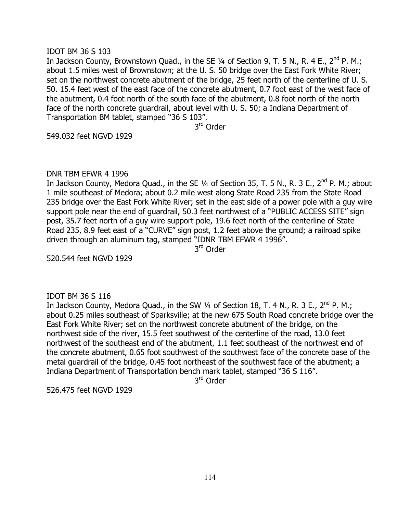### IDOT BM 36 S 103

In Jackson County, Brownstown Quad., in the SE 1/4 of Section 9, T. 5 N., R. 4 E., 2<sup>nd</sup> P. M.; about 1.5 miles west of Brownstown; at the U. S. 50 bridge over the East Fork White River; set on the northwest concrete abutment of the bridge, 25 feet north of the centerline of U. S. 50. 15.4 feet west of the east face of the concrete abutment, 0.7 foot east of the west face of the abutment, 0.4 foot north of the south face of the abutment, 0.8 foot north of the north face of the north concrete guardrail, about level with U. S. 50; a Indiana Department of Transportation BM tablet, stamped "36 S 103".

3<sup>rd</sup> Order

549.032 feet NGVD 1929

### DNR TBM EFWR 4 1996

In Jackson County, Medora Quad., in the SE  $\frac{1}{4}$  of Section 35, T. 5 N., R. 3 E., 2<sup>nd</sup> P. M.; about 1 mile southeast of Medora; about 0.2 mile west along State Road 235 from the State Road 235 bridge over the East Fork White River; set in the east side of a power pole with a guy wire support pole near the end of guardrail, 50.3 feet northwest of a "PUBLIC ACCESS SITE" sign post, 35.7 feet north of a guy wire support pole, 19.6 feet north of the centerline of State Road 235, 8.9 feet east of a "CURVE" sign post, 1.2 feet above the ground; a railroad spike driven through an aluminum tag, stamped "IDNR TBM EFWR 4 1996".

3<sup>rd</sup> Order

520.544 feet NGVD 1929

## IDOT BM 36 S 116

In Jackson County, Medora Quad., in the SW 1/4 of Section 18, T. 4 N., R. 3 E., 2<sup>nd</sup> P. M.; about 0.25 miles southeast of Sparksville; at the new 675 South Road concrete bridge over the East Fork White River; set on the northwest concrete abutment of the bridge, on the northwest side of the river, 15.5 feet southwest of the centerline of the road, 13.0 feet northwest of the southeast end of the abutment, 1.1 feet southeast of the northwest end of the concrete abutment, 0.65 foot southwest of the southwest face of the concrete base of the metal guardrail of the bridge, 0.45 foot northeast of the southwest face of the abutment; a Indiana Department of Transportation bench mark tablet, stamped "36 S 116".

3<sup>rd</sup> Order

526.475 feet NGVD 1929